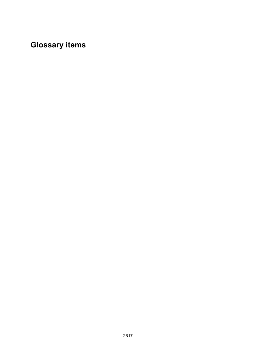**Glossary items**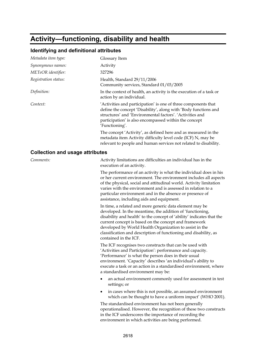### **Activity—functioning, disability and health**

#### **Identifying and definitional attributes**

| Metadata item type:  | Glossary Item                                                                                                                                                                                                                                                            |
|----------------------|--------------------------------------------------------------------------------------------------------------------------------------------------------------------------------------------------------------------------------------------------------------------------|
| Synonymous names:    | Activity                                                                                                                                                                                                                                                                 |
| METeOR identifier:   | 327296                                                                                                                                                                                                                                                                   |
| Registration status: | Health, Standard 29/11/2006<br>Community services, Standard 01/03/2005                                                                                                                                                                                                   |
| Definition:          | In the context of health, an activity is the execution of a task or<br>action by an individual.                                                                                                                                                                          |
| Context:             | 'Activities and participation' is one of three components that<br>define the concept 'Disability', along with 'Body functions and<br>structures' and 'Environmental factors', 'Activities and<br>participation' is also encompassed within the concept<br>'Functioning'. |
|                      | The concept 'Activity', as defined here and as measured in the<br>metadata item Activity difficulty level code (ICF) N, may be<br>relevant to people and human services not related to disability.                                                                       |
|                      |                                                                                                                                                                                                                                                                          |

#### **Collection and usage attributes**

*Comments:* Activity limitations are difficulties an individual has in the execution of an activity.

> The performance of an activity is what the individual does in his or her current environment. The environment includes all aspects of the physical, social and attitudinal world. Activity limitation varies with the environment and is assessed in relation to a particular environment and in the absence or presence of assistance, including aids and equipment.

In time, a related and more generic data element may be developed. In the meantime, the addition of 'functioning, disability and health' to the concept of 'ability' indicates that the current concept is based on the concept and framework developed by World Health Organization to assist in the classification and description of functioning and disability, as contained in the ICF.

The ICF recognises two constructs that can be used with 'Activities and Participation': performance and capacity. 'Performance' is what the person does in their usual environment. 'Capacity' describes 'an individual's ability to execute a task or an action in a standardised environment, where a standardised environment may be:

- an actual environment commonly used for assessment in test settings; or
- in cases where this is not possible, an assumed environment which can be thought to have a uniform impact' (WHO 2001).

The standardised environment has not been generally operationalised. However, the recognition of these two constructs in the ICF underscores the importance of recording the environment in which activities are being performed.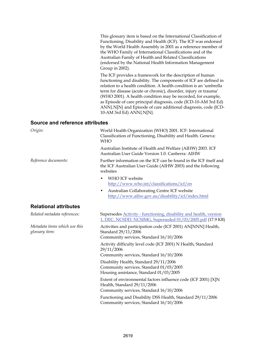This glossary item is based on the International Classification of Functioning, Disability and Health (ICF). The ICF was endorsed by the World Health Assembly in 2001 as a reference member of the WHO Family of International Classifications and of the Australian Family of Health and Related Classifications (endorsed by the National Health Information Management Group in 2002).

The ICF provides a framework for the description of human functioning and disability. The components of ICF are defined in relation to a health condition. A health condition is an 'umbrella term for disease (acute or chronic), disorder, injury or trauma' (WHO 2001). A health condition may be recorded, for example, as Episode of care principal diagnosis, code (ICD-10-AM 3rd Ed) ANN{.N[N} and Episode of care additional diagnosis, code (ICD-10-AM 3rd Ed) ANN{.N[N}.

#### **Source and reference attributes**

| Origin:                                         | World Health Organization (WHO) 2001. ICF: International<br>Classification of Functioning, Disability and Health. Geneva:<br><b>WHO</b>      |
|-------------------------------------------------|----------------------------------------------------------------------------------------------------------------------------------------------|
|                                                 | Australian Institute of Health and Welfare (AIHW) 2003. ICF<br>Australian User Guide Version 1.0. Canberra: AIHW                             |
| Reference documents:                            | Further information on the ICF can be found in the ICF itself and<br>the ICF Australian User Guide (AIHW 2003) and the following<br>websites |
|                                                 | WHO ICF website<br>http://www.who.int/classifications/icf/en                                                                                 |
|                                                 | Australian Collaborating Centre ICF website<br>٠<br>http://www.aihw.gov.au/disability/icf/index.html                                         |
| <b>Relational attributes</b>                    |                                                                                                                                              |
| Related metadata references:                    | Supersedes Activity - functioning, disability and health, version<br>1, DEC, NCSDD, NCSIMG, Superseded 01/03/2005.pdf (17.9 KB)              |
| Metadata items which use this<br>glossary item: | Activities and participation code (ICF 2001) AN[NNN] Health,<br>Standard 29/11/2006                                                          |
|                                                 | Community services, Standard 16/10/2006                                                                                                      |
|                                                 | Activity difficulty level code (ICF 2001) N Health, Standard<br>29/11/2006                                                                   |
|                                                 | Community services, Standard 16/10/2006                                                                                                      |
|                                                 | Disability Health, Standard 29/11/2006<br>Community services, Standard 01/03/2005<br>Housing assistance, Standard 01/03/2005                 |
|                                                 | Extent of environmental factors influence code (ICF 2001) [X]N<br>Health, Standard 29/11/2006<br>Community services, Standard 16/10/2006     |
|                                                 | Functioning and Disability DSS Health, Standard 29/11/2006<br>Community services, Standard 16/10/2006                                        |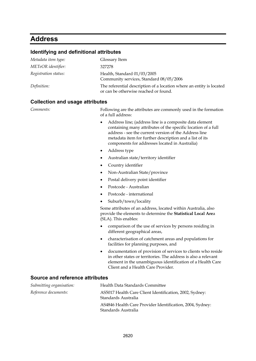### **Address**

#### **Identifying and definitional attributes**

| Metadata item type:  | Glossary Item                                                                                                 |
|----------------------|---------------------------------------------------------------------------------------------------------------|
| METeOR identifier:   | 327278                                                                                                        |
| Registration status: | Health, Standard 01/03/2005<br>Community services, Standard 08/05/2006                                        |
| Definition:          | The referential description of a location where an entity is located<br>or can be otherwise reached or found. |

#### **Collection and usage attributes**

*Comments:* Following are the attributes are commonly used in the formation of a full address:

- Address line; (address line is a composite data element containing many attributes of the specific location of a full address - see the current version of the Address line metadata item for further description and a list of its components for addresses located in Australia)
- Address type
- Australian state/territory identifier
- Country identifier
- Non-Australian State/province
- Postal delivery point identifier
- Postcode Australian
- Postcode international
- Suburb/town/locality

Some attributes of an address, located within Australia, also provide the elements to determine the **Statistical Local Are**a (SLA). This enables:

- comparison of the use of services by persons residing in different geographical areas,
- characterisation of catchment areas and populations for facilities for planning purposes, and
- documentation of provision of services to clients who reside in other states or territories. The address is also a relevant element in the unambiguous identification of a Health Care Client and a Health Care Provider.

#### **Source and reference attributes**

| Submitting organisation: | Health Data Standards Committee                                                  |
|--------------------------|----------------------------------------------------------------------------------|
| Reference documents:     | AS5017 Health Care Client Identification, 2002, Sydney:<br>Standards Australia   |
|                          | AS4846 Health Care Provider Identification, 2004, Sydney:<br>Standards Australia |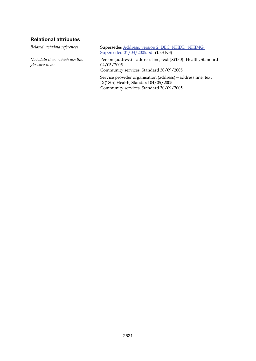#### **Relational attributes**

*Metadata items which use this glossary item:*

*Related metadata references:* Supersedes [Address, version 2, DEC, NHDD, NHIMG,](http://meteor.aihw.gov.au/content/item.phtml?itemId=274124&nodeId=file41fd7327eb1cb&fn=Address,%20version%202,%20DEC,%20NHDD,%20NHIMG,%20Superseded%2001/03/2005.pdf)  [Superseded 01/03/2005.pdf](http://meteor.aihw.gov.au/content/item.phtml?itemId=274124&nodeId=file41fd7327eb1cb&fn=Address,%20version%202,%20DEC,%20NHDD,%20NHIMG,%20Superseded%2001/03/2005.pdf) (15.3 KB)

> Person (address)—address line, text [X(180)] Health, Standard 04/05/2005

Community services, Standard 30/09/2005

Service provider organisation (address)—address line, text [X(180)] Health, Standard 04/05/2005 Community services, Standard 30/09/2005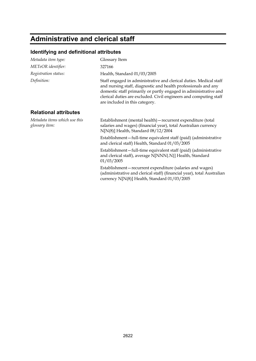# **Administrative and clerical staff**

| Metadata item type:                             | Glossary Item                                                                                                                                                                                                                                                                                                   |
|-------------------------------------------------|-----------------------------------------------------------------------------------------------------------------------------------------------------------------------------------------------------------------------------------------------------------------------------------------------------------------|
| METeOR identifier:                              | 327166                                                                                                                                                                                                                                                                                                          |
| Registration status:                            | Health, Standard 01/03/2005                                                                                                                                                                                                                                                                                     |
| Definition:                                     | Staff engaged in administrative and clerical duties. Medical staff<br>and nursing staff, diagnostic and health professionals and any<br>domestic staff primarily or partly engaged in administrative and<br>clerical duties are excluded. Civil engineers and computing staff<br>are included in this category. |
| <b>Relational attributes</b>                    |                                                                                                                                                                                                                                                                                                                 |
| Metadata items which use this<br>glossary item: | Establishment (mental health) - recurrent expenditure (total<br>salaries and wages) (financial year), total Australian currency<br>$N[N(8)]$ Health, Standard $08/12/2004$                                                                                                                                      |
|                                                 | Establishment-full-time equivalent staff (paid) (administrative<br>and clerical staff) Health, Standard 01/03/2005                                                                                                                                                                                              |
|                                                 | Establishment-full-time equivalent staff (paid) (administrative<br>and clerical staff), average N[NNN{.N}] Health, Standard<br>01/03/2005                                                                                                                                                                       |
|                                                 | Establishment – recurrent expenditure (salaries and wages)<br>(administrative and clerical staff) (financial year), total Australian<br>currency N[N(8)] Health, Standard 01/03/2005                                                                                                                            |
|                                                 |                                                                                                                                                                                                                                                                                                                 |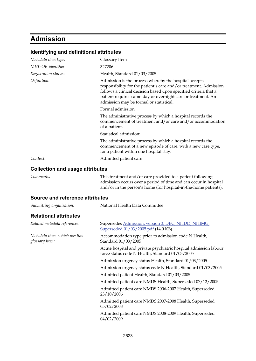# **Admission**

| Identifying and definitional attributes         |                                                                                                                                                                                                                                                                                                           |
|-------------------------------------------------|-----------------------------------------------------------------------------------------------------------------------------------------------------------------------------------------------------------------------------------------------------------------------------------------------------------|
| Metadata item type:                             | Glossary Item                                                                                                                                                                                                                                                                                             |
| METeOR identifier:                              | 327206                                                                                                                                                                                                                                                                                                    |
| Registration status:                            | Health, Standard 01/03/2005                                                                                                                                                                                                                                                                               |
| Definition:                                     | Admission is the process whereby the hospital accepts<br>responsibility for the patient's care and/or treatment. Admission<br>follows a clinical decision based upon specified criteria that a<br>patient requires same-day or overnight care or treatment. An<br>admission may be formal or statistical. |
|                                                 | Formal admission:                                                                                                                                                                                                                                                                                         |
|                                                 | The administrative process by which a hospital records the<br>commencement of treatment and/or care and/or accommodation<br>of a patient.                                                                                                                                                                 |
|                                                 | Statistical admission:                                                                                                                                                                                                                                                                                    |
|                                                 | The administrative process by which a hospital records the<br>commencement of a new episode of care, with a new care type,<br>for a patient within one hospital stay.                                                                                                                                     |
| Context:                                        | Admitted patient care                                                                                                                                                                                                                                                                                     |
| <b>Collection and usage attributes</b>          |                                                                                                                                                                                                                                                                                                           |
| Comments:                                       | This treatment and/or care provided to a patient following<br>admission occurs over a period of time and can occur in hospital<br>and/or in the person's home (for hospital-in-the-home patients).                                                                                                        |
| <b>Source and reference attributes</b>          |                                                                                                                                                                                                                                                                                                           |
| Submitting organisation:                        | National Health Data Committee                                                                                                                                                                                                                                                                            |
| <b>Relational attributes</b>                    |                                                                                                                                                                                                                                                                                                           |
| Related metadata references:                    | Supersedes Admission, version 3, DEC, NHDD, NHIMG,<br>Superseded 01/03/2005.pdf (14.0 KB)                                                                                                                                                                                                                 |
| Metadata items which use this<br>glossary item: | Accommodation type prior to admission code N Health,<br>Standard 01/03/2005                                                                                                                                                                                                                               |
|                                                 | Acute hospital and private psychiatric hospital admission labour<br>force status code N Health, Standard 01/03/2005                                                                                                                                                                                       |
|                                                 | Admission urgency status Health, Standard 01/03/2005                                                                                                                                                                                                                                                      |
|                                                 | Admission urgency status code N Health, Standard 01/03/2005                                                                                                                                                                                                                                               |
|                                                 | Admitted patient Health, Standard 01/03/2005                                                                                                                                                                                                                                                              |
|                                                 | Admitted patient care NMDS Health, Superseded 07/12/2005                                                                                                                                                                                                                                                  |
|                                                 | Admitted patient care NMDS 2006-2007 Health, Superseded<br>23/10/2006                                                                                                                                                                                                                                     |
|                                                 | Admitted patient care NMDS 2007-2008 Health, Superseded<br>05/02/2008                                                                                                                                                                                                                                     |
|                                                 | Admitted patient care NMDS 2008-2009 Health, Superseded                                                                                                                                                                                                                                                   |

04/02/2009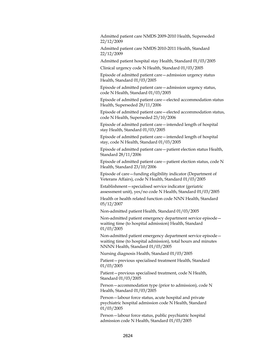Admitted patient care NMDS 2009-2010 Health, Superseded 22/12/2009

Admitted patient care NMDS 2010-2011 Health, Standard 22/12/2009

Admitted patient hospital stay Health, Standard 01/03/2005

Clinical urgency code N Health, Standard 01/03/2005

Episode of admitted patient care—admission urgency status Health, Standard 01/03/2005

Episode of admitted patient care—admission urgency status, code N Health, Standard 01/03/2005

Episode of admitted patient care—elected accommodation status Health, Superseded 28/11/2006

Episode of admitted patient care—elected accommodation status, code N Health, Superseded 23/10/2006

Episode of admitted patient care—intended length of hospital stay Health, Standard 01/03/2005

Episode of admitted patient care—intended length of hospital stay, code N Health, Standard 01/03/2005

Episode of admitted patient care—patient election status Health, Standard 28/11/2006

Episode of admitted patient care—patient election status, code N Health, Standard 23/10/2006

Episode of care—funding eligibility indicator (Department of Veterans Affairs), code N Health, Standard 01/03/2005

Establishment—specialised service indicator (geriatric assessment unit), yes/no code N Health, Standard 01/03/2005

Health or health related function code NNN Health, Standard 05/12/2007

Non-admitted patient Health, Standard 01/03/2005

Non-admitted patient emergency department service episode waiting time (to hospital admission) Health, Standard 01/03/2005

Non-admitted patient emergency department service episode waiting time (to hospital admission), total hours and minutes NNNN Health, Standard 01/03/2005

Nursing diagnosis Health, Standard 01/03/2005

Patient—previous specialised treatment Health, Standard 01/03/2005

Patient—previous specialised treatment, code N Health, Standard 01/03/2005

Person—accommodation type (prior to admission), code N Health, Standard 01/03/2005

Person—labour force status, acute hospital and private psychiatric hospital admission code N Health, Standard 01/03/2005

Person—labour force status, public psychiatric hospital admission code N Health, Standard 01/03/2005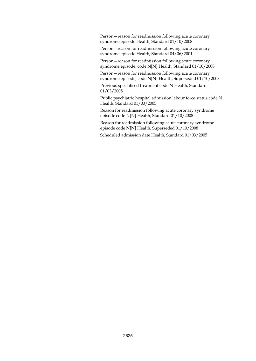Person—reason for readmission following acute coronary syndrome episode Health, Standard 01/10/2008

Person—reason for readmission following acute coronary syndrome episode Health, Standard 04/06/2004

Person—reason for readmission following acute coronary syndrome episode, code N[N] Health, Standard 01/10/2008

Person—reason for readmission following acute coronary syndrome episode, code N[N] Health, Superseded 01/10/2008

Previous specialised treatment code N Health, Standard 01/03/2005

Public psychiatric hospital admission labour force status code N Health, Standard 01/03/2005

Reason for readmission following acute coronary syndrome episode code N[N] Health, Standard 01/10/2008

Reason for readmission following acute coronary syndrome episode code N[N] Health, Superseded 01/10/2008

Scheduled admission date Health, Standard 01/03/2005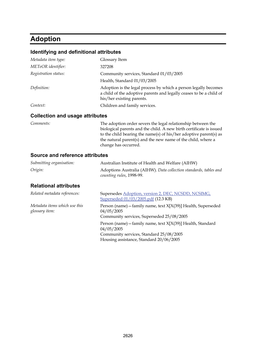## **Adoption**

#### **Identifying and definitional attributes**

| Metadata item type:             | Glossary Item                                                                                                                                                       |
|---------------------------------|---------------------------------------------------------------------------------------------------------------------------------------------------------------------|
| METeOR identifier:              | 327208                                                                                                                                                              |
| Registration status:            | Community services, Standard 01/03/2005                                                                                                                             |
|                                 | Health, Standard 01/03/2005                                                                                                                                         |
| Definition:                     | Adoption is the legal process by which a person legally becomes<br>a child of the adoptive parents and legally ceases to be a child of<br>his/her existing parents. |
| Context:                        | Children and family services.                                                                                                                                       |
| Collection and usage attributes |                                                                                                                                                                     |

#### **Collection and usage attributes**

*Comments:* The adoption order severs the legal relationship between the biological parents and the child. A new birth certificate is issued to the child bearing the name(s) of his/her adoptive parent(s) as the natural parent(s) and the new name of the child, where a change has occurred.

#### **Source and reference attributes**

| Submitting organisation:                        | Australian Institute of Health and Welfare (AIHW)                                                                        |
|-------------------------------------------------|--------------------------------------------------------------------------------------------------------------------------|
| Origin:                                         | Adoptions Australia (AIHW). Data collection standards, tables and<br>counting rules, 1998-99.                            |
| <b>Relational attributes</b>                    |                                                                                                                          |
| Related metadata references:                    | Supersedes Adoption, version 2, DEC, NCSDD, NCSIMG,<br>Superseded 01/03/2005.pdf (12.3 KB)                               |
| Metadata items which use this<br>glossary item: | Person (name) - family name, text X[X(39)] Health, Superseded<br>04/05/2005<br>Community services, Superseded 25/08/2005 |
|                                                 | Person (name) - family name, text X[X(39)] Health, Standard<br>04/05/2005<br>Community services, Standard 25/08/2005     |

Housing assistance, Standard 20/06/2005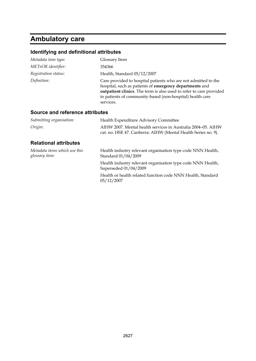# **Ambulatory care**

| Identifying and definitional attributes         |                                                                                                                                                                                                                                                                            |
|-------------------------------------------------|----------------------------------------------------------------------------------------------------------------------------------------------------------------------------------------------------------------------------------------------------------------------------|
| Metadata item type:                             | Glossary Item                                                                                                                                                                                                                                                              |
| METeOR identifier:                              | 354366                                                                                                                                                                                                                                                                     |
| Registration status:                            | Health, Standard 05/12/2007                                                                                                                                                                                                                                                |
| Definition:                                     | Care provided to hospital patients who are not admitted to the<br>hospital, such as patients of emergency departments and<br>outpatient clinics. The term is also used to refer to care provided<br>to patients of community-based (non-hospital) health care<br>services. |
| Source and reference attributes                 |                                                                                                                                                                                                                                                                            |
| Submitting organisation:                        | Health Expenditure Advisory Committee                                                                                                                                                                                                                                      |
| Origin:                                         | AIHW 2007. Mental health services in Australia 2004–05. AIHW<br>cat. no. HSE 47. Canberra: AIHW (Mental Health Series no. 9).                                                                                                                                              |
| <b>Relational attributes</b>                    |                                                                                                                                                                                                                                                                            |
| Metadata items which use this<br>glossary item: | Health industry relevant organisation type code NNN Health,<br>Standard 01/04/2009                                                                                                                                                                                         |
|                                                 | Health industry relevant organisation type code NNN Health,<br>Superseded 01/04/2009                                                                                                                                                                                       |
|                                                 | Health or health related function code NNN Health, Standard<br>05/12/2007                                                                                                                                                                                                  |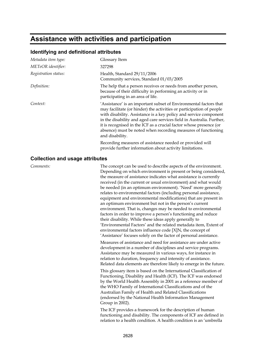### **Assistance with activities and participation**

#### **Identifying and definitional attributes**

| Metadata item type:  | Glossary Item                                                                                                                                                                                                                                                                                                                                                                                                                                     |
|----------------------|---------------------------------------------------------------------------------------------------------------------------------------------------------------------------------------------------------------------------------------------------------------------------------------------------------------------------------------------------------------------------------------------------------------------------------------------------|
| METeOR identifier:   | 327298                                                                                                                                                                                                                                                                                                                                                                                                                                            |
| Registration status: | Health, Standard 29/11/2006<br>Community services, Standard 01/03/2005                                                                                                                                                                                                                                                                                                                                                                            |
| Definition:          | The help that a person receives or needs from another person,<br>because of their difficulty in performing an activity or in<br>participating in an area of life.                                                                                                                                                                                                                                                                                 |
| Context:             | 'Assistance' is an important subset of Environmental factors that<br>may facilitate (or hinder) the activities or participation of people<br>with disability. Assistance is a key policy and service component<br>in the disability and aged care services field in Australia. Further,<br>it is recognised in the ICF as a crucial factor whose presence (or<br>absence) must be noted when recording measures of functioning<br>and disability. |
|                      | Recording measures of assistance needed or provided will<br>provide further information about activity limitations.                                                                                                                                                                                                                                                                                                                               |

#### **Collection and usage attributes**

*Comments:* The concept can be used to describe aspects of the environment. Depending on which environment is present or being considered, the measure of assistance indicates what assistance is currently received (in the current or usual environment) and what would be needed (in an optimum environment). 'Need' more generally relates to environmental factors (including personal assistance, equipment and environmental modifications) that are present in an optimum environment but not in the person's current environment. That is, changes may be needed to environmental factors in order to improve a person's functioning and reduce their disability. While these ideas apply generally to 'Environmental Factors' and the related metadata item, Extent of environmental factors influence code [X]N, the concept of 'Assistance' focuses solely on the factor of personal assistance.

> Measures of assistance and need for assistance are under active development in a number of disciplines and service programs. Assistance may be measured in various ways, for instance in relation to duration, frequency and intensity of assistance. Related data elements are therefore likely to emerge in the future.

This glossary item is based on the International Classification of Functioning, Disability and Health (ICF). The ICF was endorsed by the World Health Assembly in 2001 as a reference member of the WHO Family of International Classifications and of the Australian Family of Health and Related Classifications (endorsed by the National Health Information Management Group in 2002).

The ICF provides a framework for the description of human functioning and disability. The components of ICF are defined in relation to a health condition. A health condition is an 'umbrella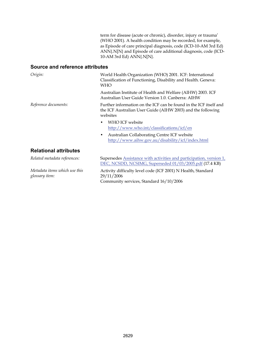term for disease (acute or chronic), disorder, injury or trauma' (WHO 2001). A health condition may be recorded, for example, as Episode of care principal diagnosis, code (ICD-10-AM 3rd Ed) ANN{.N[N} and Episode of care additional diagnosis, code (ICD-10-AM 3rd Ed) ANN{.N[N}.

#### **Source and reference attributes**

| Origin:                                         | World Health Organization (WHO) 2001. ICF: International<br>Classification of Functioning, Disability and Health. Geneva:<br><b>WHO</b>      |
|-------------------------------------------------|----------------------------------------------------------------------------------------------------------------------------------------------|
|                                                 | Australian Institute of Health and Welfare (AIHW) 2003. ICF<br>Australian User Guide Version 1.0. Canberra: AIHW                             |
| Reference documents:                            | Further information on the ICF can be found in the ICF itself and<br>the ICF Australian User Guide (AIHW 2003) and the following<br>websites |
|                                                 | WHO ICF website<br>$\bullet$<br>http://www.who.int/classifications/icf/en                                                                    |
|                                                 | Australian Collaborating Centre ICF website<br>٠<br>http://www.aihw.gov.au/disability/icf/index.html                                         |
| <b>Relational attributes</b>                    |                                                                                                                                              |
| Related metadata references:                    | Supersedes Assistance with activities and participation, version 1,<br>DEC, NCSDD, NCSIMG, Superseded 01/03/2005.pdf (17.4 KB)               |
| Metadata items which use this<br>glossary item: | Activity difficulty level code (ICF 2001) N Health, Standard<br>29/11/2006                                                                   |

Community services, Standard 16/10/2006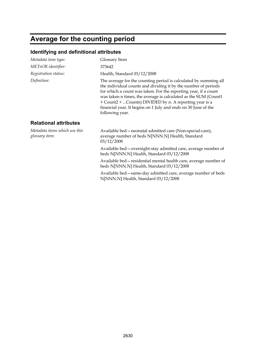# **Average for the counting period**

| Metadata item type:                             | Glossary Item                                                                                                                                                                                                                                                                                                                                                                                                           |
|-------------------------------------------------|-------------------------------------------------------------------------------------------------------------------------------------------------------------------------------------------------------------------------------------------------------------------------------------------------------------------------------------------------------------------------------------------------------------------------|
| METeOR identifier:                              | 373642                                                                                                                                                                                                                                                                                                                                                                                                                  |
| Registration status:                            | Health, Standard 03/12/2008                                                                                                                                                                                                                                                                                                                                                                                             |
| Definition:                                     | The average for the counting period is calculated by summing all<br>the individual counts and dividing it by the number of periods<br>for which a count was taken. For the reporting year, if a count<br>was taken n times, the average is calculated as the SUM (Count1<br>+ Count2 + Countn) DIVIDED by n. A reporting year is a<br>financial year. It begins on 1 July and ends on 30 June of the<br>following year. |
| <b>Relational attributes</b>                    |                                                                                                                                                                                                                                                                                                                                                                                                                         |
| Metadata items which use this<br>glossary item: | Available bed - neonatal admitted care (Non-special-care),<br>average number of beds N[NNN.N] Health, Standard<br>03/12/2008                                                                                                                                                                                                                                                                                            |
|                                                 | Available bed - overnight-stay admitted care, average number of<br>beds N[NNN.N] Health, Standard 03/12/2008                                                                                                                                                                                                                                                                                                            |
|                                                 | Available bed – residential mental health care, average number of<br>beds N[NNN.N] Health, Standard 03/12/2008                                                                                                                                                                                                                                                                                                          |
|                                                 | Available bed - same-day admitted care, average number of beds<br>N[NNN.N] Health, Standard 03/12/2008                                                                                                                                                                                                                                                                                                                  |
|                                                 |                                                                                                                                                                                                                                                                                                                                                                                                                         |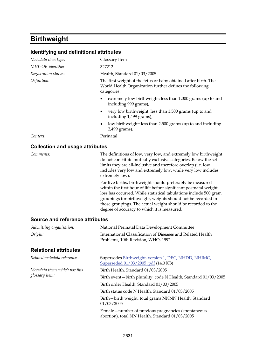# **Birthweight**

| Identifying and definitional attributes |                                                                                                                                                                                                                                                                                                                                                                                     |
|-----------------------------------------|-------------------------------------------------------------------------------------------------------------------------------------------------------------------------------------------------------------------------------------------------------------------------------------------------------------------------------------------------------------------------------------|
| Metadata item type:                     | Glossary Item                                                                                                                                                                                                                                                                                                                                                                       |
| METeOR identifier:                      | 327212                                                                                                                                                                                                                                                                                                                                                                              |
| Registration status:                    | Health, Standard 01/03/2005                                                                                                                                                                                                                                                                                                                                                         |
| Definition:                             | The first weight of the fetus or baby obtained after birth. The<br>World Health Organization further defines the following<br>categories:                                                                                                                                                                                                                                           |
|                                         | extremely low birthweight: less than 1,000 grams (up to and<br>٠<br>including 999 grams),                                                                                                                                                                                                                                                                                           |
|                                         | very low birthweight: less than 1,500 grams (up to and<br>٠<br>including 1,499 grams),                                                                                                                                                                                                                                                                                              |
|                                         | low birthweight: less than 2,500 grams (up to and including<br>٠<br>2,499 grams).                                                                                                                                                                                                                                                                                                   |
| Context:                                | Perinatal                                                                                                                                                                                                                                                                                                                                                                           |
| <b>Collection and usage attributes</b>  |                                                                                                                                                                                                                                                                                                                                                                                     |
| Comments:                               | The definitions of low, very low, and extremely low birthweight<br>do not constitute mutually exclusive categories. Below the set<br>limits they are all-inclusive and therefore overlap (i.e. low<br>includes very low and extremely low, while very low includes<br>extremely low).                                                                                               |
|                                         | For live births, birthweight should preferably be measured<br>within the first hour of life before significant postnatal weight<br>loss has occurred. While statistical tabulations include 500 gram<br>groupings for birthweight, weights should not be recorded in<br>those groupings. The actual weight should be recorded to the<br>degree of accuracy to which it is measured. |
| Source and reference attributes         |                                                                                                                                                                                                                                                                                                                                                                                     |
| Submitting organisation:                | National Perinatal Data Development Committee                                                                                                                                                                                                                                                                                                                                       |
| Origin:                                 | International Classification of Diseases and Related Health<br>Problems, 10th Revision, WHO, 1992                                                                                                                                                                                                                                                                                   |
| <b>Relational attributes</b>            |                                                                                                                                                                                                                                                                                                                                                                                     |
| Related metadata references:            | Supersedes Birthweight, version 1, DEC, NHDD, NHIMG,<br>Superseded 01/03/2005 .pdf (14.0 KB)                                                                                                                                                                                                                                                                                        |
| Metadata items which use this           | Birth Health, Standard 01/03/2005                                                                                                                                                                                                                                                                                                                                                   |
| glossary item:                          | Birth event-birth plurality, code N Health, Standard 01/03/2005                                                                                                                                                                                                                                                                                                                     |
|                                         | Birth order Health, Standard 01/03/2005                                                                                                                                                                                                                                                                                                                                             |
|                                         | Birth status code N Health, Standard 01/03/2005                                                                                                                                                                                                                                                                                                                                     |
|                                         | Birth-birth weight, total grams NNNN Health, Standard<br>01/03/2005                                                                                                                                                                                                                                                                                                                 |
|                                         | Female - number of previous pregnancies (spontaneous<br>abortion), total NN Health, Standard 01/03/2005                                                                                                                                                                                                                                                                             |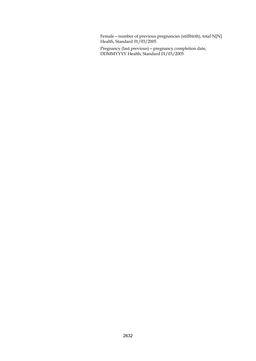Female—number of previous pregnancies (stillbirth), total N[N] Health, Standard 01/03/2005

Pregnancy (last previous)—pregnancy completion date, DDMMYYYY Health, Standard 01/03/2005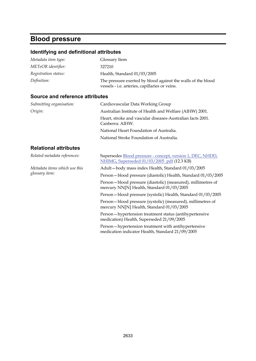## **Blood pressure**

### **Identifying and definitional attributes**

| Metadata item type:  | Glossary Item                                                                                                  |
|----------------------|----------------------------------------------------------------------------------------------------------------|
| METeOR identifier:   | 327210                                                                                                         |
| Registration status: | Health, Standard 01/03/2005                                                                                    |
| Definition:          | The pressure exerted by blood against the walls of the blood<br>vessels - i.e. arteries, capillaries or veins. |

#### **Source and reference attributes**

| Submitting organisation:      | Cardiovascular Data Working Group                                                                         |
|-------------------------------|-----------------------------------------------------------------------------------------------------------|
| Origin:                       | Australian Institute of Health and Welfare (AIHW) 2001.                                                   |
|                               | Heart, stroke and vascular diseases-Australian facts 2001.<br>Canberra: AIHW.                             |
|                               | National Heart Foundation of Australia.                                                                   |
|                               | National Stroke Foundation of Australia.                                                                  |
| <b>Relational attributes</b>  |                                                                                                           |
| Related metadata references:  | Supersedes Blood pressure - concept, version 1, DEC, NHDD,<br>NHIMG, Superseded 01/03/2005 .pdf (12.3 KB) |
| Metadata items which use this | Adult-body mass index Health, Standard 01/03/2005                                                         |
| glossary item:                | Person-blood pressure (diastolic) Health, Standard 01/03/2005                                             |
|                               | Person-blood pressure (diastolic) (measured), millimetres of<br>mercury NN[N] Health, Standard 01/03/2005 |
|                               | Person-blood pressure (systolic) Health, Standard 01/03/2005                                              |
|                               | Person-blood pressure (systolic) (measured), millimetres of<br>mercury NN[N] Health, Standard 01/03/2005  |
|                               | Person-hypertension treatment status (antihypertensive<br>medication) Health, Superseded 21/09/2005       |
|                               | Person-hypertension treatment with antihypertensive<br>medication indicator Health, Standard 21/09/2005   |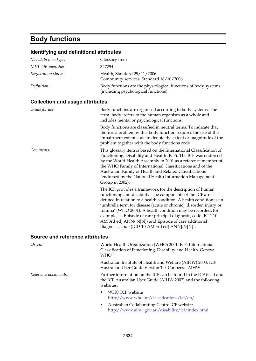### **Body functions**

#### **Identifying and definitional attributes**  *Metadata item type:* Glossary Item *METeOR identifier:* 327294 *Registration status:* Health, Standard 29/11/2006 Community services, Standard 16/10/2006 *Definition:* Body functions are the physiological functions of body systems (including psychological functions). **Collection and usage attributes**  *Guide for use:* Body functions are organised according to body systems. The term 'body' refers to the human organism as a whole and includes mental or psychological functions. Body functions are classified in neutral terms. To indicate that there is a problem with a body function requires the use of the impairment extent code to denote the extent or magnitude of the problem together with the body functions code *Comments:* This glossary item is based on the International Classification of Functioning, Disability and Health (ICF). The ICF was endorsed by the World Health Assembly in 2001 as a reference member of the WHO Family of International Classifications and of the Australian Family of Health and Related Classifications (endorsed by the National Health Information Management Group in 2002). The ICF provides a framework for the description of human functioning and disability. The components of the ICF are defined in relation to a health condition. A health condition is an 'umbrella term for disease (acute or chronic), disorder, injury or trauma' (WHO 2001). A health condition may be recorded, for example, as Episode of care principal diagnosis, code (ICD-10- AM 3rd ed) ANN{.N[N]} and Episode of care additional diagnosis, code (ICD-10-AM 3rd ed) ANN{.N[N]}. **Source and reference attributes**  *Origin:* World Health Organization (WHO) 2001. ICF: International Classification of Functioning, Disability and Health. Geneva: WHO Australian Institute of Health and Welfare (AIHW) 2003. ICF Australian User Guide Version 1.0. Canberra: AIHW *Reference documents:* Further information on the ICF can be found in the ICF itself and

the ICF Australian User Guide (AIHW 2003) and the following websites:

- WHO ICF website <http://www.who.int/classifications/icf/en/>
- Australian Collaborating Centre ICF website <http://www.aihw.gov.au/disability/icf/index.html>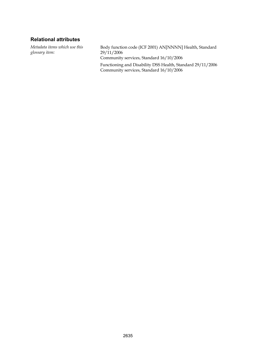#### **Relational attributes**

*Metadata items which use this glossary item:*

Body function code (ICF 2001) AN[NNNN] Health, Standard 29/11/2006 Community services, Standard 16/10/2006 Functioning and Disability DSS Health, Standard 29/11/2006 Community services, Standard 16/10/2006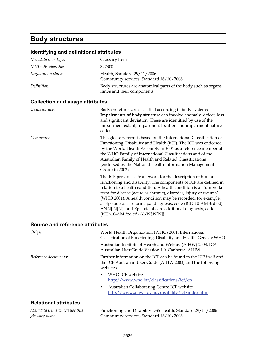### **Body structures**

#### **Identifying and definitional attributes**  *Metadata item type:* Glossary Item *METeOR identifier:* 327300 *Registration status:* Health, Standard 29/11/2006 Community services, Standard 16/10/2006 *Definition:* Body structures are anatomical parts of the body such as organs, limbs and their components. **Collection and usage attributes**  Guide for use: Body structures are classified according to body systems. **Impairments of body structure** can involve anomaly, defect, loss and significant deviation. These are identified by use of the impairment extent, impairment location and impairment nature codes. *Comments:* This glossary term is based on the International Classification of Functioning, Disability and Health (ICF). The ICF was endorsed by the World Health Assembly in 2001 as a reference member of the WHO Family of International Classifications and of the Australian Family of Health and Related Classifications (endorsed by the National Health Information Management Group in 2002). The ICF provides a framework for the description of human functioning and disability. The components of ICF are defined in relation to a health condition. A health condition is an 'umbrella term for disease (acute or chronic), disorder, injury or trauma' (WHO 2001). A health condition may be recorded, for example, as Episode of care principal diagnosis, code (ICD-10-AM 3rd ed) ANN{.N[N]} and Episode of care additional diagnosis, code (ICD-10-AM 3rd ed) ANN{.N[N]}. **Source and reference attributes**

| <b>Source and reference attributes</b> |                                                                                                                                              |
|----------------------------------------|----------------------------------------------------------------------------------------------------------------------------------------------|
| Origin:                                | World Health Organization (WHO) 2001. International<br>Classification of Functioning, Disability and Health. Geneva: WHO                     |
|                                        | Australian Institute of Health and Welfare (AIHW) 2003. ICF<br>Australian User Guide Version 1.0. Canberra: AIHW                             |
| Reference documents:                   | Further information on the ICF can be found in the ICF itself and<br>the ICF Australian User Guide (AIHW 2003) and the following<br>websites |
|                                        | WHO ICF website<br>٠<br>http://www.who.int/classifications/icf/en                                                                            |
|                                        | Australian Collaborating Centre ICF website<br>٠<br>http://www.aihw.gov.au/disability/icf/index.html                                         |
| <b>Relational attributes</b>           |                                                                                                                                              |
| Metadata items which use this          | Functioning and Disability DSS Health, Standard 29/11/2006                                                                                   |

*Metadata items which use this glossary item:*

Functioning and Disability DSS Health, Standard 29/11/2006 Community services, Standard 16/10/2006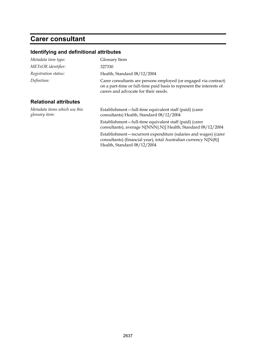## **Carer consultant**

| Metadata item type:                             | Glossary Item                                                                                                                                                                    |
|-------------------------------------------------|----------------------------------------------------------------------------------------------------------------------------------------------------------------------------------|
| METeOR identifier:                              | 327330                                                                                                                                                                           |
| Registration status:                            | Health, Standard 08/12/2004                                                                                                                                                      |
| Definition:                                     | Carer consultants are persons employed (or engaged via contract)<br>on a part-time or full-time paid basis to represent the interests of<br>carers and advocate for their needs. |
| <b>Relational attributes</b>                    |                                                                                                                                                                                  |
| Metadata items which use this<br>glossary item: | Establishment-full-time equivalent staff (paid) (carer<br>consultants) Health, Standard 08/12/2004                                                                               |
|                                                 | Establishment-full-time equivalent staff (paid) (carer<br>consultants), average N[NNN{.N}] Health, Standard 08/12/2004                                                           |
|                                                 | Establishment-recurrent expenditure (salaries and wages) (carer<br>consultants) (financial year), total Australian currency N[N(8)]<br>Health, Standard 08/12/2004               |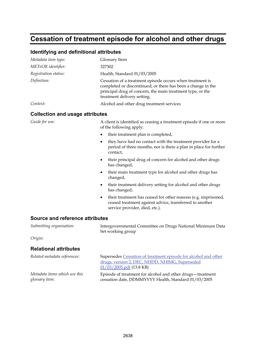### **Cessation of treatment episode for alcohol and other drugs**

#### **Identifying and definitional attributes**

| Glossary Item                                                                                                                                                                                                          |
|------------------------------------------------------------------------------------------------------------------------------------------------------------------------------------------------------------------------|
| 327302                                                                                                                                                                                                                 |
| Health, Standard 01/03/2005                                                                                                                                                                                            |
| Cessation of a treatment episode occurs when treatment is<br>completed or discontinued; or there has been a change in the<br>principal drug of concern, the main treatment type, or the<br>treatment delivery setting. |
| Alcohol and other drug treatment services                                                                                                                                                                              |
|                                                                                                                                                                                                                        |

#### **Collection and usage attributes**

Guide for use: A client is identified as ceasing a treatment episode if one or more of the following apply:

- their treatment plan is completed,
- they have had no contact with the treatment provider for a period of three months, nor is there a plan in place for further contact,
- their principal drug of concern for alcohol and other drugs has changed,
- their main treatment type for alcohol and other drugs has changed,
- their treatment delivery setting for alcohol and other drugs has changed,
- their treatment has ceased for other reasons (e.g. imprisoned, ceased treatment against advice, transferred to another service provider, died, etc.).

#### **Source and reference attributes**

| Submitting organisation:     | Intergovernmental Committee on Drugs National Minimum Data<br>Set working group |
|------------------------------|---------------------------------------------------------------------------------|
| Origin:                      |                                                                                 |
| <b>Relational attributes</b> |                                                                                 |
| Related metadata references: | Supersedes Cessation of treatment episode for alcohol and other                 |

| Retailed metadata references. | supersedes Cessation of treatment episode for alcohol and other |
|-------------------------------|-----------------------------------------------------------------|
|                               | drugs, version 2, DEC, NHDD, NHIMG, Superseded                  |
|                               | $01/03/2005$ .pdf (13.8 KB)                                     |
| Metadata items which use this | Episode of treatment for alcohol and other drugs – treatment    |
| glossary item:                | cessation date, DDMMYYYY Health, Standard 01/03/2005            |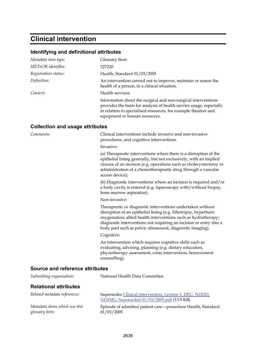### **Clinical intervention**

#### **Identifying and definitional attributes**

| Metadata item type:                    | Glossary Item                                                                                                                                                                                                                           |
|----------------------------------------|-----------------------------------------------------------------------------------------------------------------------------------------------------------------------------------------------------------------------------------------|
| METeOR identifier:                     | 327220                                                                                                                                                                                                                                  |
| Registration status:                   | Health, Standard 01/03/2005                                                                                                                                                                                                             |
| Definition:                            | An intervention carried out to improve, maintain or assess the<br>health of a person, in a clinical situation.                                                                                                                          |
| Context:                               | Health services:                                                                                                                                                                                                                        |
|                                        | Information about the surgical and non-surgical interventions<br>provides the basis for analysis of health service usage, especially<br>in relation to specialised resources, for example theatres and<br>equipment or human resources. |
| <b>Collection and usage attributes</b> |                                                                                                                                                                                                                                         |

*Comments:* Clinical interventions include invasive and non-invasive procedures, and cognitive interventions.

Invasive:

(a) Therapeutic interventions where there is a disruption of the epithelial lining generally, but not exclusively, with an implied closure of an incision (e.g. operations such as cholecystectomy or administration of a chemotherapeutic drug through a vascular access device);

(b) Diagnostic interventions where an incision is required and/or a body cavity is entered (e.g. laparoscopy with/without biopsy, bone marrow aspiration).

Non-invasive:

Therapeutic or diagnostic interventions undertaken without disruption of an epithelial lining (e.g. lithotripsy, hyperbaric oxygenation; allied health interventions such as hydrotherapy; diagnostic interventions not requiring an incision or entry into a body part such as pelvic ultrasound, diagnostic imaging).

Cognitive:

An intervention which requires cognitive skills such as evaluating, advising, planning (e.g. dietary education, physiotherapy assessment, crisis intervention, bereavement counselling).

#### **Source and reference attributes**

| Submitting organisation:                        | National Health Data Committee.                                                                       |
|-------------------------------------------------|-------------------------------------------------------------------------------------------------------|
| <b>Relational attributes</b>                    |                                                                                                       |
| Related metadata references:                    | Supersedes Clinical intervention, version 1, DEC, NHDD,<br>NHIMG, Superseded 01/03/2005.pdf (13.9 KB) |
| Metadata items which use this<br>glossary item: | Episode of admitted patient care - procedure Health, Standard<br>01/03/2005                           |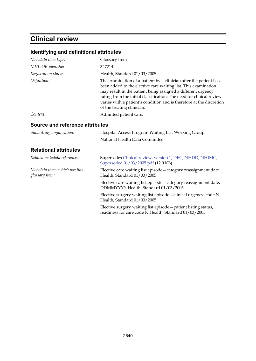## **Clinical review**

| identifying and definitional attributes                                                                                                                                                                                                                                                                                                                                           |
|-----------------------------------------------------------------------------------------------------------------------------------------------------------------------------------------------------------------------------------------------------------------------------------------------------------------------------------------------------------------------------------|
| Glossary Item                                                                                                                                                                                                                                                                                                                                                                     |
| 327214                                                                                                                                                                                                                                                                                                                                                                            |
| Health, Standard 01/03/2005                                                                                                                                                                                                                                                                                                                                                       |
| The examination of a patient by a clinician after the patient has<br>been added to the elective care waiting list. This examination<br>may result in the patient being assigned a different urgency<br>rating from the initial classification. The need for clinical review<br>varies with a patient's condition and is therefore at the discretion<br>of the treating clinician. |
| Admitted patient care.                                                                                                                                                                                                                                                                                                                                                            |
| Source and reference attributes                                                                                                                                                                                                                                                                                                                                                   |
| Hospital Access Program Waiting List Working Group                                                                                                                                                                                                                                                                                                                                |
| National Health Data Committee                                                                                                                                                                                                                                                                                                                                                    |
|                                                                                                                                                                                                                                                                                                                                                                                   |
| Supersedes Clinical review, version 1, DEC, NHDD, NHIMG,<br>Superseded 01/03/2005.pdf (12.0 KB)                                                                                                                                                                                                                                                                                   |
| Elective care waiting list episode - category reassignment date<br>Health, Standard 01/03/2005                                                                                                                                                                                                                                                                                    |
| Elective care waiting list episode - category reassignment date,<br>DDMMYYYY Health, Standard 01/03/2005                                                                                                                                                                                                                                                                          |
| Elective surgery waiting list episode-clinical urgency, code N<br>Health, Standard 01/03/2005                                                                                                                                                                                                                                                                                     |
| Elective surgery waiting list episode - patient listing status,<br>readiness for care code N Health, Standard 01/03/2005                                                                                                                                                                                                                                                          |
|                                                                                                                                                                                                                                                                                                                                                                                   |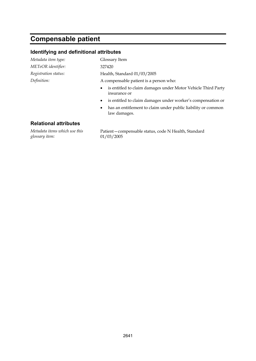### **Compensable patient**

#### **Identifying and definitional attributes**

*Metadata item type:* Glossary Item *METeOR identifier:* 327420

*Registration status:* Health, Standard 01/03/2005

*Definition:* A compensable patient is a person who:

- is entitled to claim damages under Motor Vehicle Third Party insurance or
- is entitled to claim damages under worker's compensation or
- has an entitlement to claim under public liability or common law damages.

#### **Relational attributes**

*Metadata items which use this glossary item:*

Patient—compensable status, code N Health, Standard 01/03/2005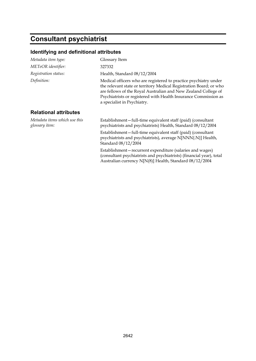# **Consultant psychiatrist**

| Metadata item type:                             | Glossary Item                                                                                                                                                                                                                                                                                              |
|-------------------------------------------------|------------------------------------------------------------------------------------------------------------------------------------------------------------------------------------------------------------------------------------------------------------------------------------------------------------|
| METeOR identifier:                              | 327332                                                                                                                                                                                                                                                                                                     |
| Registration status:                            | Health, Standard 08/12/2004                                                                                                                                                                                                                                                                                |
| Definition:                                     | Medical officers who are registered to practice psychiatry under<br>the relevant state or territory Medical Registration Board; or who<br>are fellows of the Royal Australian and New Zealand College of<br>Psychiatrists or registered with Health Insurance Commission as<br>a specialist in Psychiatry. |
| <b>Relational attributes</b>                    |                                                                                                                                                                                                                                                                                                            |
| Metadata items which use this<br>glossary item: | Establishment-full-time equivalent staff (paid) (consultant<br>psychiatrists and psychiatrists) Health, Standard 08/12/2004                                                                                                                                                                                |
|                                                 | Establishment-full-time equivalent staff (paid) (consultant<br>psychiatrists and psychiatrists), average N[NNN{.N}] Health,<br>Standard 08/12/2004                                                                                                                                                         |
|                                                 | Establishment-recurrent expenditure (salaries and wages)<br>(consultant psychiatrists and psychiatrists) (financial year), total<br>Australian currency N[N(8)] Health, Standard 08/12/2004                                                                                                                |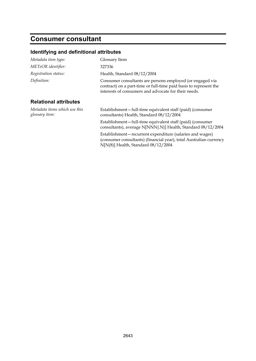## **Consumer consultant**

| Metadata item type:                             | Glossary Item                                                                                                                                                                          |
|-------------------------------------------------|----------------------------------------------------------------------------------------------------------------------------------------------------------------------------------------|
| METeOR identifier:                              | 327336                                                                                                                                                                                 |
| Registration status:                            | Health, Standard 08/12/2004                                                                                                                                                            |
| Definition:                                     | Consumer consultants are persons employed (or engaged via<br>contract) on a part-time or full-time paid basis to represent the<br>interests of consumers and advocate for their needs. |
| <b>Relational attributes</b>                    |                                                                                                                                                                                        |
| Metadata items which use this<br>glossary item: | Establishment-full-time equivalent staff (paid) (consumer<br>consultants) Health, Standard 08/12/2004                                                                                  |
|                                                 | Establishment-full-time equivalent staff (paid) (consumer<br>consultants), average N[NNN{.N}] Health, Standard 08/12/2004                                                              |
|                                                 | Establishment-recurrent expenditure (salaries and wages)<br>(consumer consultants) (financial year), total Australian currency<br>$N[N(8)]$ Health, Standard $08/12/2004$              |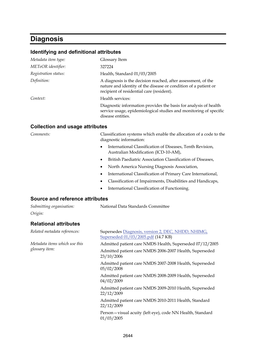### **Diagnosis**

#### **Identifying and definitional attributes**

| Metadata item type:  | Glossary Item                                                                                                                                                                 |
|----------------------|-------------------------------------------------------------------------------------------------------------------------------------------------------------------------------|
| METeOR identifier:   | 327224                                                                                                                                                                        |
| Registration status: | Health, Standard 01/03/2005                                                                                                                                                   |
| Definition:          | A diagnosis is the decision reached, after assessment, of the<br>nature and identity of the disease or condition of a patient or<br>recipient of residential care (resident). |
| Context:             | Health services:                                                                                                                                                              |
|                      | Diagnostic information provides the basis for analysis of health<br>service usage, epidemiological studies and monitoring of specific<br>disease entities.                    |

#### **Collection and usage attributes**

*Comments:* Classification systems which enable the allocation of a code to the diagnostic information:

- International Classification of Diseases, Tenth Revision, Australian Modification (ICD-10-AM),
- British Paediatric Association Classification of Diseases,
- North America Nursing Diagnosis Association,
- International Classification of Primary Care International,
- Classification of Impairments, Disabilities and Handicaps,
- International Classification of Functioning.

#### **Source and reference attributes**

| Submitting organisation: | National Data Standards Committee |
|--------------------------|-----------------------------------|
| Origin:                  |                                   |
| .                        |                                   |

#### **Relational attributes**

| Related metadata references:                    | Supersedes Diagnosis, version 2, DEC, NHDD, NHIMG,<br>Superseded 01/03/2005.pdf (14.7 KB) |
|-------------------------------------------------|-------------------------------------------------------------------------------------------|
| Metadata items which use this<br>glossary item: | Admitted patient care NMDS Health, Superseded 07/12/2005                                  |
|                                                 | Admitted patient care NMDS 2006-2007 Health, Superseded<br>23/10/2006                     |
|                                                 | Admitted patient care NMDS 2007-2008 Health, Superseded<br>05/02/2008                     |
|                                                 | Admitted patient care NMDS 2008-2009 Health, Superseded<br>04/02/2009                     |
|                                                 | Admitted patient care NMDS 2009-2010 Health, Superseded<br>22/12/2009                     |
|                                                 | Admitted patient care NMDS 2010-2011 Health, Standard<br>22/12/2009                       |
|                                                 | Person-visual acuity (left eye), code NN Health, Standard<br>01/03/2005                   |
|                                                 |                                                                                           |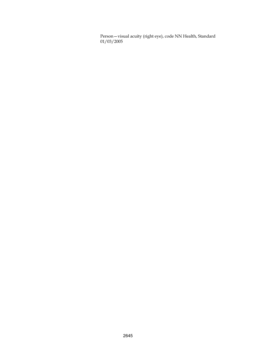Person—visual acuity (right eye), code NN Health, Standard 01/03/2005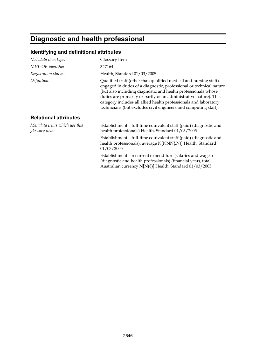# **Diagnostic and health professional**

| Metadata item type:                             | Glossary Item                                                                                                                                                                                                                                                                                                                                                                                                        |
|-------------------------------------------------|----------------------------------------------------------------------------------------------------------------------------------------------------------------------------------------------------------------------------------------------------------------------------------------------------------------------------------------------------------------------------------------------------------------------|
| METeOR identifier:                              | 327164                                                                                                                                                                                                                                                                                                                                                                                                               |
| Registration status:                            | Health, Standard 01/03/2005                                                                                                                                                                                                                                                                                                                                                                                          |
| Definition:                                     | Qualified staff (other than qualified medical and nursing staff)<br>engaged in duties of a diagnostic, professional or technical nature<br>(but also including diagnostic and health professionals whose<br>duties are primarily or partly of an administrative nature). This<br>category includes all allied health professionals and laboratory<br>technicians (but excludes civil engineers and computing staff). |
| <b>Relational attributes</b>                    |                                                                                                                                                                                                                                                                                                                                                                                                                      |
| Metadata items which use this<br>glossary item: | Establishment-full-time equivalent staff (paid) (diagnostic and<br>health professionals) Health, Standard 01/03/2005                                                                                                                                                                                                                                                                                                 |
|                                                 | Establishment-full-time equivalent staff (paid) (diagnostic and<br>health professionals), average N[NNN{.N}] Health, Standard<br>01/03/2005                                                                                                                                                                                                                                                                          |
|                                                 | Establishment – recurrent expenditure (salaries and wages)<br>(diagnostic and health professionals) (financial year), total<br>Australian currency N[N(8)] Health, Standard 01/03/2005                                                                                                                                                                                                                               |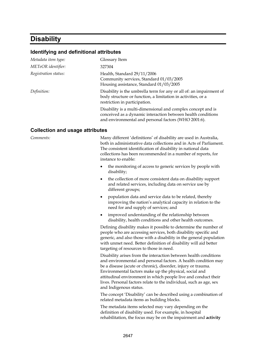### **Disability**

#### **Identifying and definitional attributes**

| Glossary Item                                                                                                                                                                        |
|--------------------------------------------------------------------------------------------------------------------------------------------------------------------------------------|
| 327304                                                                                                                                                                               |
| Health, Standard 29/11/2006<br>Community services, Standard 01/03/2005<br>Housing assistance, Standard 01/03/2005                                                                    |
| Disability is the umbrella term for any or all of: an impairment of<br>body structure or function, a limitation in activities, or a<br>restriction in participation.                 |
| Disability is a multi-dimensional and complex concept and is<br>conceived as a dynamic interaction between health conditions<br>and environmental and personal factors (WHO 2001:6). |
|                                                                                                                                                                                      |

#### **Collection and usage attributes**

*Comments:* Many different 'definitions' of disability are used in Australia, both in administrative data collections and in Acts of Parliament. The consistent identification of disability in national data collections has been recommended in a number of reports, for instance to enable:

- the monitoring of access to generic services by people with disability;
- the collection of more consistent data on disability support and related services, including data on service use by different groups;
- population data and service data to be related, thereby improving the nation's analytical capacity in relation to the need for and supply of services; and
- improved understanding of the relationship between disability, health conditions and other health outcomes.

Defining disability makes it possible to determine the number of people who are accessing services, both disability specific and generic, and also those with a disability in the general population with unmet need. Better definition of disability will aid better targeting of resources to those in need.

Disability arises from the interaction between health conditions and environmental and personal factors. A health condition may be a disease (acute or chronic), disorder, injury or trauma. Environmental factors make up the physical, social and attitudinal environment in which people live and conduct their lives. Personal factors relate to the individual, such as age, sex and Indigenous status.

The concept 'Disability' can be described using a combination of related metadata items as building blocks.

The metadata items selected may vary depending on the definition of disability used. For example, in hospital rehabilitation, the focus may be on the impairment and **activity**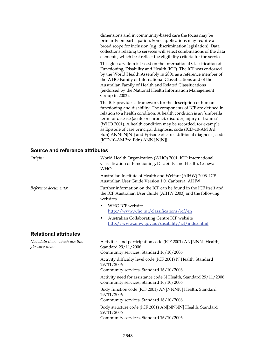dimensions and in community-based care the focus may be primarily on participation. Some applications may require a broad scope for inclusion (e.g. discrimination legislation). Data collections relating to services will select combinations of the data elements, which best reflect the eligibility criteria for the service.

This glossary item is based on the International Classification of Functioning, Disability and Health (ICF). The ICF was endorsed by the World Health Assembly in 2001 as a reference member of the WHO Family of International Classifications and of the Australian Family of Health and Related Classifications (endorsed by the National Health Information Management Group in 2002).

The ICF provides a framework for the description of human functioning and disability. The components of ICF are defined in relation to a health condition. A health condition is an 'umbrella term for disease (acute or chronic), disorder, injury or trauma' (WHO 2001). A health condition may be recorded, for example, as Episode of care principal diagnosis, code (ICD-10-AM 3rd Edn) ANN{.N[N]} and Episode of care additional diagnosis, code (ICD-10-AM 3rd Edn) ANN{.N[N]}.

#### **Source and reference attributes**

| Origin:                                         | World Health Organization (WHO) 2001. ICF: International<br>Classification of Functioning, Disability and Health. Geneva:<br><b>WHO</b>      |
|-------------------------------------------------|----------------------------------------------------------------------------------------------------------------------------------------------|
|                                                 | Australian Institute of Health and Welfare (AIHW) 2003. ICF<br>Australian User Guide Version 1.0. Canberra: AIHW                             |
| Reference documents:                            | Further information on the ICF can be found in the ICF itself and<br>the ICF Australian User Guide (AIHW 2003) and the following<br>websites |
|                                                 | WHO ICF website<br>٠<br>http://www.who.int/classifications/icf/en                                                                            |
|                                                 | Australian Collaborating Centre ICF website<br>٠<br>http://www.aihw.gov.au/disability/icf/index.html                                         |
| <b>Relational attributes</b>                    |                                                                                                                                              |
| Metadata items which use this<br>glossary item: | Activities and participation code (ICF 2001) AN[NNN] Health,<br>Standard 29/11/2006<br>Community services, Standard 16/10/2006               |
|                                                 | Activity difficulty level code (ICF 2001) N Health, Standard<br>29/11/2006<br>Community services, Standard 16/10/2006                        |
|                                                 | Activity need for assistance code N Health, Standard 29/11/2006<br>Community services, Standard 16/10/2006                                   |
|                                                 | Body function code (ICF 2001) AN[NNNN] Health, Standard<br>29/11/2006<br>Community services, Standard 16/10/2006                             |
|                                                 | Body structure code (ICF 2001) AN[NNNN] Health, Standard<br>29/11/2006<br>Community services, Standard 16/10/2006                            |
|                                                 |                                                                                                                                              |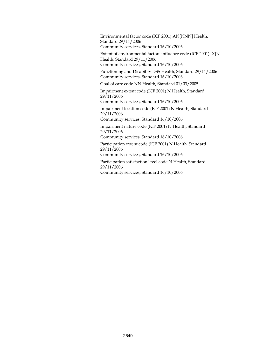Environmental factor code (ICF 2001) AN[NNN] Health, Standard 29/11/2006 Community services, Standard 16/10/2006

Extent of environmental factors influence code (ICF 2001) [X]N Health, Standard 29/11/2006 Community services, Standard 16/10/2006

Functioning and Disability DSS Health, Standard 29/11/2006 Community services, Standard 16/10/2006

Goal of care code NN Health, Standard 01/03/2005

Impairment extent code (ICF 2001) N Health, Standard 29/11/2006

Community services, Standard 16/10/2006

Impairment location code (ICF 2001) N Health, Standard 29/11/2006

Community services, Standard 16/10/2006

Impairment nature code (ICF 2001) N Health, Standard 29/11/2006

Community services, Standard 16/10/2006

Participation extent code (ICF 2001) N Health, Standard 29/11/2006

Community services, Standard 16/10/2006

Participation satisfaction level code N Health, Standard 29/11/2006

Community services, Standard 16/10/2006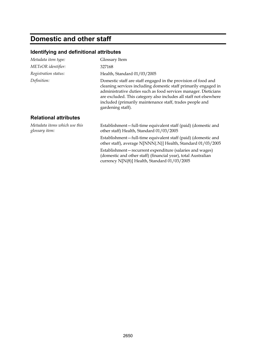# **Domestic and other staff**

| Metadata item type:                             | Glossary Item                                                                                                                                                                                                                                                                                                                                             |
|-------------------------------------------------|-----------------------------------------------------------------------------------------------------------------------------------------------------------------------------------------------------------------------------------------------------------------------------------------------------------------------------------------------------------|
| METeOR identifier:                              | 327168                                                                                                                                                                                                                                                                                                                                                    |
| Registration status:                            | Health, Standard 01/03/2005                                                                                                                                                                                                                                                                                                                               |
| Definition:                                     | Domestic staff are staff engaged in the provision of food and<br>cleaning services including domestic staff primarily engaged in<br>administrative duties such as food services manager. Dieticians<br>are excluded. This category also includes all staff not elsewhere<br>included (primarily maintenance staff, trades people and<br>gardening staff). |
| <b>Relational attributes</b>                    |                                                                                                                                                                                                                                                                                                                                                           |
| Metadata items which use this<br>glossary item: | Establishment-full-time equivalent staff (paid) (domestic and<br>other staff) Health, Standard 01/03/2005                                                                                                                                                                                                                                                 |
|                                                 | Establishment—full-time equivalent staff (paid) (domestic and<br>other staff), average N[NNN{.N}] Health, Standard 01/03/2005                                                                                                                                                                                                                             |
|                                                 | Establishment – recurrent expenditure (salaries and wages)<br>(domestic and other staff) (financial year), total Australian<br>currency N[N(8)] Health, Standard 01/03/2005                                                                                                                                                                               |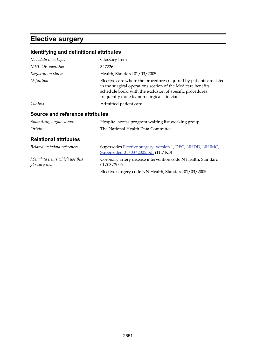# **Elective surgery**

| Identifying and definitional attributes         |                                                                                                                                                                                                                                              |
|-------------------------------------------------|----------------------------------------------------------------------------------------------------------------------------------------------------------------------------------------------------------------------------------------------|
| Metadata item type:                             | Glossary Item                                                                                                                                                                                                                                |
| METeOR identifier:                              | 327226                                                                                                                                                                                                                                       |
| Registration status:                            | Health, Standard 01/03/2005                                                                                                                                                                                                                  |
| Definition:                                     | Elective care where the procedures required by patients are listed<br>in the surgical operations section of the Medicare benefits<br>schedule book, with the exclusion of specific procedures<br>frequently done by non-surgical clinicians. |
| Context:                                        | Admitted patient care.                                                                                                                                                                                                                       |
| <b>Source and reference attributes</b>          |                                                                                                                                                                                                                                              |
| Submitting organisation:                        | Hospital access program waiting list working group                                                                                                                                                                                           |
| Origin:                                         | The National Health Data Committee.                                                                                                                                                                                                          |
| <b>Relational attributes</b>                    |                                                                                                                                                                                                                                              |
| Related metadata references:                    | Supersedes Elective surgery, version 1, DEC, NHDD, NHIMG,<br>Superseded 01/03/2005.pdf (11.7 KB)                                                                                                                                             |
| Metadata items which use this<br>glossary item: | Coronary artery disease intervention code N Health, Standard<br>01/03/2005                                                                                                                                                                   |
|                                                 | Elective surgery code NN Health, Standard 01/03/2005                                                                                                                                                                                         |
|                                                 |                                                                                                                                                                                                                                              |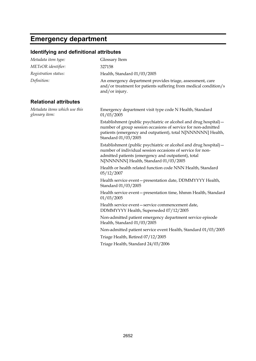# **Emergency department**

| Metadata item type:                             | Glossary Item                                                                                                                                                                                                                   |
|-------------------------------------------------|---------------------------------------------------------------------------------------------------------------------------------------------------------------------------------------------------------------------------------|
| METeOR identifier:                              | 327158                                                                                                                                                                                                                          |
| Registration status:                            | Health, Standard 01/03/2005                                                                                                                                                                                                     |
| Definition:                                     | An emergency department provides triage, assessment, care<br>and/or treatment for patients suffering from medical condition/s<br>and/or injury.                                                                                 |
| <b>Relational attributes</b>                    |                                                                                                                                                                                                                                 |
| Metadata items which use this<br>glossary item: | Emergency department visit type code N Health, Standard<br>01/03/2005                                                                                                                                                           |
|                                                 | Establishment (public psychiatric or alcohol and drug hospital) –<br>number of group session occasions of service for non-admitted<br>patients (emergency and outpatient), total N[NNNNNN] Health,<br>Standard 01/03/2005       |
|                                                 | Establishment (public psychiatric or alcohol and drug hospital) -<br>number of individual session occasions of service for non-<br>admitted patients (emergency and outpatient), total<br>N[NNNNNN] Health, Standard 01/03/2005 |
|                                                 | Health or health related function code NNN Health, Standard<br>05/12/2007                                                                                                                                                       |
|                                                 | Health service event-presentation date, DDMMYYYY Health,<br>Standard 01/03/2005                                                                                                                                                 |
|                                                 | Health service event - presentation time, hhmm Health, Standard<br>01/03/2005                                                                                                                                                   |
|                                                 | Health service event - service commencement date,<br>DDMMYYYY Health, Superseded 07/12/2005                                                                                                                                     |
|                                                 | Non-admitted patient emergency department service episode<br>Health, Standard 01/03/2005                                                                                                                                        |
|                                                 | Non-admitted patient service event Health, Standard 01/03/2005                                                                                                                                                                  |
|                                                 | Triage Health, Retired 07/12/2005                                                                                                                                                                                               |
|                                                 | Triage Health, Standard 24/03/2006                                                                                                                                                                                              |
|                                                 |                                                                                                                                                                                                                                 |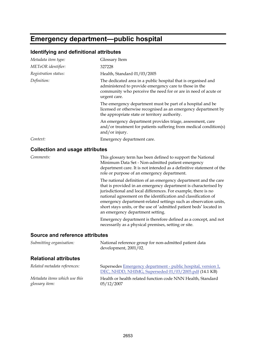# **Emergency department—public hospital**

### **Identifying and definitional attributes**

| Metadata item type:                    | Glossary Item                                                                                                                                                                                                                                                                                                                                                                                                                                         |
|----------------------------------------|-------------------------------------------------------------------------------------------------------------------------------------------------------------------------------------------------------------------------------------------------------------------------------------------------------------------------------------------------------------------------------------------------------------------------------------------------------|
| METeOR identifier:                     | 327228                                                                                                                                                                                                                                                                                                                                                                                                                                                |
| Registration status:                   | Health, Standard 01/03/2005                                                                                                                                                                                                                                                                                                                                                                                                                           |
| Definition:                            | The dedicated area in a public hospital that is organised and<br>administered to provide emergency care to those in the<br>community who perceive the need for or are in need of acute or<br>urgent care.                                                                                                                                                                                                                                             |
|                                        | The emergency department must be part of a hospital and be<br>licensed or otherwise recognised as an emergency department by<br>the appropriate state or territory authority.                                                                                                                                                                                                                                                                         |
|                                        | An emergency department provides triage, assessment, care<br>and/or treatment for patients suffering from medical condition(s)<br>and/or injury.                                                                                                                                                                                                                                                                                                      |
| Context:                               | Emergency department care.                                                                                                                                                                                                                                                                                                                                                                                                                            |
| <b>Collection and usage attributes</b> |                                                                                                                                                                                                                                                                                                                                                                                                                                                       |
| Comments:                              | This glossary term has been defined to support the National<br>Minimum Data Set - Non-admitted patient emergency<br>department care. It is not intended as a definitive statement of the<br>role or purpose of an emergency department.                                                                                                                                                                                                               |
|                                        | The national definition of an emergency department and the care<br>that is provided in an emergency department is characterised by<br>jurisdictional and local differences. For example, there is no<br>national agreement on the identification and classification of<br>emergency department-related settings such as observation units,<br>short stays units, or the use of 'admitted patient beds' located in<br>an emergency department setting. |
|                                        | Emergency department is therefore defined as a concept, and not<br>necessarily as a physical premises, setting or site.                                                                                                                                                                                                                                                                                                                               |
| <b>Source and reference attributes</b> |                                                                                                                                                                                                                                                                                                                                                                                                                                                       |
| Submitting organisation:               | National reference group for non-admitted patient data<br>development, 2001/02.                                                                                                                                                                                                                                                                                                                                                                       |

#### **Relational attributes**

| Related metadata references:  | Supersedes Emergency department - public hospital, version 1,<br>DEC, NHDD, NHIMG, Superseded 01/03/2005.pdf (14.1 KB) |
|-------------------------------|------------------------------------------------------------------------------------------------------------------------|
| Metadata items which use this | Health or health related function code NNN Health, Standard                                                            |
| glossary item:                | 05/12/2007                                                                                                             |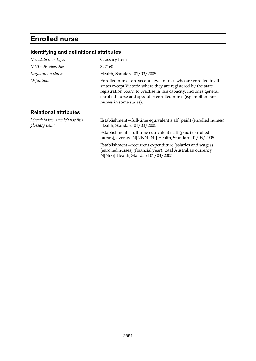# **Enrolled nurse**

| Metadata item type:                             | Glossary Item                                                                                                                                                                                                                                                                                      |
|-------------------------------------------------|----------------------------------------------------------------------------------------------------------------------------------------------------------------------------------------------------------------------------------------------------------------------------------------------------|
| METeOR identifier:                              | 327160                                                                                                                                                                                                                                                                                             |
| Registration status:                            | Health, Standard 01/03/2005                                                                                                                                                                                                                                                                        |
| Definition:                                     | Enrolled nurses are second level nurses who are enrolled in all<br>states except Victoria where they are registered by the state<br>registration board to practise in this capacity. Includes general<br>enrolled nurse and specialist enrolled nurse (e.g. mothercraft<br>nurses in some states). |
| <b>Relational attributes</b>                    |                                                                                                                                                                                                                                                                                                    |
| Metadata items which use this<br>glossary item: | Establishment-full-time equivalent staff (paid) (enrolled nurses)<br>Health, Standard 01/03/2005                                                                                                                                                                                                   |
|                                                 | Establishment-full-time equivalent staff (paid) (enrolled<br>nurses), average N[NNN{.N}] Health, Standard 01/03/2005                                                                                                                                                                               |
|                                                 | Establishment – recurrent expenditure (salaries and wages)<br>(enrolled nurses) (financial year), total Australian currency<br>N[N(8)] Health, Standard 01/03/2005                                                                                                                                 |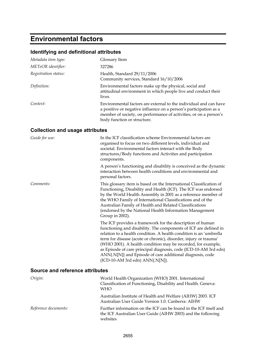# **Environmental factors**

### **Identifying and definitional attributes**

| Metadata item type:                    | Glossary Item                                                                                                                                                                                                                              |
|----------------------------------------|--------------------------------------------------------------------------------------------------------------------------------------------------------------------------------------------------------------------------------------------|
| METeOR identifier:                     | 327286                                                                                                                                                                                                                                     |
| Registration status:                   | Health, Standard 29/11/2006<br>Community services, Standard 16/10/2006                                                                                                                                                                     |
| Definition:                            | Environmental factors make up the physical, social and<br>attitudinal environment in which people live and conduct their<br>lives.                                                                                                         |
| Context:                               | Environmental factors are external to the individual and can have<br>a positive or negative influence on a person's participation as a<br>member of society, on performance of activities, or on a person's<br>body function or structure. |
| <b>Collection and usage attributes</b> |                                                                                                                                                                                                                                            |
| Guide for use:                         | In the ICF classification scheme Environmental factors are<br>organised to focus on two different levels, individual and                                                                                                                   |

|           | societal. Environmental factors interact with the Body<br>structures/Body functions and Activities and participation<br>components.                                                                                                                                                                                                                                                                                                                                                                         |
|-----------|-------------------------------------------------------------------------------------------------------------------------------------------------------------------------------------------------------------------------------------------------------------------------------------------------------------------------------------------------------------------------------------------------------------------------------------------------------------------------------------------------------------|
|           | A person's functioning and disability is conceived as the dynamic<br>interaction between health conditions and environmental and<br>personal factors.                                                                                                                                                                                                                                                                                                                                                       |
| Comments: | This glossary item is based on the International Classification of<br>Functioning, Disability and Health (ICF). The ICF was endorsed<br>by the World Health Assembly in 2001 as a reference member of<br>the WHO Family of International Classifications and of the<br>Australian Family of Health and Related Classifications<br>(endorsed by the National Health Information Management<br>Group in 2002).                                                                                                |
|           | The ICF provides a framework for the description of human<br>functioning and disability. The components of ICF are defined in<br>relation to a health condition. A health condition is an 'umbrella<br>term for disease (acute or chronic), disorder, injury or trauma'<br>(WHO 2001). A health condition may be recorded, for example,<br>as Episode of care principal diagnosis, code (ICD-10-AM 3rd edn)<br>ANN{.N[N]} and Episode of care additional diagnosis, code<br>(ICD-10-AM 3rd edn) ANN{.N[N]}. |

#### **Source and reference attributes**

| Origin:              | World Health Organization (WHO) 2001. International<br>Classification of Functioning, Disability and Health. Geneva:<br><b>WHO</b>           |
|----------------------|----------------------------------------------------------------------------------------------------------------------------------------------|
|                      | Australian Institute of Health and Welfare (AIHW) 2003. ICF<br>Australian User Guide Version 1.0. Canberra: AIHW                             |
| Reference documents: | Further information on the ICF can be found in the ICF itself and<br>the ICF Australian User Guide (AIHW 2003) and the following<br>websites |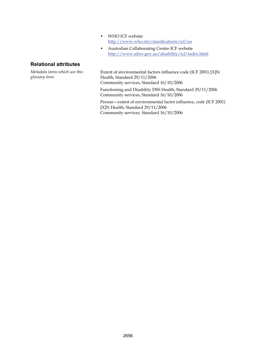- WHO ICF website <http://www.who.int/classifications/icf/en>
- Australian Collaborating Centre ICF website <http://www.aihw.gov.au/disability/icf/index.html>

#### **Relational attributes**

*Metadata items which use this glossary item:*

Extent of environmental factors influence code (ICF 2001) [X]N Health, Standard 29/11/2006 Community services, Standard 16/10/2006 Functioning and Disability DSS Health, Standard 29/11/2006

Community services, Standard 16/10/2006

Person—extent of environmental factor influence, code (ICF 2001) [X]N Health, Standard 29/11/2006 Community services, Standard 16/10/2006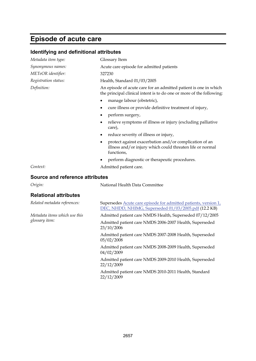# **Episode of acute care**

| Metadata item type:                    | Glossary Item                                                                                                                            |
|----------------------------------------|------------------------------------------------------------------------------------------------------------------------------------------|
| Synonymous names:                      | Acute care episode for admitted patients                                                                                                 |
| <i>METeOR identifier:</i>              | 327230                                                                                                                                   |
| Registration status:                   | Health, Standard 01/03/2005                                                                                                              |
| Definition:                            | An episode of acute care for an admitted patient is one in which<br>the principal clinical intent is to do one or more of the following: |
|                                        | manage labour (obstetric),                                                                                                               |
|                                        | cure illness or provide definitive treatment of injury,<br>٠                                                                             |
|                                        | perform surgery,                                                                                                                         |
|                                        | relieve symptoms of illness or injury (excluding palliative<br>care),                                                                    |
|                                        | reduce severity of illness or injury,<br>٠                                                                                               |
|                                        | protect against exacerbation and/or complication of an<br>illness and/or injury which could threaten life or normal<br>functions,        |
|                                        | perform diagnostic or therapeutic procedures.                                                                                            |
| Context:                               | Admitted patient care.                                                                                                                   |
| <b>Source and reference attributes</b> |                                                                                                                                          |
| Origin:                                | National Health Data Committee                                                                                                           |
| <b>Relational attributes</b>           |                                                                                                                                          |
| Related metadata references:           | Supersedes Acute care episode for admitted patients, version 1,<br>DEC, NHDD, NHIMG, Superseded 01/03/2005.pdf (12.2 KB)                 |
| Metadata items which use this          | Admitted patient care NMDS Health, Superseded 07/12/2005                                                                                 |
| glossary item:                         | Admitted patient care NMDS 2006-2007 Health, Superseded<br>23/10/2006                                                                    |
|                                        | Admitted patient care NMDS 2007-2008 Health, Superseded<br>05/02/2008                                                                    |
|                                        | Admitted patient care NMDS 2008-2009 Health, Superseded<br>04/02/2009                                                                    |
|                                        | Admitted patient care NMDS 2009-2010 Health, Superseded<br>22/12/2009                                                                    |
|                                        | Admitted patient care NMDS 2010-2011 Health, Standard<br>22/12/2009                                                                      |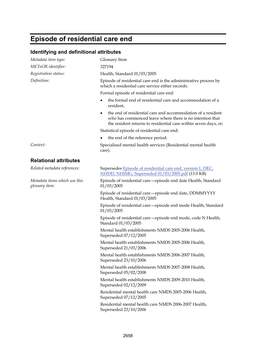# **Episode of residential care end**

| Identifying and definitional attributes         |                                                                                                                                                                                                 |
|-------------------------------------------------|-------------------------------------------------------------------------------------------------------------------------------------------------------------------------------------------------|
| Metadata item type:                             | Glossary Item                                                                                                                                                                                   |
| METeOR identifier:                              | 327194                                                                                                                                                                                          |
| Registration status:                            | Health, Standard 01/03/2005                                                                                                                                                                     |
| Definition:                                     | Episode of residential care end is the administrative process by<br>which a residential care service either records:                                                                            |
|                                                 | Formal episode of residential care end:                                                                                                                                                         |
|                                                 | the formal end of residential care and accommodation of a<br>$\bullet$<br>resident,                                                                                                             |
|                                                 | the end of residential care and accommodation of a resident<br>٠<br>who has commenced leave where there is no intention that<br>the resident returns to residential care within seven days, or; |
|                                                 | Statistical episode of residential care end:                                                                                                                                                    |
|                                                 | the end of the reference period.                                                                                                                                                                |
| Context:                                        | Specialised mental health services (Residential mental health<br>care).                                                                                                                         |
| <b>Relational attributes</b>                    |                                                                                                                                                                                                 |
| Related metadata references:                    | Supersedes Episode of residential care end, version 1, DEC,<br>NHDD, NHIMG, Superseded 01/03/2005.pdf (13.0 KB)                                                                                 |
| Metadata items which use this<br>glossary item: | Episode of residential care - episode end date Health, Standard<br>01/03/2005                                                                                                                   |
|                                                 | Episode of residential care - episode end date, DDMMYYYY<br>Health, Standard 01/03/2005                                                                                                         |
|                                                 | Episode of residential care - episode end mode Health, Standard<br>01/03/2005                                                                                                                   |
|                                                 | Episode of residential care - episode end mode, code N Health,<br>Standard 01/03/2005                                                                                                           |
|                                                 | Mental health establishments NMDS 2005-2006 Health,<br>Superseded 07/12/2005                                                                                                                    |
|                                                 | Mental health establishments NMDS 2005-2006 Health,<br>Superseded 21/03/2006                                                                                                                    |
|                                                 | Mental health establishments NMDS 2006-2007 Health,<br>Superseded 23/10/2006                                                                                                                    |
|                                                 | Mental health establishments NMDS 2007-2008 Health,<br>Superseded 05/02/2008                                                                                                                    |
|                                                 | Mental health establishments NMDS 2009-2010 Health,<br>Superseded 02/12/2009                                                                                                                    |
|                                                 | Residential mental health care NMDS 2005-2006 Health,<br>Superseded 07/12/2005                                                                                                                  |
|                                                 | Residential mental health care NMDS 2006-2007 Health,<br>Superseded 23/10/2006                                                                                                                  |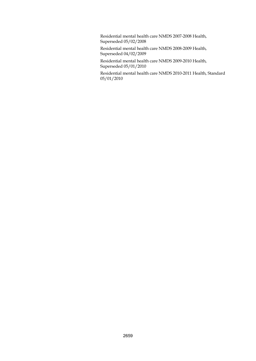Residential mental health care NMDS 2007-2008 Health, Superseded 05/02/2008

Residential mental health care NMDS 2008-2009 Health, Superseded 04/02/2009

Residential mental health care NMDS 2009-2010 Health, Superseded 05/01/2010

Residential mental health care NMDS 2010-2011 Health, Standard 05/01/2010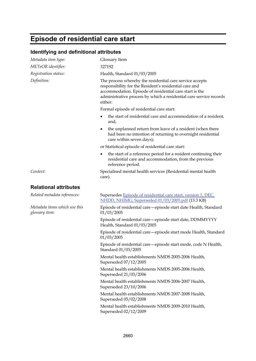# **Episode of residential care start**

#### **Identifying and definitional attributes**

| Metadata item type:                             | Glossary Item                                                                                                                                                                                                                                                  |
|-------------------------------------------------|----------------------------------------------------------------------------------------------------------------------------------------------------------------------------------------------------------------------------------------------------------------|
| METeOR identifier:                              | 327192                                                                                                                                                                                                                                                         |
| Registration status:                            | Health, Standard 01/03/2005                                                                                                                                                                                                                                    |
| Definition:                                     | The process whereby the residential care service accepts<br>responsibility for the Resident's residential care and<br>accommodation. Episode of residential care start is the<br>administrative process by which a residential care service records<br>either: |
|                                                 | Formal episode of residential care start:                                                                                                                                                                                                                      |
|                                                 | the start of residential care and accommodation of a resident,<br>and,                                                                                                                                                                                         |
|                                                 | the unplanned return from leave of a resident (when there<br>had been no intention of returning to overnight residential<br>care within seven days);                                                                                                           |
|                                                 | or Statistical episode of residential care start:                                                                                                                                                                                                              |
|                                                 | the start of a reference period for a resident continuing their<br>$\bullet$<br>residential care and accommodation, from the previous<br>reference period.                                                                                                     |
| Context:                                        | Specialised mental health services (Residential mental health<br>care).                                                                                                                                                                                        |
| <b>Relational attributes</b>                    |                                                                                                                                                                                                                                                                |
| Related metadata references:                    | Supersedes Episode of residential care start, version 1, DEC,<br>NHDD, NHIMG, Superseded 01/03/2005.pdf (13.3 KB)                                                                                                                                              |
| Metadata items which use this<br>glossary item: | Episode of residential care - episode start date Health, Standard<br>01/03/2005                                                                                                                                                                                |
|                                                 | Episode of residential care - episode start date, DDMMYYYY<br>Health, Standard 01/03/2005                                                                                                                                                                      |
|                                                 | Episode of residential care - episode start mode Health, Standard<br>01/03/2005                                                                                                                                                                                |
|                                                 | Episode of residential care - episode start mode, code N Health,<br>Standard 01/03/2005                                                                                                                                                                        |
|                                                 | Mental health establishments NMDS 2005-2006 Health,<br>Superseded 07/12/2005                                                                                                                                                                                   |
|                                                 | Mental health establishments NMDS 2005-2006 Health,<br>Superseded 21/03/2006                                                                                                                                                                                   |
|                                                 | Mental health establishments NMDS 2006-2007 Health,<br>Superseded 23/10/2006                                                                                                                                                                                   |
|                                                 | Mental health establishments NMDS 2007-2008 Health,<br>Superseded 05/02/2008                                                                                                                                                                                   |

Mental health establishments NMDS 2009-2010 Health, Superseded 02/12/2009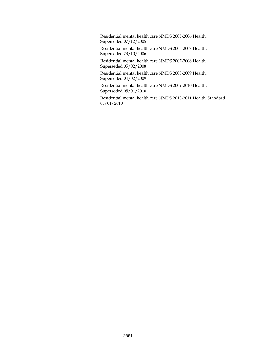Residential mental health care NMDS 2005-2006 Health, Superseded 07/12/2005

Residential mental health care NMDS 2006-2007 Health, Superseded 23/10/2006

Residential mental health care NMDS 2007-2008 Health, Superseded 05/02/2008

Residential mental health care NMDS 2008-2009 Health, Superseded 04/02/2009

Residential mental health care NMDS 2009-2010 Health, Superseded 05/01/2010

Residential mental health care NMDS 2010-2011 Health, Standard 05/01/2010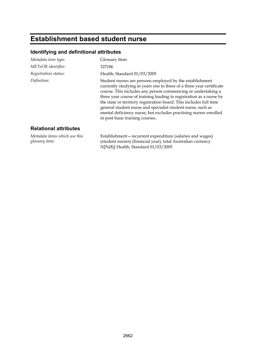# **Establishment based student nurse**

### **Identifying and definitional attributes**

| Metadata item type:                             | Glossary Item                                                                                                                                                                                                                                                                                                                                                                                                                                                                                                       |
|-------------------------------------------------|---------------------------------------------------------------------------------------------------------------------------------------------------------------------------------------------------------------------------------------------------------------------------------------------------------------------------------------------------------------------------------------------------------------------------------------------------------------------------------------------------------------------|
| METeOR identifier:                              | 327186                                                                                                                                                                                                                                                                                                                                                                                                                                                                                                              |
| Registration status:                            | Health, Standard 01/03/2005                                                                                                                                                                                                                                                                                                                                                                                                                                                                                         |
| Definition:                                     | Student nurses are persons employed by the establishment<br>currently studying in years one to three of a three year certificate<br>course. This includes any person commencing or undertaking a<br>three year course of training leading to registration as a nurse by<br>the state or territory registration board. This includes full time<br>general student nurse and specialist student nurse, such as<br>mental deficiency nurse, but excludes practising nurses enrolled<br>in post basic training courses. |
| <b>Relational attributes</b>                    |                                                                                                                                                                                                                                                                                                                                                                                                                                                                                                                     |
| Metadata items which use this<br>glossary item: | Establishment-recurrent expenditure (salaries and wages)<br>(student nurses) (financial year), total Australian currency                                                                                                                                                                                                                                                                                                                                                                                            |

N[N(8)] Health, Standard 01/03/2005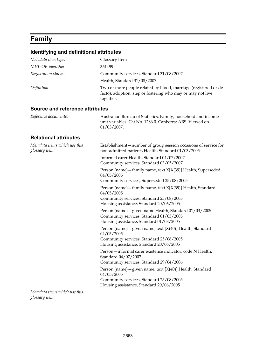# **Family**

## **Identifying and definitional attributes**

| Metadata item type:                             | Glossary Item                                                                                                                                                   |
|-------------------------------------------------|-----------------------------------------------------------------------------------------------------------------------------------------------------------------|
| METeOR identifier:                              | 351499                                                                                                                                                          |
| Registration status:                            | Community services, Standard 31/08/2007                                                                                                                         |
|                                                 | Health, Standard 31/08/2007                                                                                                                                     |
| Definition:                                     | Two or more people related by blood, marriage (registered or de<br>facto), adoption, step or fostering who may or may not live<br>together.                     |
| Source and reference attributes                 |                                                                                                                                                                 |
| Reference documents:                            | Australian Bureau of Statistics. Family, household and income<br>unit variables. Cat No. 1286.0. Canberra: ABS. Viewed on<br>$01/03/2007$ .                     |
| <b>Relational attributes</b>                    |                                                                                                                                                                 |
| Metadata items which use this<br>glossary item: | Establishment-number of group session occasions of service for<br>non-admitted patients Health, Standard 01/03/2005                                             |
|                                                 | Informal carer Health, Standard 04/07/2007<br>Community services, Standard 03/05/2007                                                                           |
|                                                 | Person (name) - family name, text X[X(39)] Health, Superseded<br>04/05/2005<br>Community services, Superseded 25/08/2005                                        |
|                                                 | Person (name) - family name, text X[X(39)] Health, Standard<br>04/05/2005<br>Community services, Standard 25/08/2005<br>Housing assistance, Standard 20/06/2005 |
|                                                 | Person (name) - given name Health, Standard 01/03/2005<br>Community services, Standard 01/03/2005<br>Housing assistance, Standard 01/08/2005                    |
|                                                 | Person (name) - given name, text [X(40)] Health, Standard<br>04/05/2005<br>Community services, Standard 25/08/2005<br>Housing assistance, Standard 20/06/2005   |
|                                                 | Person-informal carer existence indicator, code N Health,<br>Standard 04/07/2007<br>Community services, Standard 29/04/2006                                     |
|                                                 | Person (name) - given name, text $[X(40)]$ Health, Standard<br>04/05/2005<br>Community services, Standard 25/08/2005<br>Housing assistance, Standard 20/06/2005 |
| Metadata items which use this                   |                                                                                                                                                                 |

*glossary item:*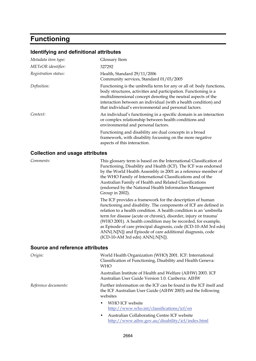### **Functioning**

#### **Identifying and definitional attributes**

| Glossary Item                                                                                                                                                                                                                                                                                                                      |
|------------------------------------------------------------------------------------------------------------------------------------------------------------------------------------------------------------------------------------------------------------------------------------------------------------------------------------|
| 327292                                                                                                                                                                                                                                                                                                                             |
| Health, Standard 29/11/2006<br>Community services, Standard 01/03/2005                                                                                                                                                                                                                                                             |
| Functioning is the umbrella term for any or all of: body functions,<br>body structures, activities and participation. Functioning is a<br>multidimensional concept denoting the neutral aspects of the<br>interaction between an individual (with a health condition) and<br>that individual's environmental and personal factors. |
| An individual's functioning in a specific domain is an interaction<br>or complex relationship between health conditions and<br>environmental and personal factors.                                                                                                                                                                 |
| Functioning and disability are dual concepts in a broad<br>framework, with disability focussing on the more negative<br>aspects of this interaction.                                                                                                                                                                               |
|                                                                                                                                                                                                                                                                                                                                    |

#### **Collection and usage attributes**

*Comments:* This glossary term is based on the International Classification of Functioning, Disability and Health (ICF). The ICF was endorsed by the World Health Assembly in 2001 as a reference member of the WHO Family of International Classifications and of the Australian Family of Health and Related Classifications (endorsed by the National Health Information Management Group in 2002).

> The ICF provides a framework for the description of human functioning and disability. The components of ICF are defined in relation to a health condition. A health condition is an 'umbrella term for disease (acute or chronic), disorder, injury or trauma' (WHO 2001). A health condition may be recorded, for example, as Episode of care principal diagnosis, code (ICD-10-AM 3rd edn) ANN{.N[N]} and Episode of care additional diagnosis, code (ICD-10-AM 3rd edn) ANN{.N[N]}.

#### **Source and reference attributes**

| Origin:              | World Health Organization (WHO) 2001. ICF: International<br>Classification of Functioning, Disability and Health Geneva:<br><b>WHO</b>       |
|----------------------|----------------------------------------------------------------------------------------------------------------------------------------------|
|                      | Australian Institute of Health and Welfare (AIHW) 2003. ICF<br>Australian User Guide Version 1.0. Canberra: AIHW                             |
| Reference documents: | Further information on the ICF can be found in the ICF itself and<br>the ICF Australian User Guide (AIHW 2003) and the following<br>websites |
|                      | WHO ICF website<br>$\bullet$<br>http://www.who.int/classifications/icf/en                                                                    |
|                      | Australian Collaborating Centre ICF website<br>$\bullet$<br>http://www.aihw.gov.au/disability/icf/index.html                                 |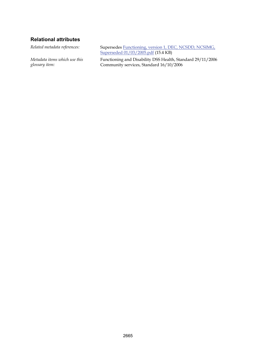#### **Relational attributes**

*Metadata items which use this glossary item:*

*Related metadata references:* Supersedes [Functioning, version 1, DEC, NCSDD, NCSIMG,](http://meteor.aihw.gov.au/content/item.phtml?itemId=273967&nodeId=file41fd7312a4657&fn=Functioning,%20version%201,%20DEC,%20NCSDD,%20NCSIMG,%20Superseded%2001/03/2005.pdf)  [Superseded 01/03/2005.pdf](http://meteor.aihw.gov.au/content/item.phtml?itemId=273967&nodeId=file41fd7312a4657&fn=Functioning,%20version%201,%20DEC,%20NCSDD,%20NCSIMG,%20Superseded%2001/03/2005.pdf) (15.4 KB)

> Functioning and Disability DSS Health, Standard 29/11/2006 Community services, Standard 16/10/2006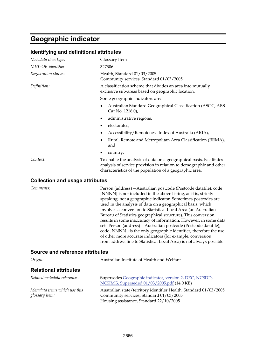# **Geographic indicator**

| Identifying and definitional attributes         |                                                                                                                                                                                                                                                                                                                                                                                                                                                                                                                                                                                                                                                                                                                                                           |  |
|-------------------------------------------------|-----------------------------------------------------------------------------------------------------------------------------------------------------------------------------------------------------------------------------------------------------------------------------------------------------------------------------------------------------------------------------------------------------------------------------------------------------------------------------------------------------------------------------------------------------------------------------------------------------------------------------------------------------------------------------------------------------------------------------------------------------------|--|
| Metadata item type:                             | Glossary Item                                                                                                                                                                                                                                                                                                                                                                                                                                                                                                                                                                                                                                                                                                                                             |  |
| METeOR identifier:                              | 327306                                                                                                                                                                                                                                                                                                                                                                                                                                                                                                                                                                                                                                                                                                                                                    |  |
| Registration status:                            | Health, Standard 01/03/2005<br>Community services, Standard 01/03/2005                                                                                                                                                                                                                                                                                                                                                                                                                                                                                                                                                                                                                                                                                    |  |
| Definition:                                     | A classification scheme that divides an area into mutually<br>exclusive sub-areas based on geographic location.                                                                                                                                                                                                                                                                                                                                                                                                                                                                                                                                                                                                                                           |  |
|                                                 | Some geographic indicators are:                                                                                                                                                                                                                                                                                                                                                                                                                                                                                                                                                                                                                                                                                                                           |  |
|                                                 | Australian Standard Geographical Classification (ASGC, ABS<br>٠<br>Cat No. 1216.0),                                                                                                                                                                                                                                                                                                                                                                                                                                                                                                                                                                                                                                                                       |  |
|                                                 | administrative regions,<br>٠                                                                                                                                                                                                                                                                                                                                                                                                                                                                                                                                                                                                                                                                                                                              |  |
|                                                 | electorates,<br>٠                                                                                                                                                                                                                                                                                                                                                                                                                                                                                                                                                                                                                                                                                                                                         |  |
|                                                 | Accessibility/Remoteness Index of Australia (ARIA),<br>٠                                                                                                                                                                                                                                                                                                                                                                                                                                                                                                                                                                                                                                                                                                  |  |
|                                                 | Rural, Remote and Metropolitan Area Classification (RRMA),<br>٠<br>and                                                                                                                                                                                                                                                                                                                                                                                                                                                                                                                                                                                                                                                                                    |  |
|                                                 | country.                                                                                                                                                                                                                                                                                                                                                                                                                                                                                                                                                                                                                                                                                                                                                  |  |
| Context:                                        | To enable the analysis of data on a geographical basis. Facilitates<br>analysis of service provision in relation to demographic and other<br>characteristics of the population of a geographic area.                                                                                                                                                                                                                                                                                                                                                                                                                                                                                                                                                      |  |
| <b>Collection and usage attributes</b>          |                                                                                                                                                                                                                                                                                                                                                                                                                                                                                                                                                                                                                                                                                                                                                           |  |
| Comments:                                       | Person (address) – Australian postcode (Postcode datafile), code<br>[NNNN] is not included in the above listing, as it is, strictly<br>speaking, not a geographic indicator. Sometimes postcodes are<br>used in the analysis of data on a geographical basis, which<br>involves a conversion to Statistical Local Area (an Australian<br>Bureau of Statistics geographical structure). This conversion<br>results in some inaccuracy of information. However, in some data<br>sets Person (address) - Australian postcode (Postcode datafile),<br>code [NNNN]; is the only geographic identifier, therefore the use<br>of other more accurate indicators (for example, conversion<br>from address line to Statistical Local Area) is not always possible. |  |
| Source and reference attributes                 |                                                                                                                                                                                                                                                                                                                                                                                                                                                                                                                                                                                                                                                                                                                                                           |  |
| Origin:                                         | Australian Institute of Health and Welfare.                                                                                                                                                                                                                                                                                                                                                                                                                                                                                                                                                                                                                                                                                                               |  |
| <b>Relational attributes</b>                    |                                                                                                                                                                                                                                                                                                                                                                                                                                                                                                                                                                                                                                                                                                                                                           |  |
| Related metadata references:                    | Supersedes Geographic indicator, version 2, DEC, NCSDD,<br>NCSIMG, Superseded 01/03/2005.pdf (14.0 KB)                                                                                                                                                                                                                                                                                                                                                                                                                                                                                                                                                                                                                                                    |  |
| Metadata items which use this<br>glossary item: | Australian state/territory identifier Health, Standard 01/03/2005<br>Community services, Standard 01/03/2005<br>Housing assistance, Standard 22/10/2005                                                                                                                                                                                                                                                                                                                                                                                                                                                                                                                                                                                                   |  |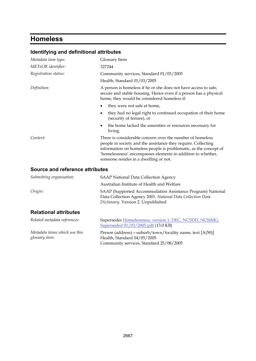# **Homeless**

*Metadata items which use this* 

*glossary item:*

| Metadata item type:             | Glossary Item                                                                                                                                                                                                                                                                                          |
|---------------------------------|--------------------------------------------------------------------------------------------------------------------------------------------------------------------------------------------------------------------------------------------------------------------------------------------------------|
| METeOR identifier:              | 327244                                                                                                                                                                                                                                                                                                 |
| Registration status:            | Community services, Standard 01/03/2005                                                                                                                                                                                                                                                                |
|                                 | Health, Standard 01/03/2005                                                                                                                                                                                                                                                                            |
| Definition:                     | A person is homeless if he or she does not have access to safe,<br>secure and stable housing. Hence even if a person has a physical<br>home, they would be considered homeless if:                                                                                                                     |
|                                 | they were not safe at home,<br>٠                                                                                                                                                                                                                                                                       |
|                                 | they had no legal right to continued occupation of their home<br>$\bullet$<br>(security of tenure), or                                                                                                                                                                                                 |
|                                 | the home lacked the amenities or resources necessary for<br>living.                                                                                                                                                                                                                                    |
| Context:                        | There is considerable concern over the number of homeless<br>people in society and the assistance they require. Collecting<br>information on homeless people is problematic, as the concept of<br>'homelessness' encompasses elements in addition to whether,<br>someone resides in a dwelling or not. |
| Source and reference attributes |                                                                                                                                                                                                                                                                                                        |
| Submitting organisation:        | <b>SAAP National Data Collection Agency</b>                                                                                                                                                                                                                                                            |
|                                 | Australian Institute of Health and Welfare                                                                                                                                                                                                                                                             |
| Origin:                         | SAAP (Supported Accommodation Assistance Program) National<br>Data Collection Agency 2001. National Data Collection Data<br>Dictionary. Version 2. Unpublished                                                                                                                                         |
| <b>Relational attributes</b>    |                                                                                                                                                                                                                                                                                                        |
| Related metadata references:    | Supersedes Homelessness, version 1, DEC, NCSDD, NCSIMG,<br>Superseded 01/03/2005.pdf (13.0 KB)                                                                                                                                                                                                         |

Health, Standard 04/05/2005

Community services, Standard 25/08/2005

Person (address)—suburb/town/locality name, text [A(50)]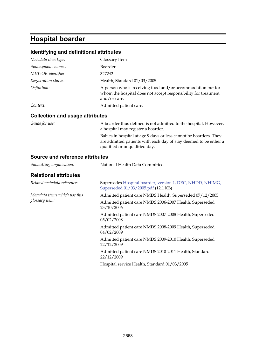### **Hospital boarder**

#### **Identifying and definitional attributes**

| Metadata item type:                    | Glossary Item                                                                                                                                 |
|----------------------------------------|-----------------------------------------------------------------------------------------------------------------------------------------------|
| Synonymous names:                      | Boarder                                                                                                                                       |
| METeOR identifier:                     | 327242                                                                                                                                        |
| Registration status:                   | Health, Standard 01/03/2005                                                                                                                   |
| Definition:                            | A person who is receiving food and/or accommodation but for<br>whom the hospital does not accept responsibility for treatment<br>and/or care. |
| Context:                               | Admitted patient care.                                                                                                                        |
| <b>Collection and usage attributes</b> |                                                                                                                                               |
| Guide for use:                         | A boarder thus defined is not admitted to the hospital. However,                                                                              |

a hospital may register a boarder. Babies in hospital at age 9 days or less cannot be boarders. They are admitted patients with each day of stay deemed to be either a qualified or unqualified day.

#### **Source and reference attributes**

| Submitting organisation:      | National Health Data Committee.                                                                  |
|-------------------------------|--------------------------------------------------------------------------------------------------|
| <b>Relational attributes</b>  |                                                                                                  |
| Related metadata references:  | Supersedes Hospital boarder, version 1, DEC, NHDD, NHIMG,<br>Superseded 01/03/2005.pdf (12.1 KB) |
| Metadata items which use this | Admitted patient care NMDS Health, Superseded 07/12/2005                                         |
| glossary item:                | Admitted patient care NMDS 2006-2007 Health, Superseded<br>23/10/2006                            |
|                               | Admitted patient care NMDS 2007-2008 Health, Superseded<br>05/02/2008                            |
|                               | Admitted patient care NMDS 2008-2009 Health, Superseded<br>04/02/2009                            |
|                               | Admitted patient care NMDS 2009-2010 Health, Superseded<br>22/12/2009                            |
|                               | Admitted patient care NMDS 2010-2011 Health, Standard<br>22/12/2009                              |
|                               | Hospital service Health, Standard 01/03/2005                                                     |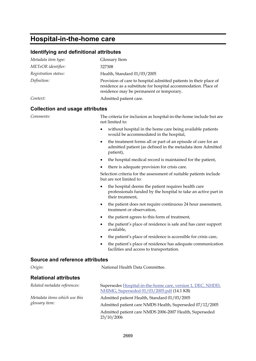### **Hospital-in-the-home care**

#### **Identifying and definitional attributes**

| Metadata item type:  | Glossary Item                                                                                                                                                                   |
|----------------------|---------------------------------------------------------------------------------------------------------------------------------------------------------------------------------|
| METeOR identifier:   | 327308                                                                                                                                                                          |
| Registration status: | Health, Standard 01/03/2005                                                                                                                                                     |
| Definition:          | Provision of care to hospital admitted patients in their place of<br>residence as a substitute for hospital accommodation. Place of<br>residence may be permanent or temporary. |
| Context:             | Admitted patient care.                                                                                                                                                          |

#### **Collection and usage attributes**

*Comments:* The criteria for inclusion as hospital-in-the-home include but are not limited to:

- without hospital in the home care being available patients would be accommodated in the hospital,
- the treatment forms all or part of an episode of care for an admitted patient (as defined in the metadata item Admitted patient),
- the hospital medical record is maintained for the patient,
- there is adequate provision for crisis care.

Selection criteria for the assessment of suitable patients include but are not limited to:

- the hospital deems the patient requires health care professionals funded by the hospital to take an active part in their treatment,
- the patient does not require continuous 24 hour assessment, treatment or observation,
- the patient agrees to this form of treatment,
- the patient's place of residence is safe and has carer support available,
- the patient's place of residence is accessible for crisis care,
- the patient's place of residence has adequate communication facilities and access to transportation.

#### **Source and reference attributes**

*Origin:* National Health Data Committee.

#### **Relational attributes**

| Related metadata references:                    | Supersedes Hospital-in-the-home care, version 1, DEC, NHDD,           |
|-------------------------------------------------|-----------------------------------------------------------------------|
|                                                 | NHIMG, Superseded 01/03/2005.pdf (14.1 KB)                            |
| Metadata items which use this<br>glossary item: | Admitted patient Health, Standard 01/03/2005                          |
|                                                 | Admitted patient care NMDS Health, Superseded 07/12/2005              |
|                                                 | Admitted patient care NMDS 2006-2007 Health, Superseded<br>23/10/2006 |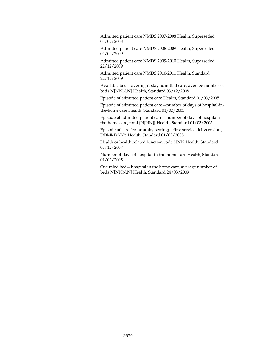Admitted patient care NMDS 2007-2008 Health, Superseded 05/02/2008

Admitted patient care NMDS 2008-2009 Health, Superseded 04/02/2009

Admitted patient care NMDS 2009-2010 Health, Superseded 22/12/2009

Admitted patient care NMDS 2010-2011 Health, Standard 22/12/2009

Available bed—overnight-stay admitted care, average number of beds N[NNN.N] Health, Standard 03/12/2008

Episode of admitted patient care Health, Standard 01/03/2005

Episode of admitted patient care—number of days of hospital-inthe-home care Health, Standard 01/03/2005

Episode of admitted patient care—number of days of hospital-inthe-home care, total {N[NN]} Health, Standard 01/03/2005

Episode of care (community setting)—first service delivery date, DDMMYYYY Health, Standard 01/03/2005

Health or health related function code NNN Health, Standard 05/12/2007

Number of days of hospital-in-the-home care Health, Standard 01/03/2005

Occupied bed—hospital in the home care, average number of beds N[NNN.N] Health, Standard 24/03/2009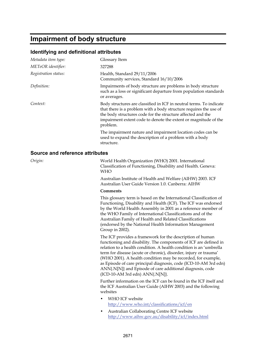### **Impairment of body structure**

#### **Identifying and definitional attributes**

| Metadata item type:             | Glossary Item                                                                                                                                                                                                                                                                          |
|---------------------------------|----------------------------------------------------------------------------------------------------------------------------------------------------------------------------------------------------------------------------------------------------------------------------------------|
| METeOR identifier:              | 327288                                                                                                                                                                                                                                                                                 |
| Registration status:            | Health, Standard 29/11/2006<br>Community services, Standard 16/10/2006                                                                                                                                                                                                                 |
| Definition:                     | Impairments of body structure are problems in body structure<br>such as a loss or significant departure from population standards<br>or averages.                                                                                                                                      |
| Context:                        | Body structures are classified in ICF in neutral terms. To indicate<br>that there is a problem with a body structure requires the use of<br>the body structures code for the structure affected and the<br>impairment extent code to denote the extent or magnitude of the<br>problem. |
|                                 | The impairment nature and impairment location codes can be<br>used to expand the description of a problem with a body<br>structure.                                                                                                                                                    |
| Source and reference attributes |                                                                                                                                                                                                                                                                                        |
| Origin:                         | World Health Organization (WHO) 2001. International<br>Classification of Functioning, Disability and Health. Geneva:<br><b>WHO</b>                                                                                                                                                     |
|                                 | Australian Institute of Health and Welfare (AIHW) 2003. ICF                                                                                                                                                                                                                            |

Australian User Guide Version 1.0. Canberra: AIHW

#### **Comments**

This glossary term is based on the International Classification of Functioning, Disability and Health (ICF). The ICF was endorsed by the World Health Assembly in 2001 as a reference member of the WHO Family of International Classifications and of the Australian Family of Health and Related Classifications (endorsed by the National Health Information Management Group in 2002).

The ICF provides a framework for the description of human functioning and disability. The components of ICF are defined in relation to a health condition. A health condition is an 'umbrella term for disease (acute or chronic), disorder, injury or trauma' (WHO 2001). A health condition may be recorded, for example, as Episode of care principal diagnosis, code (ICD-10-AM 3rd edn) ANN{.N[N]} and Episode of care additional diagnosis, code (ICD-10-AM 3rd edn) ANN{.N[N]}.

Further information on the ICF can be found in the ICF itself and the ICF Australian User Guide (AIHW 2003) and the following websites

- WHO ICF website <http://www.who.int/classifications/icf/en>
- Australian Collaborating Centre ICF website <http://www.aihw.gov.au/disability/icf/index.html>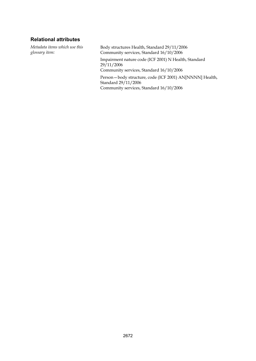#### **Relational attributes**

*Metadata items which use this glossary item:*

Body structures Health, Standard 29/11/2006 Community services, Standard 16/10/2006

Impairment nature code (ICF 2001) N Health, Standard 29/11/2006

Community services, Standard 16/10/2006

Person—body structure, code (ICF 2001) AN[NNNN] Health, Standard 29/11/2006 Community services, Standard 16/10/2006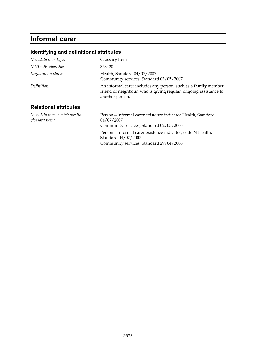# **Informal carer**

### **Identifying and definitional attributes**

| Metadata item type:                             | Glossary Item                                                                                                                                                  |
|-------------------------------------------------|----------------------------------------------------------------------------------------------------------------------------------------------------------------|
| METeOR identifier:                              | 353420                                                                                                                                                         |
| Registration status:                            | Health, Standard 04/07/2007<br>Community services, Standard 03/05/2007                                                                                         |
| Definition:                                     | An informal carer includes any person, such as a <b>family</b> member,<br>friend or neighbour, who is giving regular, ongoing assistance to<br>another person. |
| <b>Relational attributes</b>                    |                                                                                                                                                                |
| Metadata items which use this<br>glossary item: | Person-informal carer existence indicator Health, Standard<br>04/07/2007<br>Community services, Standard 02/05/2006                                            |
|                                                 | Person-informal carer existence indicator, code N Health,<br>Standard 04/07/2007                                                                               |

Community services, Standard 29/04/2006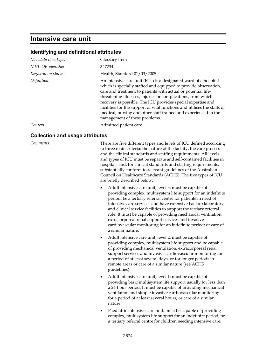### **Intensive care unit**

#### **Identifying and definitional attributes**

| Metadata item type:  | Glossary Item                                                                                                                                                                                                                                                                                                                                                                                                                                                                                                       |
|----------------------|---------------------------------------------------------------------------------------------------------------------------------------------------------------------------------------------------------------------------------------------------------------------------------------------------------------------------------------------------------------------------------------------------------------------------------------------------------------------------------------------------------------------|
| METeOR identifier:   | 327234                                                                                                                                                                                                                                                                                                                                                                                                                                                                                                              |
| Registration status: | Health, Standard 01/03/2005                                                                                                                                                                                                                                                                                                                                                                                                                                                                                         |
| Definition:          | An intensive care unit (ICU) is a designated ward of a hospital<br>which is specially staffed and equipped to provide observation,<br>care and treatment to patients with actual or potential life-<br>threatening illnesses, injuries or complications, from which<br>recovery is possible. The ICU provides special expertise and<br>facilities for the support of vital functions and utilises the skills of<br>medical, nursing and other staff trained and experienced in the<br>management of these problems. |
| Context:             | Admitted patient care.                                                                                                                                                                                                                                                                                                                                                                                                                                                                                              |

#### **Collection and usage attributes**

*Comments:* There are five different types and levels of ICU defined according to three main criteria: the nature of the facility, the care process and the clinical standards and staffing requirements. All levels and types of ICU must be separate and self-contained facilities in hospitals and, for clinical standards and staffing requirements, substantially conform to relevant guidelines of the Australian Council on Healthcare Standards (ACHS). The five types of ICU are briefly described below:

- Adult intensive care unit, level 3: must be capable of providing complex, multisystem life support for an indefinite period; be a tertiary referral centre for patients in need of intensive care services and have extensive backup laboratory and clinical service facilities to support the tertiary referral role. It must be capable of providing mechanical ventilation, extracorporeal renal support services and invasive cardiovascular monitoring for an indefinite period; or care of a similar nature.
- Adult intensive care unit, level 2: must be capable of providing complex, multisystem life support and be capable of providing mechanical ventilation, extracorporeal renal support services and invasive cardiovascular monitoring for a period of at least several days, or for longer periods in remote areas or care of a similar nature (see ACHS guidelines).
- Adult intensive care unit, level 1: must be capable of providing basic multisystem life support usually for less than a 24-hour period. It must be capable of providing mechanical ventilation and simple invasive cardiovascular monitoring for a period of at least several hours; or care of a similar nature.
- Paediatric intensive care unit: must be capable of providing complex, multisystem life support for an indefinite period; be a tertiary referral centre for children needing intensive care;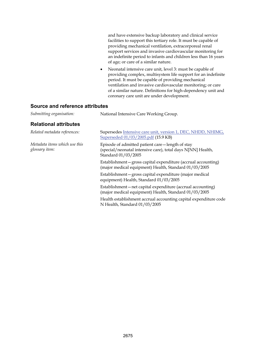and have extensive backup laboratory and clinical service facilities to support this tertiary role. It must be capable of providing mechanical ventilation, extracorporeal renal support services and invasive cardiovascular monitoring for an indefinite period to infants and children less than 16 years of age; or care of a similar nature.

 Neonatal intensive care unit, level 3: must be capable of providing complex, multisystem life support for an indefinite period. It must be capable of providing mechanical ventilation and invasive cardiovascular monitoring; or care of a similar nature. Definitions for high-dependency unit and coronary care unit are under development.

#### **Source and reference attributes**

| Submitting organisation: | National Intensive Care Working Group. |
|--------------------------|----------------------------------------|
|--------------------------|----------------------------------------|

#### **Relational attributes**

| Related metadata references:                    | Supersedes Intensive care unit, version 1, DEC, NHDD, NHIMG,<br>Superseded 01/03/2005.pdf (15.9 KB)                                   |
|-------------------------------------------------|---------------------------------------------------------------------------------------------------------------------------------------|
| Metadata items which use this<br>glossary item: | Episode of admitted patient care—length of stay<br>(special/neonatal intensive care), total days N[NN] Health,<br>Standard 01/03/2005 |
|                                                 | Establishment - gross capital expenditure (accrual accounting)<br>(major medical equipment) Health, Standard 01/03/2005               |
|                                                 | Establishment – gross capital expenditure (major medical<br>equipment) Health, Standard 01/03/2005                                    |
|                                                 | Establishment – net capital expenditure (accrual accounting)<br>(major medical equipment) Health, Standard 01/03/2005                 |
|                                                 | Health establishment accrual accounting capital expenditure code<br>N Health, Standard 01/03/2005                                     |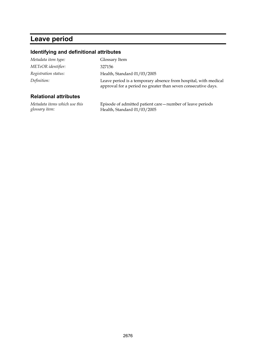## **Leave period**

#### **Identifying and definitional attributes**

| Delettenel ettäkiiten |                                                                                                                                  |
|-----------------------|----------------------------------------------------------------------------------------------------------------------------------|
| Definition:           | Leave period is a temporary absence from hospital, with medical<br>approval for a period no greater than seven consecutive days. |
| Registration status:  | Health, Standard 01/03/2005                                                                                                      |
| METeOR identifier:    | 327156                                                                                                                           |
| Metadata item type:   | Glossary Item                                                                                                                    |

#### **Relational attributes**

*Metadata items which use this glossary item:*

Episode of admitted patient care—number of leave periods Health, Standard 01/03/2005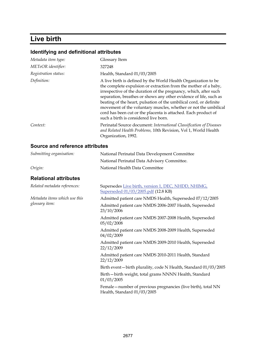# **Live birth**

| Metadata item type:                    | Glossary Item                                                                                                                                                                                                                                                                                                                                                                                                                                                                                                                  |
|----------------------------------------|--------------------------------------------------------------------------------------------------------------------------------------------------------------------------------------------------------------------------------------------------------------------------------------------------------------------------------------------------------------------------------------------------------------------------------------------------------------------------------------------------------------------------------|
| METeOR identifier:                     | 327248                                                                                                                                                                                                                                                                                                                                                                                                                                                                                                                         |
| Registration status:                   | Health, Standard 01/03/2005                                                                                                                                                                                                                                                                                                                                                                                                                                                                                                    |
| Definition:                            | A live birth is defined by the World Health Organization to be<br>the complete expulsion or extraction from the mother of a baby,<br>irrespective of the duration of the pregnancy, which, after such<br>separation, breathes or shows any other evidence of life, such as<br>beating of the heart, pulsation of the umbilical cord, or definite<br>movement of the voluntary muscles, whether or not the umbilical<br>cord has been cut or the placenta is attached. Each product of<br>such a birth is considered live born. |
| Context:                               | Perinatal Source document: International Classification of Diseases<br>and Related Health Problems, 10th Revision, Vol 1, World Health<br>Organization, 1992.                                                                                                                                                                                                                                                                                                                                                                  |
| <b>Source and reference attributes</b> |                                                                                                                                                                                                                                                                                                                                                                                                                                                                                                                                |

| Submitting organisation:      | National Perinatal Data Development Committee                                                 |
|-------------------------------|-----------------------------------------------------------------------------------------------|
|                               | National Perinatal Data Advisory Committee.                                                   |
| Origin:                       | National Health Data Committee                                                                |
| <b>Relational attributes</b>  |                                                                                               |
| Related metadata references:  | Supersedes Live birth, version 1, DEC, NHDD, NHIMG,<br>Superseded 01/03/2005.pdf (12.8 KB)    |
| Metadata items which use this | Admitted patient care NMDS Health, Superseded 07/12/2005                                      |
| glossary item:                | Admitted patient care NMDS 2006-2007 Health, Superseded<br>23/10/2006                         |
|                               | Admitted patient care NMDS 2007-2008 Health, Superseded<br>05/02/2008                         |
|                               | Admitted patient care NMDS 2008-2009 Health, Superseded<br>04/02/2009                         |
|                               | Admitted patient care NMDS 2009-2010 Health, Superseded<br>22/12/2009                         |
|                               | Admitted patient care NMDS 2010-2011 Health, Standard<br>22/12/2009                           |
|                               | Birth event-birth plurality, code N Health, Standard 01/03/2005                               |
|                               | Birth-birth weight, total grams NNNN Health, Standard<br>01/03/2005                           |
|                               | Female - number of previous pregnancies (live birth), total NN<br>Health, Standard 01/03/2005 |
|                               |                                                                                               |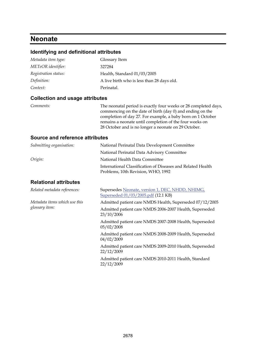### **Neonate**

#### **Identifying and definitional attributes**

| Metadata item type:  | Glossary Item                              |
|----------------------|--------------------------------------------|
| METeOR identifier:   | 327284                                     |
| Registration status: | Health, Standard 01/03/2005                |
| Definition:          | A live birth who is less than 28 days old. |
| Context:             | Perinatal.                                 |

#### **Collection and usage attributes**

*Comments:* The neonatal period is exactly four weeks or 28 completed days, commencing on the date of birth (day 0) and ending on the completion of day 27. For example, a baby born on 1 October remains a neonate until completion of the four weeks on 28 October and is no longer a neonate on 29 October.

#### **Source and reference attributes**

| Submitting organisation: | National Perinatal Data Development Committee                                                     |
|--------------------------|---------------------------------------------------------------------------------------------------|
|                          | National Perinatal Data Advisory Committee                                                        |
| Origin:                  | National Health Data Committee                                                                    |
|                          | International Classification of Diseases and Related Health<br>Problems, 10th Revision, WHO, 1992 |

#### **Relational attributes**

*Metadata items which use this glossary item:*

*Related metadata references:* Supersedes [Neonate, version 1, DEC, NHDD, NHIMG,](http://meteor.aihw.gov.au/content/item.phtml?itemId=273074&nodeId=file4219375ec7088&fn=Neonate,%20version%201,%20DEC,%20NHDD,%20NHIMG,%20Superseded%2001/03/2005.pdf)  [Superseded 01/03/2005.pdf](http://meteor.aihw.gov.au/content/item.phtml?itemId=273074&nodeId=file4219375ec7088&fn=Neonate,%20version%201,%20DEC,%20NHDD,%20NHIMG,%20Superseded%2001/03/2005.pdf) (12.1 KB)

Admitted patient care NMDS Health, Superseded 07/12/2005

Admitted patient care NMDS 2006-2007 Health, Superseded 23/10/2006

Admitted patient care NMDS 2007-2008 Health, Superseded 05/02/2008

Admitted patient care NMDS 2008-2009 Health, Superseded 04/02/2009

Admitted patient care NMDS 2009-2010 Health, Superseded 22/12/2009

Admitted patient care NMDS 2010-2011 Health, Standard 22/12/2009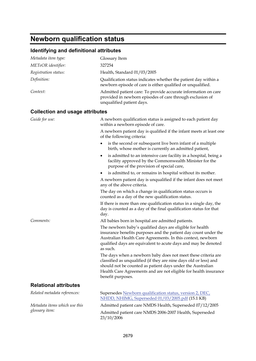# **Newborn qualification status**

| Metadata item type:                    | Glossary Item                                                                                                                                                                                                                                                                             |
|----------------------------------------|-------------------------------------------------------------------------------------------------------------------------------------------------------------------------------------------------------------------------------------------------------------------------------------------|
| METeOR identifier:                     | 327254                                                                                                                                                                                                                                                                                    |
| Registration status:                   | Health, Standard 01/03/2005                                                                                                                                                                                                                                                               |
| Definition:                            | Qualification status indicates whether the patient day within a<br>newborn episode of care is either qualified or unqualified.                                                                                                                                                            |
| Context:                               | Admitted patient care: To provide accurate information on care<br>provided in newborn episodes of care through exclusion of<br>unqualified patient days.                                                                                                                                  |
| <b>Collection and usage attributes</b> |                                                                                                                                                                                                                                                                                           |
| Guide for use:                         | A newborn qualification status is assigned to each patient day<br>within a newborn episode of care.                                                                                                                                                                                       |
|                                        | A newborn patient day is qualified if the infant meets at least one<br>of the following criteria:                                                                                                                                                                                         |
|                                        | is the second or subsequent live born infant of a multiple<br>birth, whose mother is currently an admitted patient,                                                                                                                                                                       |
|                                        | is admitted to an intensive care facility in a hospital, being a<br>٠<br>facility approved by the Commonwealth Minister for the<br>purpose of the provision of special care,                                                                                                              |
|                                        | is admitted to, or remains in hospital without its mother.<br>٠                                                                                                                                                                                                                           |
|                                        | A newborn patient day is unqualified if the infant does not meet<br>any of the above criteria.                                                                                                                                                                                            |
|                                        | The day on which a change in qualification status occurs is<br>counted as a day of the new qualification status.                                                                                                                                                                          |
|                                        | If there is more than one qualification status in a single day, the<br>day is counted as a day of the final qualification status for that<br>day.                                                                                                                                         |
| Comments:                              | All babies born in hospital are admitted patients.                                                                                                                                                                                                                                        |
|                                        | The newborn baby's qualified days are eligible for health<br>insurance benefits purposes and the patient day count under the<br>Australian Health Care Agreements. In this context, newborn<br>qualified days are equivalent to acute days and may be denoted<br>as such.                 |
|                                        | The days when a newborn baby does not meet these criteria are<br>classified as unqualified (if they are nine days old or less) and<br>should not be counted as patient days under the Australian<br>Health Care Agreements and are not eligible for health insurance<br>benefit purposes. |
| <b>Relational attributes</b>           |                                                                                                                                                                                                                                                                                           |
| Related metadata references:           | Supersedes Newborn qualification status, version 2, DEC,<br>NHDD, NHIMG, Superseded 01/03/2005.pdf (15.1 KB)                                                                                                                                                                              |
| Metadata items which use this          | Admitted patient care NMDS Health, Superseded 07/12/2005                                                                                                                                                                                                                                  |
| glossary item:                         | Admitted patient care NMDS 2006-2007 Health, Superseded<br>23/10/2006                                                                                                                                                                                                                     |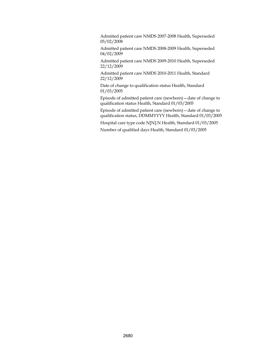Admitted patient care NMDS 2007-2008 Health, Superseded 05/02/2008

Admitted patient care NMDS 2008-2009 Health, Superseded 04/02/2009

Admitted patient care NMDS 2009-2010 Health, Superseded 22/12/2009

Admitted patient care NMDS 2010-2011 Health, Standard 22/12/2009

Date of change to qualification status Health, Standard 01/03/2005

Episode of admitted patient care (newborn)—date of change to qualification status Health, Standard 01/03/2005

Episode of admitted patient care (newborn)—date of change to qualification status, DDMMYYYY Health, Standard 01/03/2005

Hospital care type code N[N].N Health, Standard 01/03/2005

```
Number of qualified days Health, Standard 01/03/2005
```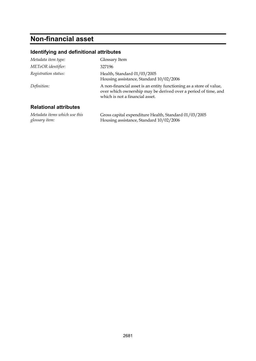# **Non-financial asset**

#### **Identifying and definitional attributes**

| Metadata item type:          | Glossary Item                                                                                                                                                            |
|------------------------------|--------------------------------------------------------------------------------------------------------------------------------------------------------------------------|
| METeOR identifier:           | 327196                                                                                                                                                                   |
| Registration status:         | Health, Standard 01/03/2005<br>Housing assistance, Standard 10/02/2006                                                                                                   |
| Definition:                  | A non-financial asset is an entity functioning as a store of value,<br>over which ownership may be derived over a period of time, and<br>which is not a financial asset. |
| <b>Relational attributes</b> |                                                                                                                                                                          |

*Metadata items which use this glossary item:* Gross capital expenditure Health, Standard 01/03/2005 Housing assistance, Standard 10/02/2006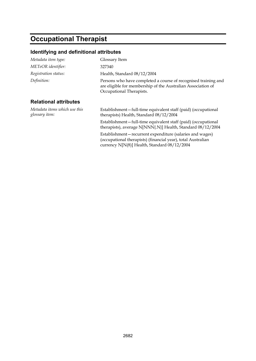# **Occupational Therapist**

| Metadata item type:                             | Glossary Item                                                                                                                                                              |
|-------------------------------------------------|----------------------------------------------------------------------------------------------------------------------------------------------------------------------------|
| METeOR identifier:                              | 327340                                                                                                                                                                     |
| Registration status:                            | Health, Standard 08/12/2004                                                                                                                                                |
| Definition:                                     | Persons who have completed a course of recognised training and<br>are eligible for membership of the Australian Association of<br>Occupational Therapists.                 |
| <b>Relational attributes</b>                    |                                                                                                                                                                            |
| Metadata items which use this<br>glossary item: | Establishment-full-time equivalent staff (paid) (occupational<br>therapists) Health, Standard 08/12/2004                                                                   |
|                                                 | Establishment-full-time equivalent staff (paid) (occupational<br>therapists), average N[NNN{.N}] Health, Standard 08/12/2004                                               |
|                                                 | Establishment – recurrent expenditure (salaries and wages)<br>(occupational therapists) (financial year), total Australian<br>currency N[N(8)] Health, Standard 08/12/2004 |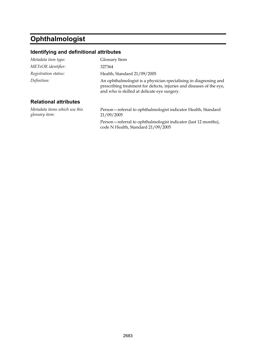# **Ophthalmologist**

#### **Identifying and definitional attributes**

| Metadata item type:                             | Glossary Item                                                                                                                                                                           |
|-------------------------------------------------|-----------------------------------------------------------------------------------------------------------------------------------------------------------------------------------------|
| METeOR identifier:                              | 327364                                                                                                                                                                                  |
| Registration status:                            | Health, Standard 21/09/2005                                                                                                                                                             |
| Definition:                                     | An ophthalmologist is a physician specialising in diagnosing and<br>prescribing treatment for defects, injuries and diseases of the eye,<br>and who is skilled at delicate eye surgery. |
| <b>Relational attributes</b>                    |                                                                                                                                                                                         |
| Metadata items which use this<br>glossary item: | Person-referral to ophthalmologist indicator Health, Standard<br>21/09/2005                                                                                                             |

Person—referral to ophthalmologist indicator (last 12 months), code N Health, Standard 21/09/2005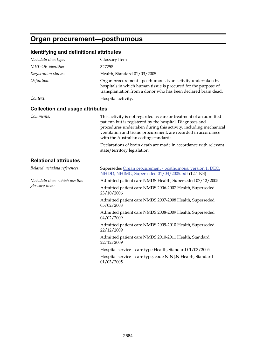# **Organ procurement—posthumous**

| Metadata item type:                             | Glossary Item                                                                                                                                                                                                                                                                                                 |
|-------------------------------------------------|---------------------------------------------------------------------------------------------------------------------------------------------------------------------------------------------------------------------------------------------------------------------------------------------------------------|
| METeOR identifier:                              | 327258                                                                                                                                                                                                                                                                                                        |
| Registration status:                            | Health, Standard 01/03/2005                                                                                                                                                                                                                                                                                   |
| Definition:                                     | Organ procurement - posthumous is an activity undertaken by<br>hospitals in which human tissue is procured for the purpose of<br>transplantation from a donor who has been declared brain dead.                                                                                                               |
| Context:                                        | Hospital activity.                                                                                                                                                                                                                                                                                            |
| <b>Collection and usage attributes</b>          |                                                                                                                                                                                                                                                                                                               |
| Comments:                                       | This activity is not regarded as care or treatment of an admitted<br>patient, but is registered by the hospital. Diagnoses and<br>procedures undertaken during this activity, including mechanical<br>ventilation and tissue procurement, are recorded in accordance<br>with the Australian coding standards. |
|                                                 | Declarations of brain death are made in accordance with relevant<br>state/territory legislation.                                                                                                                                                                                                              |
| <b>Relational attributes</b>                    |                                                                                                                                                                                                                                                                                                               |
| Related metadata references:                    | Supersedes Organ procurement - posthumous, version 1, DEC,<br>NHDD, NHIMG, Superseded 01/03/2005.pdf (12.1 KB)                                                                                                                                                                                                |
| Metadata items which use this<br>glossary item: | Admitted patient care NMDS Health, Superseded 07/12/2005                                                                                                                                                                                                                                                      |
|                                                 | Admitted patient care NMDS 2006-2007 Health, Superseded<br>23/10/2006                                                                                                                                                                                                                                         |
|                                                 | Admitted patient care NMDS 2007-2008 Health, Superseded<br>05/02/2008                                                                                                                                                                                                                                         |
|                                                 | Admitted patient care NMDS 2008-2009 Health, Superseded<br>04/02/2009                                                                                                                                                                                                                                         |
|                                                 | Admitted patient care NMDS 2009-2010 Health, Superseded<br>22/12/2009                                                                                                                                                                                                                                         |
|                                                 | Admitted patient care NMDS 2010-2011 Health, Standard<br>22/12/2009                                                                                                                                                                                                                                           |
|                                                 | Hospital service - care type Health, Standard 01/03/2005                                                                                                                                                                                                                                                      |
|                                                 | Hospital service - care type, code N[N].N Health, Standard<br>01/03/2005                                                                                                                                                                                                                                      |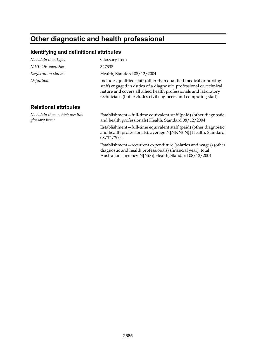# **Other diagnostic and health professional**

| Metadata item type:                             | Glossary Item                                                                                                                                                                                                                                                                   |
|-------------------------------------------------|---------------------------------------------------------------------------------------------------------------------------------------------------------------------------------------------------------------------------------------------------------------------------------|
| METeOR identifier:                              | 327338                                                                                                                                                                                                                                                                          |
| Registration status:                            | Health, Standard 08/12/2004                                                                                                                                                                                                                                                     |
| Definition:                                     | Includes qualified staff (other than qualified medical or nursing<br>staff) engaged in duties of a diagnostic, professional or technical<br>nature and covers all allied health professionals and laboratory<br>technicians (but excludes civil engineers and computing staff). |
| <b>Relational attributes</b>                    |                                                                                                                                                                                                                                                                                 |
| Metadata items which use this<br>glossary item: | Establishment-full-time equivalent staff (paid) (other diagnostic<br>and health professionals) Health, Standard 08/12/2004                                                                                                                                                      |
|                                                 | Establishment-full-time equivalent staff (paid) (other diagnostic<br>and health professionals), average N[NNN{.N}] Health, Standard<br>08/12/2004                                                                                                                               |
|                                                 | Establishment - recurrent expenditure (salaries and wages) (other<br>diagnostic and health professionals) (financial year), total<br>Australian currency N[N(8)] Health, Standard 08/12/2004                                                                                    |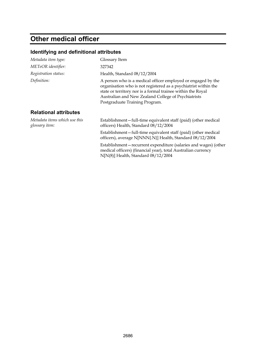# **Other medical officer**

| Metadata item type:                             | Glossary Item                                                                                                                                                                                                                                                                           |
|-------------------------------------------------|-----------------------------------------------------------------------------------------------------------------------------------------------------------------------------------------------------------------------------------------------------------------------------------------|
| METeOR identifier:                              | 327342                                                                                                                                                                                                                                                                                  |
| Registration status:                            | Health, Standard 08/12/2004                                                                                                                                                                                                                                                             |
| Definition:                                     | A person who is a medical officer employed or engaged by the<br>organisation who is not registered as a psychiatrist within the<br>state or territory nor is a formal trainee within the Royal<br>Australian and New Zealand College of Psychiatrists<br>Postgraduate Training Program. |
| <b>Relational attributes</b>                    |                                                                                                                                                                                                                                                                                         |
| Metadata items which use this<br>glossary item: | Establishment-full-time equivalent staff (paid) (other medical<br>officers) Health, Standard 08/12/2004                                                                                                                                                                                 |
|                                                 | Establishment-full-time equivalent staff (paid) (other medical<br>officers), average N[NNN{.N}] Health, Standard 08/12/2004                                                                                                                                                             |
|                                                 | Establishment - recurrent expenditure (salaries and wages) (other<br>medical officers) (financial year), total Australian currency<br>$N[N(8)]$ Health, Standard $08/12/2004$                                                                                                           |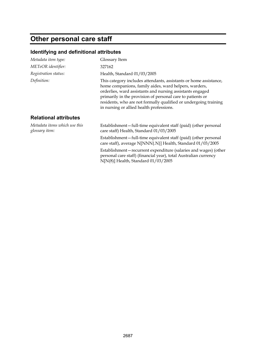# **Other personal care staff**

| Metadata item type:                             | Glossary Item                                                                                                                                                                                                                                                                                                                                                         |
|-------------------------------------------------|-----------------------------------------------------------------------------------------------------------------------------------------------------------------------------------------------------------------------------------------------------------------------------------------------------------------------------------------------------------------------|
| METeOR identifier:                              | 327162                                                                                                                                                                                                                                                                                                                                                                |
| Registration status:                            | Health, Standard 01/03/2005                                                                                                                                                                                                                                                                                                                                           |
| Definition:                                     | This category includes attendants, assistants or home assistance,<br>home companions, family aides, ward helpers, warders,<br>orderlies, ward assistants and nursing assistants engaged<br>primarily in the provision of personal care to patients or<br>residents, who are not formally qualified or undergoing training<br>in nursing or allied health professions. |
| <b>Relational attributes</b>                    |                                                                                                                                                                                                                                                                                                                                                                       |
| Metadata items which use this<br>glossary item: | Establishment – full-time equivalent staff (paid) (other personal<br>care staff) Health, Standard 01/03/2005                                                                                                                                                                                                                                                          |
|                                                 | Establishment – full-time equivalent staff (paid) (other personal<br>care staff), average N[NNN{.N}] Health, Standard 01/03/2005                                                                                                                                                                                                                                      |
|                                                 | Establishment – recurrent expenditure (salaries and wages) (other<br>personal care staff) (financial year), total Australian currency<br>N[N(8)] Health, Standard 01/03/2005                                                                                                                                                                                          |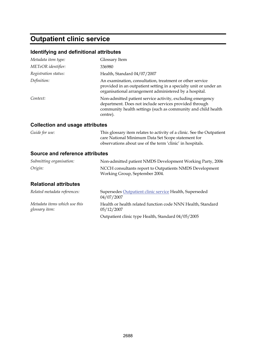# **Outpatient clinic service**

#### **Identifying and definitional attributes**

| Metadata item type:  | Glossary Item                                                                                                                                                                                     |
|----------------------|---------------------------------------------------------------------------------------------------------------------------------------------------------------------------------------------------|
| METeOR identifier:   | 336980                                                                                                                                                                                            |
| Registration status: | Health, Standard 04/07/2007                                                                                                                                                                       |
| Definition:          | An examination, consultation, treatment or other service<br>provided in an outpatient setting in a specialty unit or under an<br>organisational arrangement administered by a hospital.           |
| Context:             | Non-admitted patient service activity, excluding emergency<br>department. Does not include services provided through<br>community health settings (such as community and child health<br>centre). |

#### **Collection and usage attributes**

| Guide for use:                  | This glossary item relates to activity of a clinic. See the Outpatient<br>care National Minimum Data Set Scope statement for<br>observations about use of the term 'clinic' in hospitals. |  |
|---------------------------------|-------------------------------------------------------------------------------------------------------------------------------------------------------------------------------------------|--|
| Source and reference attributes |                                                                                                                                                                                           |  |
| Submitting organisation:        | Non-admitted patient NMDS Development Working Party, 2006                                                                                                                                 |  |
| Origin:                         | NCCH consultants report to Outpatients NMDS Development                                                                                                                                   |  |

Working Group, September 2004.

#### **Relational attributes**

| Related metadata references:                    | Supersedes Outpatient clinic service Health, Superseded<br>04/07/2007     |
|-------------------------------------------------|---------------------------------------------------------------------------|
| Metadata items which use this<br>glossary item: | Health or health related function code NNN Health, Standard<br>05/12/2007 |
|                                                 | Outpatient clinic type Health, Standard 04/05/2005                        |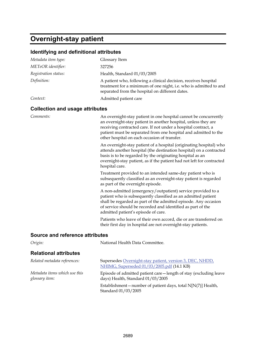## **Overnight-stay patient**

#### **Identifying and definitional attributes**

| Metadata item type:                    | Glossary Item                                                                                                                                                                                                                                                                                                           |
|----------------------------------------|-------------------------------------------------------------------------------------------------------------------------------------------------------------------------------------------------------------------------------------------------------------------------------------------------------------------------|
| METeOR identifier:                     | 327256                                                                                                                                                                                                                                                                                                                  |
| Registration status:                   | Health, Standard 01/03/2005                                                                                                                                                                                                                                                                                             |
| Definition:                            | A patient who, following a clinical decision, receives hospital<br>treatment for a minimum of one night, i.e. who is admitted to and<br>separated from the hospital on different dates.                                                                                                                                 |
| Context:                               | Admitted patient care                                                                                                                                                                                                                                                                                                   |
| <b>Collection and usage attributes</b> |                                                                                                                                                                                                                                                                                                                         |
| Comments:                              | An overnight-stay patient in one hospital cannot be concurrently<br>an overnight-stay patient in another hospital, unless they are<br>receiving contracted care. If not under a hospital contract, a<br>patient must be separated from one hospital and admitted to the<br>other hospital on each occasion of transfer. |
|                                        | An overnight-stay patient of a hospital (originating hospital) who<br>attends another hospital (the destination hospital) on a contracted<br>basis is to be regarded by the originating hospital as an<br>overnight-stay patient, as if the patient had not left for contracted<br>hospital care.                       |
|                                        | Treatment provided to an intended same-day patient who is<br>subsequently classified as an overnight-stay patient is regarded<br>as part of the overnight episode.                                                                                                                                                      |
|                                        | A non-admitted (emergency/outpatient) service provided to a<br>patient who is subsequently classified as an admitted patient<br>shall be regarded as part of the admitted episode. Any occasion<br>of service should be recorded and identified as part of the                                                          |

Patients who leave of their own accord, die or are transferred on their first day in hospital are not overnight-stay patients.

#### **Source and reference attributes**

*Origin:* National Health Data Committee.

| <b>Relational attributes</b>                    |                                                                                                        |
|-------------------------------------------------|--------------------------------------------------------------------------------------------------------|
| Related metadata references:                    | Supersedes Overnight-stay patient, version 3, DEC, NHDD,<br>NHIMG, Superseded 01/03/2005.pdf (14.1 KB) |
| Metadata items which use this<br>glossary item: | Episode of admitted patient care—length of stay (excluding leave<br>days) Health, Standard 01/03/2005  |
|                                                 | Establishment – number of patient days, total $N[N(7)]$ Health,<br>Standard 01/03/2005                 |

admitted patient's episode of care.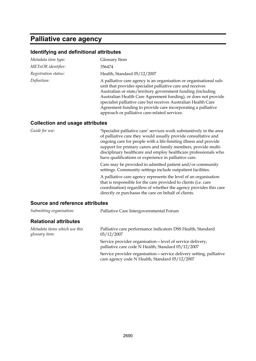## **Palliative care agency**

#### **Identifying and definitional attributes**

| Metadata item type:                    | Glossary Item                                                                                                                                                                                                                                                                                                                                                                                                                                        |
|----------------------------------------|------------------------------------------------------------------------------------------------------------------------------------------------------------------------------------------------------------------------------------------------------------------------------------------------------------------------------------------------------------------------------------------------------------------------------------------------------|
| METeOR identifier:                     | 356474                                                                                                                                                                                                                                                                                                                                                                                                                                               |
| Registration status:                   | Health, Standard 05/12/2007                                                                                                                                                                                                                                                                                                                                                                                                                          |
| Definition:                            | A palliative care agency is an organisation or organisational sub-<br>unit that provides specialist palliative care and receives<br>Australian or state/territory government funding (including<br>Australian Health Care Agreement funding), or does not provide<br>specialist palliative care but receives Australian Health Care<br>Agreement funding to provide care incorporating a palliative<br>approach or palliative care-related services. |
| <b>Collection and usage attributes</b> |                                                                                                                                                                                                                                                                                                                                                                                                                                                      |
| Guide for use:                         | 'Specialist palliative care' services work substantively in the area                                                                                                                                                                                                                                                                                                                                                                                 |

of palliative care they would usually provide consultative and ongoing care for people with a life-limiting illness and provide support for primary carers and family members, provide multidisciplinary healthcare and employ healthcare professionals who have qualifications or experience in palliative care.

Care may be provided in admitted patient and/or community settings. Community settings include outpatient facilities.

A palliative care agency represents the level of an organisation that is responsible for the care provided to clients (i.e. care coordination) regardless of whether the agency provides this care directly or purchases the care on behalf of clients.

#### **Source and reference attributes**

| Submitting organisation:                        | Palliative Care Intergovernmental Forum                                                                                |
|-------------------------------------------------|------------------------------------------------------------------------------------------------------------------------|
| <b>Relational attributes</b>                    |                                                                                                                        |
| Metadata items which use this<br>glossary item: | Palliative care performance indicators DSS Health, Standard<br>05/12/2007                                              |
|                                                 | Service provider organisation—level of service delivery,<br>palliative care code N Health, Standard 05/12/2007         |
|                                                 | Service provider organisation - service delivery setting, palliative<br>care agency code N Health, Standard 05/12/2007 |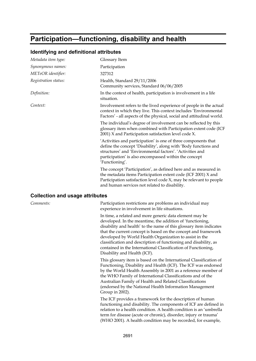## **Participation—functioning, disability and health**

| Metadata item type:                    | Glossary Item                                                                                                                                                                                                                                                            |
|----------------------------------------|--------------------------------------------------------------------------------------------------------------------------------------------------------------------------------------------------------------------------------------------------------------------------|
| Synonymous names:                      | Participation                                                                                                                                                                                                                                                            |
| METeOR identifier:                     | 327312                                                                                                                                                                                                                                                                   |
| Registration status:                   | Health, Standard 29/11/2006<br>Community services, Standard 06/06/2005                                                                                                                                                                                                   |
| Definition:                            | In the context of health, participation is involvement in a life<br>situation.                                                                                                                                                                                           |
| Context:                               | Involvement refers to the lived experience of people in the actual<br>context in which they live. This context includes 'Environmental<br>Factors' - all aspects of the physical, social and attitudinal world.                                                          |
|                                        | The individual's degree of involvement can be reflected by this<br>glossary item when combined with Participation extent code (ICF<br>2001) X and Participation satisfaction level code X.                                                                               |
|                                        | 'Activities and participation' is one of three components that<br>define the concept 'Disability', along with 'Body functions and<br>structures' and 'Environmental factors'. 'Activities and<br>participation' is also encompassed within the concept<br>'Functioning'. |
|                                        | The concept 'Participation', as defined here and as measured in<br>the metadata items Participation extent code (ICF 2001) X and<br>Participation satisfaction level code X, may be relevant to people<br>and human services not related to disability.                  |
| <b>Collection and usage attributes</b> |                                                                                                                                                                                                                                                                          |

#### **Identifying and definitional attributes**

#### **Collection and usage attributes**

*Comments:* Participation restrictions are problems an individual may experience in involvement in life situations.

> In time, a related and more generic data element may be developed. In the meantime, the addition of 'functioning, disability and health' to the name of this glossary item indicates that the current concept is based on the concept and framework developed by World Health Organization to assist in the classification and description of functioning and disability, as contained in the International Classification of Functioning, Disability and Health (ICF).

> This glossary item is based on the International Classification of Functioning, Disability and Health (ICF). The ICF was endorsed by the World Health Assembly in 2001 as a reference member of the WHO Family of International Classifications and of the Australian Family of Health and Related Classifications (endorsed by the National Health Information Management Group in 2002).

The ICF provides a framework for the description of human functioning and disability. The components of ICF are defined in relation to a health condition. A health condition is an 'umbrella term for disease (acute or chronic), disorder, injury or trauma' (WHO 2001). A health condition may be recorded, for example,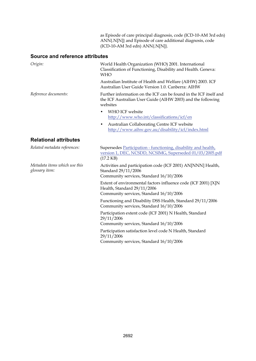as Episode of care principal diagnosis, code (ICD-10-AM 3rd edn) ANN{.N[N]} and Episode of care additional diagnosis, code (ICD-10-AM 3rd edn) ANN{.N[N]}.

#### **Source and reference attributes**

| Origin:                                         | World Health Organization (WHO) 2001. International<br>Classification of Functioning, Disability and Health. Geneva:<br><b>WHO</b>           |
|-------------------------------------------------|----------------------------------------------------------------------------------------------------------------------------------------------|
|                                                 | Australian Institute of Health and Welfare (AIHW) 2003. ICF<br>Australian User Guide Version 1.0. Canberra: AIHW                             |
| Reference documents:                            | Further information on the ICF can be found in the ICF itself and<br>the ICF Australian User Guide (AIHW 2003) and the following<br>websites |
|                                                 | WHO ICF website<br>٠<br>http://www.who.int/classifications/icf/en                                                                            |
|                                                 | Australian Collaborating Centre ICF website<br>٠<br>http://www.aihw.gov.au/disability/icf/index.html                                         |
| <b>Relational attributes</b>                    |                                                                                                                                              |
| Related metadata references:                    | Supersedes Participation - functioning, disability and health,<br>version 1, DEC, NCSDD, NCSIMG, Superseded 01/03/2005.pdf<br>$(17.2$ KB)    |
| Metadata items which use this<br>glossary item: | Activities and participation code (ICF 2001) AN[NNN] Health,<br>Standard 29/11/2006<br>Community services, Standard 16/10/2006               |
|                                                 | Extent of environmental factors influence code (ICF 2001) [X]N<br>Health, Standard 29/11/2006<br>Community services, Standard 16/10/2006     |
|                                                 | Functioning and Disability DSS Health, Standard 29/11/2006<br>Community services, Standard 16/10/2006                                        |
|                                                 | Participation extent code (ICF 2001) N Health, Standard<br>29/11/2006<br>Community services, Standard 16/10/2006                             |
|                                                 | Participation satisfaction level code N Health, Standard<br>29/11/2006<br>Community services, Standard 16/10/2006                            |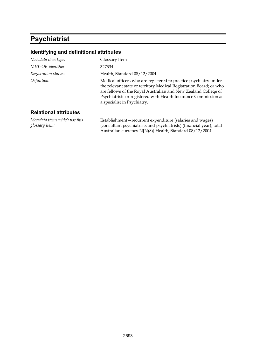## **Psychiatrist**

#### **Identifying and definitional attributes**

| Metadata item type:           | Glossary Item                                                                                                                                                                                                                                                                                              |
|-------------------------------|------------------------------------------------------------------------------------------------------------------------------------------------------------------------------------------------------------------------------------------------------------------------------------------------------------|
| METeOR identifier:            | 327334                                                                                                                                                                                                                                                                                                     |
| Registration status:          | Health, Standard 08/12/2004                                                                                                                                                                                                                                                                                |
| Definition:                   | Medical officers who are registered to practice psychiatry under<br>the relevant state or territory Medical Registration Board; or who<br>are fellows of the Royal Australian and New Zealand College of<br>Psychiatrists or registered with Health Insurance Commission as<br>a specialist in Psychiatry. |
| <b>Relational attributes</b>  |                                                                                                                                                                                                                                                                                                            |
| Metadata items which use this | Establishment – recurrent expenditure (salaries and wages)                                                                                                                                                                                                                                                 |

*glossary item:*

(consultant psychiatrists and psychiatrists) (financial year), total Australian currency N[N(8)] Health, Standard 08/12/2004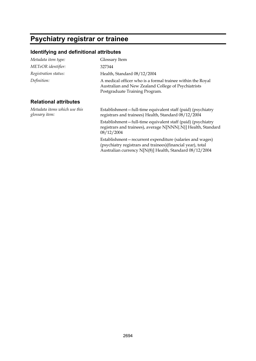# **Psychiatry registrar or trainee**

### **Identifying and definitional attributes**

| Metadata item type:                             | Glossary Item                                                                                                                                       |
|-------------------------------------------------|-----------------------------------------------------------------------------------------------------------------------------------------------------|
| METeOR identifier:                              | 327344                                                                                                                                              |
| Registration status:                            | Health, Standard 08/12/2004                                                                                                                         |
| Definition:                                     | A medical officer who is a formal trainee within the Royal<br>Australian and New Zealand College of Psychiatrists<br>Postgraduate Training Program. |
| <b>Relational attributes</b>                    |                                                                                                                                                     |
| Metadata items which use this<br>glossary item: | Establishment-full-time equivalent staff (paid) (psychiatry<br>registrars and trainees) Health, Standard 08/12/2004                                 |
|                                                 | Establishment-full-time equivalent staff (paid) (psychiatry<br>registrars and trainees), average N[NNN{.N}] Health, Standard<br>08/12/2004          |
|                                                 | Establishment-recurrent expenditure (salaries and wages)<br>(psychiatry registrars and trainees) (financial year), total                            |

Australian currency N[N(8)] Health, Standard 08/12/2004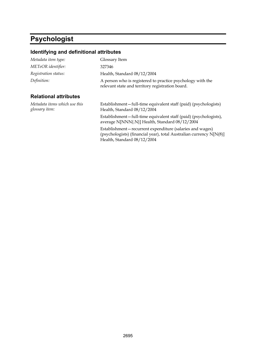# **Psychologist**

| Metadata item type:                             | Glossary Item                                                                                                                                                  |
|-------------------------------------------------|----------------------------------------------------------------------------------------------------------------------------------------------------------------|
| METeOR identifier:                              | 327346                                                                                                                                                         |
| Registration status:                            | Health, Standard 08/12/2004                                                                                                                                    |
| Definition:                                     | A person who is registered to practice psychology with the<br>relevant state and territory registration board.                                                 |
| <b>Relational attributes</b>                    |                                                                                                                                                                |
| Metadata items which use this<br>glossary item: | Establishment-full-time equivalent staff (paid) (psychologists)<br>Health, Standard 08/12/2004                                                                 |
|                                                 | Establishment-full-time equivalent staff (paid) (psychologists),<br>average N[NNN{.N}] Health, Standard 08/12/2004                                             |
|                                                 | Establishment-recurrent expenditure (salaries and wages)<br>(psychologists) (financial year), total Australian currency N[N(8)]<br>Health, Standard 08/12/2004 |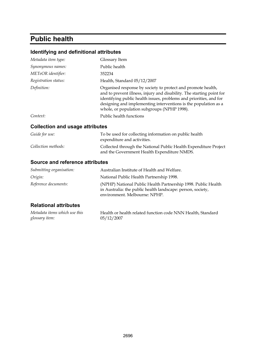# **Public health**

### **Identifying and definitional attributes**

| Osllaattam amal waa ma attuikwitaa |                                                                                                                                                                                                                                                                                                                               |
|------------------------------------|-------------------------------------------------------------------------------------------------------------------------------------------------------------------------------------------------------------------------------------------------------------------------------------------------------------------------------|
| Context:                           | Public health functions                                                                                                                                                                                                                                                                                                       |
| Definition:                        | Organised response by society to protect and promote health,<br>and to prevent illness, injury and disability. The starting point for<br>identifying public health issues, problems and priorities, and for<br>designing and implementing interventions is the population as a<br>whole, or population subgroups (NPHP 1998). |
| Registration status:               | Health, Standard 05/12/2007                                                                                                                                                                                                                                                                                                   |
| METeOR identifier:                 | 352234                                                                                                                                                                                                                                                                                                                        |
| Synonymous names:                  | Public health                                                                                                                                                                                                                                                                                                                 |
| Metadata item type:                | Glossary Item                                                                                                                                                                                                                                                                                                                 |

#### **Collection and usage attributes**

| Guide for use:      | To be used for collecting information on public health<br>expenditure and activities.                           |
|---------------------|-----------------------------------------------------------------------------------------------------------------|
| Collection methods: | Collected through the National Public Health Expenditure Project<br>and the Government Health Expenditure NMDS. |

#### **Source and reference attributes**

| Submitting organisation: | Australian Institute of Health and Welfare.                                                                                                                   |
|--------------------------|---------------------------------------------------------------------------------------------------------------------------------------------------------------|
| Origin:                  | National Public Health Partnership 1998.                                                                                                                      |
| Reference documents:     | (NPHP) National Public Health Partnership 1998. Public Health<br>in Australia: the public health landscape: person, society,<br>environment. Melbourne: NPHP. |

## **Relational attributes**

| Metadata items which use this | Health or health related function code NNN Health, Standard |
|-------------------------------|-------------------------------------------------------------|
| glossary item:                | 05/12/2007                                                  |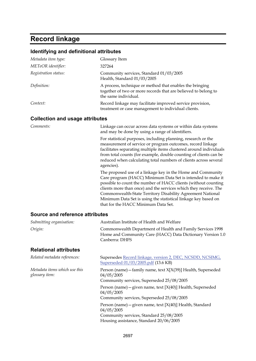# **Record linkage**

### **Identifying and definitional attributes**

| Metadata item type:                    | Glossary Item                                                                                                                                                                                                                                                                                                                                                                                                                           |  |
|----------------------------------------|-----------------------------------------------------------------------------------------------------------------------------------------------------------------------------------------------------------------------------------------------------------------------------------------------------------------------------------------------------------------------------------------------------------------------------------------|--|
| METeOR identifier:                     | 327264                                                                                                                                                                                                                                                                                                                                                                                                                                  |  |
| Registration status:                   | Community services, Standard 01/03/2005<br>Health, Standard 01/03/2005                                                                                                                                                                                                                                                                                                                                                                  |  |
| Definition:                            | A process, technique or method that enables the bringing<br>together of two or more records that are believed to belong to<br>the same individual.                                                                                                                                                                                                                                                                                      |  |
| Context:                               | Record linkage may facilitate improved service provision,<br>treatment or case management to individual clients.                                                                                                                                                                                                                                                                                                                        |  |
| <b>Collection and usage attributes</b> |                                                                                                                                                                                                                                                                                                                                                                                                                                         |  |
| Comments:                              | Linkage can occur across data systems or within data systems<br>and may be done by using a range of identifiers.                                                                                                                                                                                                                                                                                                                        |  |
|                                        | For statistical purposes, including planning, research or the<br>measurement of service or program outcomes, record linkage<br>facilitates separating multiple items clustered around individuals<br>from total counts (for example, double counting of clients can be<br>reduced when calculating total numbers of clients across several<br>agencies).                                                                                |  |
|                                        | The proposed use of a linkage key in the Home and Community<br>Care program (HACC) Minimum Data Set is intended to make it<br>possible to count the number of HACC clients (without counting<br>clients more than once) and the services which they receive. The<br>Commonwealth-State Territory Disability Agreement National<br>Minimum Data Set is using the statistical linkage key based on<br>that for the HACC Minimum Data Set. |  |
| Source and reference attributes        |                                                                                                                                                                                                                                                                                                                                                                                                                                         |  |
| Submitting organisation:               | Australian Institute of Health and Welfare                                                                                                                                                                                                                                                                                                                                                                                              |  |

| $\sim$ and $\sim$ and $\sim$ $\sim$ $\sim$ $\sim$ $\sim$ $\sim$ |                                                                                                                                            |  |  |
|-----------------------------------------------------------------|--------------------------------------------------------------------------------------------------------------------------------------------|--|--|
| Origin:                                                         | Commonwealth Department of Health and Family Services 1998<br>Home and Community Care (HACC) Data Dictionary Version 1.0<br>Canberra: DHFS |  |  |
| <b>Relational attributes</b>                                    |                                                                                                                                            |  |  |
| Related metadata references:                                    | Supersedes Record linkage, version 2, DEC, NCSDD, NCSIMG,<br>Superseded 01/03/2005.pdf (13.6 KB)                                           |  |  |
| Metadata items which use this<br>glossary item:                 | Person (name) - family name, text X[X(39)] Health, Superseded<br>04/05/2005<br>Community services, Superseded 25/08/2005                   |  |  |
|                                                                 | Person (name) - given name, text $[X(40)]$ Health, Superseded<br>04/05/2005<br>Community services, Superseded 25/08/2005                   |  |  |
|                                                                 | Person (name) - given name, text $[X(40)]$ Health, Standard<br>04/05/2005                                                                  |  |  |

Community services, Standard 25/08/2005 Housing assistance, Standard 20/06/2005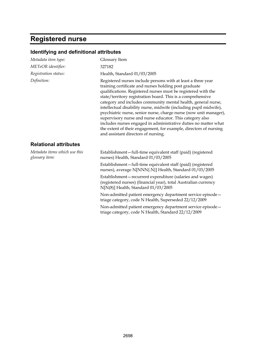# **Registered nurse**

| Metadata item type:                             | Glossary Item                                                                                                                                                                                                                                                                                                                                                                                                                                                                                                                                                                                                                                                                                               |  |
|-------------------------------------------------|-------------------------------------------------------------------------------------------------------------------------------------------------------------------------------------------------------------------------------------------------------------------------------------------------------------------------------------------------------------------------------------------------------------------------------------------------------------------------------------------------------------------------------------------------------------------------------------------------------------------------------------------------------------------------------------------------------------|--|
| METeOR identifier:                              | 327182                                                                                                                                                                                                                                                                                                                                                                                                                                                                                                                                                                                                                                                                                                      |  |
| Registration status:                            | Health, Standard 01/03/2005                                                                                                                                                                                                                                                                                                                                                                                                                                                                                                                                                                                                                                                                                 |  |
| Definition:                                     | Registered nurses include persons with at least a three year<br>training certificate and nurses holding post graduate<br>qualifications. Registered nurses must be registered with the<br>state/territory registration board. This is a comprehensive<br>category and includes community mental health, general nurse,<br>intellectual disability nurse, midwife (including pupil midwife),<br>psychiatric nurse, senior nurse, charge nurse (now unit manager),<br>supervisory nurse and nurse educator. This category also<br>includes nurses engaged in administrative duties no matter what<br>the extent of their engagement, for example, directors of nursing<br>and assistant directors of nursing. |  |
| <b>Relational attributes</b>                    |                                                                                                                                                                                                                                                                                                                                                                                                                                                                                                                                                                                                                                                                                                             |  |
| Metadata items which use this<br>glossary item: | Establishment-full-time equivalent staff (paid) (registered<br>nurses) Health, Standard 01/03/2005                                                                                                                                                                                                                                                                                                                                                                                                                                                                                                                                                                                                          |  |
|                                                 | Establishment-full-time equivalent staff (paid) (registered<br>nurses), average N[NNN{.N}] Health, Standard 01/03/2005                                                                                                                                                                                                                                                                                                                                                                                                                                                                                                                                                                                      |  |
|                                                 | Establishment-recurrent expenditure (salaries and wages)<br>(registered nurses) (financial year), total Australian currency<br>N[N(8)] Health, Standard 01/03/2005                                                                                                                                                                                                                                                                                                                                                                                                                                                                                                                                          |  |
|                                                 | Non-admitted patient emergency department service episode -<br>triage category, code N Health, Superseded 22/12/2009                                                                                                                                                                                                                                                                                                                                                                                                                                                                                                                                                                                        |  |
|                                                 | Non-admitted patient emergency department service episode-<br>triage category, code N Health, Standard 22/12/2009                                                                                                                                                                                                                                                                                                                                                                                                                                                                                                                                                                                           |  |
|                                                 |                                                                                                                                                                                                                                                                                                                                                                                                                                                                                                                                                                                                                                                                                                             |  |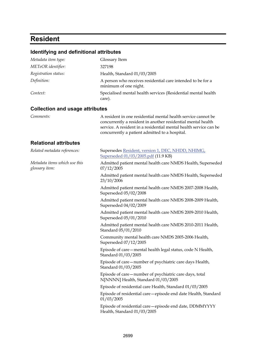# **Resident**

| Identifying and definitional attributes         |                                                                                                                                                                                                                                                      |  |  |
|-------------------------------------------------|------------------------------------------------------------------------------------------------------------------------------------------------------------------------------------------------------------------------------------------------------|--|--|
| Metadata item type:                             | Glossary Item                                                                                                                                                                                                                                        |  |  |
| METeOR identifier:                              | 327198                                                                                                                                                                                                                                               |  |  |
| Registration status:                            | Health, Standard 01/03/2005                                                                                                                                                                                                                          |  |  |
| Definition:                                     | A person who receives residential care intended to be for a<br>minimum of one night.                                                                                                                                                                 |  |  |
| Context:                                        | Specialised mental health services (Residential mental health<br>care).                                                                                                                                                                              |  |  |
| <b>Collection and usage attributes</b>          |                                                                                                                                                                                                                                                      |  |  |
| Comments:                                       | A resident in one residential mental health service cannot be<br>concurrently a resident in another residential mental health<br>service. A resident in a residential mental health service can be<br>concurrently a patient admitted to a hospital. |  |  |
| <b>Relational attributes</b>                    |                                                                                                                                                                                                                                                      |  |  |
| Related metadata references:                    | Supersedes Resident, version 1, DEC, NHDD, NHIMG,<br>Superseded 01/03/2005.pdf (11.9 KB)                                                                                                                                                             |  |  |
| Metadata items which use this<br>glossary item: | Admitted patient mental health care NMDS Health, Superseded<br>07/12/2005                                                                                                                                                                            |  |  |
|                                                 | Admitted patient mental health care NMDS Health, Superseded<br>23/10/2006                                                                                                                                                                            |  |  |
|                                                 | Admitted patient mental health care NMDS 2007-2008 Health,<br>Superseded 05/02/2008                                                                                                                                                                  |  |  |
|                                                 | Admitted patient mental health care NMDS 2008-2009 Health,<br>Superseded 04/02/2009                                                                                                                                                                  |  |  |
|                                                 | Admitted patient mental health care NMDS 2009-2010 Health,<br>Superseded 05/01/2010                                                                                                                                                                  |  |  |
|                                                 | Admitted patient mental health care NMDS 2010-2011 Health,<br>Standard 05/01/2010                                                                                                                                                                    |  |  |
|                                                 | Community mental health care NMDS 2005-2006 Health,<br>Superseded 07/12/2005                                                                                                                                                                         |  |  |
|                                                 | Episode of care - mental health legal status, code N Health,<br>Standard 01/03/2005                                                                                                                                                                  |  |  |
|                                                 | Episode of care - number of psychiatric care days Health,<br>Standard 01/03/2005                                                                                                                                                                     |  |  |
|                                                 | Episode of care - number of psychiatric care days, total<br>N[NNNN] Health, Standard 01/03/2005                                                                                                                                                      |  |  |
|                                                 | Episode of residential care Health, Standard 01/03/2005                                                                                                                                                                                              |  |  |
|                                                 | Episode of residential care - episode end date Health, Standard<br>01/03/2005                                                                                                                                                                        |  |  |
|                                                 | Episode of residential care - episode end date, DDMMYYYY<br>Health, Standard 01/03/2005                                                                                                                                                              |  |  |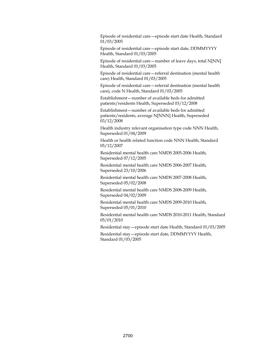Episode of residential care—episode start date Health, Standard 01/03/2005

Episode of residential care—episode start date, DDMMYYYY Health, Standard 01/03/2005

Episode of residential care—number of leave days, total N[NN] Health, Standard 01/03/2005

Episode of residential care—referral destination (mental health care) Health, Standard 01/03/2005

Episode of residential care—referral destination (mental health care), code N Health, Standard 01/03/2005

Establishment—number of available beds for admitted patients/residents Health, Superseded 03/12/2008

Establishment—number of available beds for admitted patients/residents, average N[NNN] Health, Superseded 03/12/2008

Health industry relevant organisation type code NNN Health, Superseded 01/04/2009

Health or health related function code NNN Health, Standard 05/12/2007

Residential mental health care NMDS 2005-2006 Health, Superseded 07/12/2005

Residential mental health care NMDS 2006-2007 Health, Superseded 23/10/2006

Residential mental health care NMDS 2007-2008 Health, Superseded 05/02/2008

Residential mental health care NMDS 2008-2009 Health, Superseded 04/02/2009

Residential mental health care NMDS 2009-2010 Health, Superseded 05/01/2010

Residential mental health care NMDS 2010-2011 Health, Standard 05/01/2010

Residential stay—episode start date Health, Standard 01/03/2005

Residential stay—episode start date, DDMMYYYY Health, Standard 01/03/2005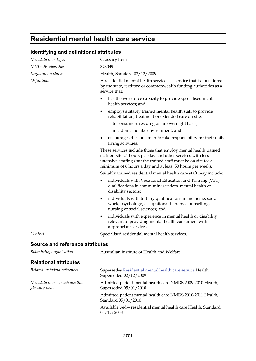# **Residential mental health care service**

| <b>Identifying and definitional attributes</b>  |                                                                                                                                                                                                                                                               |  |  |
|-------------------------------------------------|---------------------------------------------------------------------------------------------------------------------------------------------------------------------------------------------------------------------------------------------------------------|--|--|
| Metadata item type:                             | Glossary Item                                                                                                                                                                                                                                                 |  |  |
| METeOR identifier:                              | 373049                                                                                                                                                                                                                                                        |  |  |
| Registration status:                            | Health, Standard 02/12/2009                                                                                                                                                                                                                                   |  |  |
| Definition:                                     | A residential mental health service is a service that is considered<br>by the state, territory or commonwealth funding authorities as a<br>service that:                                                                                                      |  |  |
|                                                 | has the workforce capacity to provide specialised mental<br>health services; and                                                                                                                                                                              |  |  |
|                                                 | employs suitably trained mental health staff to provide<br>rehabilitation, treatment or extended care on-site:                                                                                                                                                |  |  |
|                                                 | to consumers residing on an overnight basis;                                                                                                                                                                                                                  |  |  |
|                                                 | in a domestic-like environment; and                                                                                                                                                                                                                           |  |  |
|                                                 | encourages the consumer to take responsibility for their daily<br>living activities.                                                                                                                                                                          |  |  |
|                                                 | These services include those that employ mental health trained<br>staff on-site 24 hours per day and other services with less<br>intensive staffing (but the trained staff must be on site for a<br>minimum of 6 hours a day and at least 50 hours per week). |  |  |
|                                                 | Suitably trained residential mental health care staff may include:                                                                                                                                                                                            |  |  |
|                                                 | individuals with Vocational Education and Training (VET)<br>٠<br>qualifications in community services, mental health or<br>disability sectors;                                                                                                                |  |  |
|                                                 | individuals with tertiary qualifications in medicine, social<br>٠<br>work, psychology, occupational therapy, counselling,<br>nursing or social sciences; and                                                                                                  |  |  |
|                                                 | individuals with experience in mental health or disability<br>٠<br>relevant to providing mental health consumers with<br>appropriate services.                                                                                                                |  |  |
| Context:                                        | Specialised residential mental health services.                                                                                                                                                                                                               |  |  |
| <b>Source and reference attributes</b>          |                                                                                                                                                                                                                                                               |  |  |
| Submitting organisation:                        | Australian Institute of Health and Welfare                                                                                                                                                                                                                    |  |  |
| <b>Relational attributes</b>                    |                                                                                                                                                                                                                                                               |  |  |
| Related metadata references:                    | Supersedes Residential mental health care service Health,<br>Superseded 02/12/2009                                                                                                                                                                            |  |  |
| Metadata items which use this<br>glossary item: | Admitted patient mental health care NMDS 2009-2010 Health,<br>Superseded 05/01/2010                                                                                                                                                                           |  |  |
|                                                 | Admitted patient mental health care NMDS 2010-2011 Health,<br>Standard 05/01/2010                                                                                                                                                                             |  |  |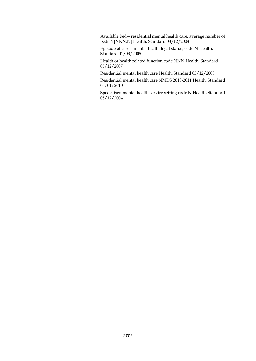Available bed—residential mental health care, average number of beds N[NNN.N] Health, Standard 03/12/2008

Episode of care—mental health legal status, code N Health, Standard 01/03/2005

Health or health related function code NNN Health, Standard 05/12/2007

Residential mental health care Health, Standard 03/12/2008

Residential mental health care NMDS 2010-2011 Health, Standard 05/01/2010

Specialised mental health service setting code N Health, Standard 08/12/2004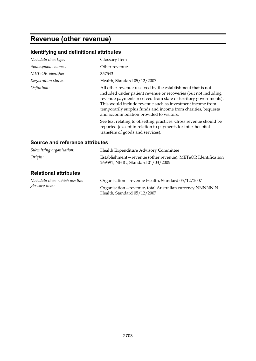# **Revenue (other revenue)**

| Metadata item type:             | Glossary Item                                                                                                                                                                                                                                                                                                                                                              |
|---------------------------------|----------------------------------------------------------------------------------------------------------------------------------------------------------------------------------------------------------------------------------------------------------------------------------------------------------------------------------------------------------------------------|
| Synonymous names:               | Other revenue                                                                                                                                                                                                                                                                                                                                                              |
| METeOR identifier:              | 357543                                                                                                                                                                                                                                                                                                                                                                     |
| Registration status:            | Health, Standard 05/12/2007                                                                                                                                                                                                                                                                                                                                                |
| Definition:                     | All other revenue received by the establishment that is not<br>included under patient revenue or recoveries (but not including<br>revenue payments received from state or territory governments).<br>This would include revenue such as investment income from<br>temporarily surplus funds and income from charities, bequests<br>and accommodation provided to visitors. |
|                                 | See text relating to offsetting practices. Gross revenue should be<br>reported (except in relation to payments for inter-hospital<br>transfers of goods and services).                                                                                                                                                                                                     |
| Source and reference attributes |                                                                                                                                                                                                                                                                                                                                                                            |

| Submitting organisation:                        | Health Expenditure Advisory Committee                                                             |  |
|-------------------------------------------------|---------------------------------------------------------------------------------------------------|--|
| Origin:                                         | Establishment-revenue (other revenue), METeOR Identification<br>269591, NHIG, Standard 01/03/2005 |  |
| <b>Relational attributes</b>                    |                                                                                                   |  |
| Metadata items which use this<br>glossary item: | Organisation - revenue Health, Standard 05/12/2007                                                |  |
|                                                 | Organisation - revenue, total Australian currency NNNNN.N<br>Health, Standard 05/12/2007          |  |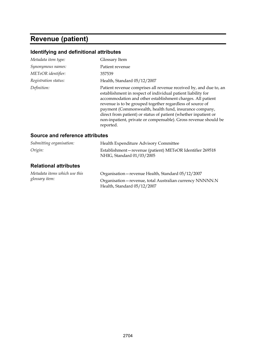# **Revenue (patient)**

## **Identifying and definitional attributes**

| Metadata item type:  | Glossary Item                                                                                                                                                                                                                                                                                                                                                                                                                                                             |
|----------------------|---------------------------------------------------------------------------------------------------------------------------------------------------------------------------------------------------------------------------------------------------------------------------------------------------------------------------------------------------------------------------------------------------------------------------------------------------------------------------|
| Synonymous names:    | Patient revenue                                                                                                                                                                                                                                                                                                                                                                                                                                                           |
| METeOR identifier:   | 357539                                                                                                                                                                                                                                                                                                                                                                                                                                                                    |
| Registration status: | Health, Standard 05/12/2007                                                                                                                                                                                                                                                                                                                                                                                                                                               |
| Definition:          | Patient revenue comprises all revenue received by, and due to, an<br>establishment in respect of individual patient liability for<br>accommodation and other establishment charges. All patient<br>revenue is to be grouped together regardless of source of<br>payment (Commonwealth, health fund, insurance company,<br>direct from patient) or status of patient (whether inpatient or<br>non-inpatient, private or compensable). Gross revenue should be<br>reported. |

#### **Source and reference attributes**

| Submitting organisation:                        | Health Expenditure Advisory Committee                                                    |  |
|-------------------------------------------------|------------------------------------------------------------------------------------------|--|
| Origin:                                         | Establishment-revenue (patient) METeOR Identifier 269518<br>NHIG, Standard 01/03/2005    |  |
| <b>Relational attributes</b>                    |                                                                                          |  |
| Metadata items which use this<br>glossary item: | Organisation - revenue Health, Standard 05/12/2007                                       |  |
|                                                 | Organisation - revenue, total Australian currency NNNNN.N<br>Health, Standard 05/12/2007 |  |
|                                                 |                                                                                          |  |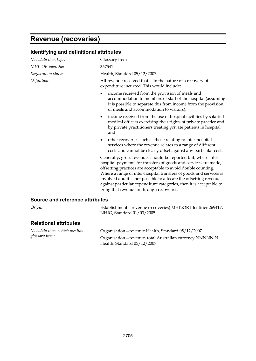# **Revenue (recoveries)**

| Identifying and definitional attributes |                                                                                                                                                                                                                                                                                                                                                                                                                                                                    |  |  |  |
|-----------------------------------------|--------------------------------------------------------------------------------------------------------------------------------------------------------------------------------------------------------------------------------------------------------------------------------------------------------------------------------------------------------------------------------------------------------------------------------------------------------------------|--|--|--|
| Metadata item type:                     | Glossary Item                                                                                                                                                                                                                                                                                                                                                                                                                                                      |  |  |  |
| METeOR identifier:                      | 357541                                                                                                                                                                                                                                                                                                                                                                                                                                                             |  |  |  |
| Registration status:                    | Health, Standard 05/12/2007                                                                                                                                                                                                                                                                                                                                                                                                                                        |  |  |  |
| Definition:                             | All revenue received that is in the nature of a recovery of<br>expenditure incurred. This would include:                                                                                                                                                                                                                                                                                                                                                           |  |  |  |
|                                         | income received from the provision of meals and<br>٠<br>accommodation to members of staff of the hospital (assuming<br>it is possible to separate this from income from the provision<br>of meals and accommodation to visitors);                                                                                                                                                                                                                                  |  |  |  |
|                                         | income received from the use of hospital facilities by salaried<br>$\bullet$<br>medical officers exercising their rights of private practice and<br>by private practitioners treating private patients in hospital;<br>and                                                                                                                                                                                                                                         |  |  |  |
|                                         | other recoveries such as those relating to inter-hospital<br>$\bullet$<br>services where the revenue relates to a range of different<br>costs and cannot be clearly offset against any particular cost.                                                                                                                                                                                                                                                            |  |  |  |
|                                         | Generally, gross revenues should be reported but, where inter-<br>hospital payments for transfers of goods and services are made,<br>offsetting practices are acceptable to avoid double counting.<br>Where a range of inter-hospital transfers of goods and services is<br>involved and it is not possible to allocate the offsetting revenue<br>against particular expenditure categories, then it is acceptable to<br>bring that revenue in through recoveries. |  |  |  |
| <b>Source and reference attributes</b>  |                                                                                                                                                                                                                                                                                                                                                                                                                                                                    |  |  |  |

| $\cup$ $\alpha$ <sub><math>\delta</math></sub> $\ldots$ |  |
|---------------------------------------------------------|--|
|                                                         |  |
|                                                         |  |

*Origin:* Establishment—revenue (recoveries) METeOR Identifier 269417, NHIG, Standard 01/03/2005

#### **Relational attributes**

| Metadata items which use this<br>glossary item: | Organisation - revenue Health, Standard 05/12/2007                                       |
|-------------------------------------------------|------------------------------------------------------------------------------------------|
|                                                 | Organisation - revenue, total Australian currency NNNNN.N<br>Health, Standard 05/12/2007 |
|                                                 |                                                                                          |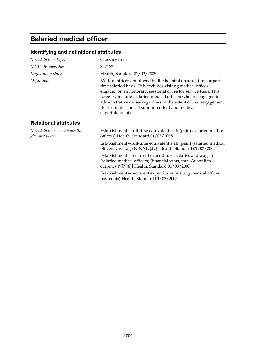# **Salaried medical officer**

| Metadata item type:                             | Glossary Item                                                                                                                                                                                                                                                                                                                                                                                                      |
|-------------------------------------------------|--------------------------------------------------------------------------------------------------------------------------------------------------------------------------------------------------------------------------------------------------------------------------------------------------------------------------------------------------------------------------------------------------------------------|
| METeOR identifier:                              | 327188                                                                                                                                                                                                                                                                                                                                                                                                             |
| Registration status:                            | Health, Standard 01/03/2005                                                                                                                                                                                                                                                                                                                                                                                        |
| Definition:                                     | Medical officers employed by the hospital on a full time or part<br>time salaried basis. This excludes visiting medical offices<br>engaged on an honorary, sessional or fee for service basis. This<br>category includes salaried medical officers who are engaged in<br>administrative duties regardless of the extent of that engagement<br>(for example, clinical superintendent and medical<br>superintendent) |
| <b>Relational attributes</b>                    |                                                                                                                                                                                                                                                                                                                                                                                                                    |
| Metadata items which use this<br>glossary item: | Establishment-full-time equivalent staff (paid) (salaried medical<br>officers) Health, Standard 01/03/2005                                                                                                                                                                                                                                                                                                         |
|                                                 | Establishment-full-time equivalent staff (paid) (salaried medical<br>officers), average N[NNN{.N}] Health, Standard 01/03/2005                                                                                                                                                                                                                                                                                     |
|                                                 | Establishment-recurrent expenditure (salaries and wages)<br>(salaried medical officers) (financial year), total Australian<br>currency N[N(8)] Health, Standard 01/03/2005                                                                                                                                                                                                                                         |
|                                                 | Establishment-recurrent expenditure (visiting medical officer<br>payments) Health, Standard 01/03/2005                                                                                                                                                                                                                                                                                                             |
|                                                 |                                                                                                                                                                                                                                                                                                                                                                                                                    |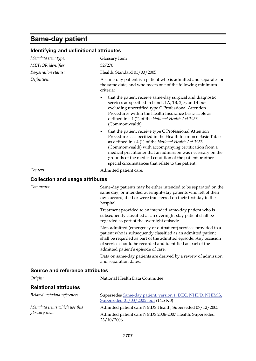# **Same-day patient**

| Identifying and definitional attributes |                                                                                                                                                                                                                                                                                                                                                                                                                              |  |
|-----------------------------------------|------------------------------------------------------------------------------------------------------------------------------------------------------------------------------------------------------------------------------------------------------------------------------------------------------------------------------------------------------------------------------------------------------------------------------|--|
| Metadata item type:                     | Glossary Item                                                                                                                                                                                                                                                                                                                                                                                                                |  |
| METeOR identifier:                      | 327270                                                                                                                                                                                                                                                                                                                                                                                                                       |  |
| Registration status:                    | Health, Standard 01/03/2005                                                                                                                                                                                                                                                                                                                                                                                                  |  |
| Definition:                             | A same-day patient is a patient who is admitted and separates on<br>the same date, and who meets one of the following minimum<br>criteria:                                                                                                                                                                                                                                                                                   |  |
|                                         | that the patient receive same-day surgical and diagnostic<br>٠<br>services as specified in bands 1A, 1B, 2, 3, and 4 but<br>excluding uncertified type C Professional Attention<br>Procedures within the Health Insurance Basic Table as<br>defined in s.4 (1) of the National Health Act 1953<br>(Commonwealth),                                                                                                            |  |
|                                         | that the patient receive type C Professional Attention<br>٠<br>Procedures as specified in the Health Insurance Basic Table<br>as defined in s.4 (1) of the National Health Act 1953<br>(Commonwealth) with accompanying certification from a<br>medical practitioner that an admission was necessary on the<br>grounds of the medical condition of the patient or other<br>special circumstances that relate to the patient. |  |
| Context:                                | Admitted patient care.                                                                                                                                                                                                                                                                                                                                                                                                       |  |
| <b>Collection and usage attributes</b>  |                                                                                                                                                                                                                                                                                                                                                                                                                              |  |
| Comments:                               | Same-day patients may be either intended to be separated on the<br>same day, or intended overnight-stay patients who left of their<br>own accord, died or were transferred on their first day in the<br>hospital.                                                                                                                                                                                                            |  |
|                                         | Treatment provided to an intended same-day patient who is<br>subsequently classified as an overnight-stay patient shall be<br>regarded as part of the overnight episode.                                                                                                                                                                                                                                                     |  |
|                                         | Non-admitted (emergency or outpatient) services provided to a<br>patient who is subsequently classified as an admitted patient<br>shall be regarded as part of the admitted episode. Any occasion<br>of service should be recorded and identified as part of the<br>admitted patient's episode of care.                                                                                                                      |  |
|                                         | Data on same-day patients are derived by a review of admission<br>and separation dates.                                                                                                                                                                                                                                                                                                                                      |  |
| Source and reference attributes         |                                                                                                                                                                                                                                                                                                                                                                                                                              |  |

| Origin:                       | National Health Data Committee                                                                   |
|-------------------------------|--------------------------------------------------------------------------------------------------|
| <b>Relational attributes</b>  |                                                                                                  |
| Related metadata references:  | Supersedes Same-day patient, version 1, DEC, NHDD, NHIMG,<br>Superseded 01/03/2005.pdf (14.5 KB) |
| Metadata items which use this | Admitted patient care NMDS Health, Superseded 07/12/2005                                         |
| glossary item:                | Admitted patient care NMDS 2006-2007 Health, Superseded<br>23/10/2006                            |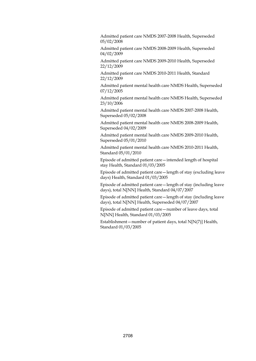Admitted patient care NMDS 2007-2008 Health, Superseded 05/02/2008

Admitted patient care NMDS 2008-2009 Health, Superseded 04/02/2009

Admitted patient care NMDS 2009-2010 Health, Superseded 22/12/2009

Admitted patient care NMDS 2010-2011 Health, Standard 22/12/2009

Admitted patient mental health care NMDS Health, Superseded 07/12/2005

Admitted patient mental health care NMDS Health, Superseded 23/10/2006

Admitted patient mental health care NMDS 2007-2008 Health, Superseded 05/02/2008

Admitted patient mental health care NMDS 2008-2009 Health, Superseded 04/02/2009

Admitted patient mental health care NMDS 2009-2010 Health, Superseded 05/01/2010

Admitted patient mental health care NMDS 2010-2011 Health, Standard 05/01/2010

Episode of admitted patient care—intended length of hospital stay Health, Standard 01/03/2005

Episode of admitted patient care—length of stay (excluding leave days) Health, Standard 01/03/2005

Episode of admitted patient care—length of stay (including leave days), total N[NN] Health, Standard 04/07/2007

Episode of admitted patient care—length of stay (including leave days), total N[NN] Health, Superseded 04/07/2007

Episode of admitted patient care—number of leave days, total N[NN] Health, Standard 01/03/2005

Establishment—number of patient days, total N[N(7)] Health, Standard 01/03/2005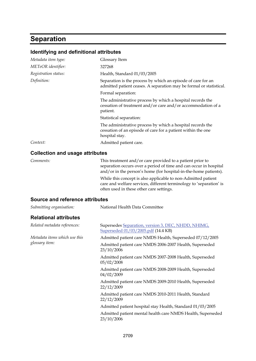## **Separation**

| Identifying and definitional attributes |                                                                                                                                                                                                    |
|-----------------------------------------|----------------------------------------------------------------------------------------------------------------------------------------------------------------------------------------------------|
| Metadata item type:                     | Glossary Item                                                                                                                                                                                      |
| METeOR identifier:                      | 327268                                                                                                                                                                                             |
| Registration status:                    | Health, Standard 01/03/2005                                                                                                                                                                        |
| Definition:                             | Separation is the process by which an episode of care for an<br>admitted patient ceases. A separation may be formal or statistical.                                                                |
|                                         | Formal separation:                                                                                                                                                                                 |
|                                         | The administrative process by which a hospital records the<br>cessation of treatment and/or care and/or accommodation of a<br>patient.                                                             |
|                                         | Statistical separation:                                                                                                                                                                            |
|                                         | The administrative process by which a hospital records the<br>cessation of an episode of care for a patient within the one<br>hospital stay.                                                       |
| Context:                                | Admitted patient care.                                                                                                                                                                             |
| <b>Collection and usage attributes</b>  |                                                                                                                                                                                                    |
| Comments:                               | This treatment and/or care provided to a patient prior to<br>separation occurs over a period of time and can occur in hospital<br>and/or in the person's home (for hospital-in-the-home patients). |
|                                         | While this concept is also applicable to non-Admitted patient<br>care and welfare services, different terminology to 'separation' is<br>often used in these other care settings.                   |
| <b>Source and reference attributes</b>  |                                                                                                                                                                                                    |
| Submitting organisation:                | National Health Data Committee                                                                                                                                                                     |
| <b>Relational attributes</b>            |                                                                                                                                                                                                    |
| Related metadata references:            | Supersedes Separation, version 3, DEC, NHDD, NHIMG,<br>Superseded 01/03/2005.pdf (14.4 KB)                                                                                                         |
| Metadata items which use this           | Admitted patient care NMDS Health, Superseded 07/12/2005                                                                                                                                           |

*glossary item:*

05/02/2008 Admitted patient care NMDS 2008-2009 Health, Superseded 04/02/2009

Admitted patient care NMDS 2006-2007 Health, Superseded

Admitted patient care NMDS 2007-2008 Health, Superseded

Admitted patient care NMDS 2009-2010 Health, Superseded 22/12/2009

Admitted patient care NMDS 2010-2011 Health, Standard 22/12/2009

Admitted patient hospital stay Health, Standard 01/03/2005

Admitted patient mental health care NMDS Health, Superseded 23/10/2006

23/10/2006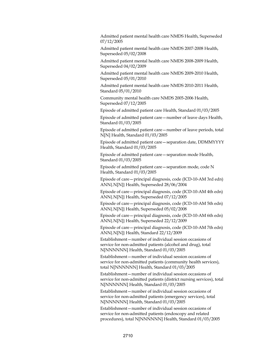Admitted patient mental health care NMDS Health, Superseded 07/12/2005

Admitted patient mental health care NMDS 2007-2008 Health, Superseded 05/02/2008

Admitted patient mental health care NMDS 2008-2009 Health, Superseded 04/02/2009

Admitted patient mental health care NMDS 2009-2010 Health, Superseded 05/01/2010

Admitted patient mental health care NMDS 2010-2011 Health, Standard 05/01/2010

Community mental health care NMDS 2005-2006 Health, Superseded 07/12/2005

Episode of admitted patient care Health, Standard 01/03/2005

Episode of admitted patient care—number of leave days Health, Standard 01/03/2005

Episode of admitted patient care—number of leave periods, total N[N] Health, Standard 01/03/2005

Episode of admitted patient care—separation date, DDMMYYYY Health, Standard 01/03/2005

Episode of admitted patient care—separation mode Health, Standard 01/03/2005

Episode of admitted patient care—separation mode, code N Health, Standard 01/03/2005

Episode of care—principal diagnosis, code (ICD-10-AM 3rd edn) ANN{.N[N]} Health, Superseded 28/06/2004

Episode of care—principal diagnosis, code (ICD-10-AM 4th edn) ANN{.N[N]} Health, Superseded 07/12/2005

Episode of care—principal diagnosis, code (ICD-10-AM 5th edn) ANN{.N[N]} Health, Superseded 05/02/2008

Episode of care—principal diagnosis, code (ICD-10-AM 6th edn) ANN{.N[N]} Health, Superseded 22/12/2009

Episode of care—principal diagnosis, code (ICD-10-AM 7th edn) ANN{.N[N]} Health, Standard 22/12/2009

Establishment—number of individual session occasions of service for non-admitted patients (alcohol and drug), total N[NNNNNN] Health, Standard 01/03/2005

Establishment—number of individual session occasions of service for non-admitted patients (community health services), total N[NNNNNN] Health, Standard 01/03/2005

Establishment—number of individual session occasions of service for non-admitted patients (district nursing services), total N[NNNNNN] Health, Standard 01/03/2005

Establishment—number of individual session occasions of service for non-admitted patients (emergency services), total N[NNNNNN] Health, Standard 01/03/2005

Establishment—number of individual session occasions of service for non-admitted patients (endoscopy and related procedures), total N[NNNNNN] Health, Standard 01/03/2005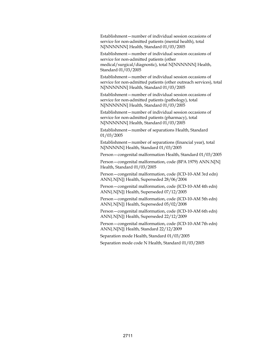Establishment—number of individual session occasions of service for non-admitted patients (mental health), total N[NNNNNN] Health, Standard 01/03/2005

Establishment—number of individual session occasions of service for non-admitted patients (other medical/surgical/diagnostic), total N[NNNNNN] Health, Standard 01/03/2005

Establishment—number of individual session occasions of service for non-admitted patients (other outreach services), total N[NNNNNN] Health, Standard 01/03/2005

Establishment—number of individual session occasions of service for non-admitted patients (pathology), total N[NNNNNN] Health, Standard 01/03/2005

Establishment—number of individual session occasions of service for non-admitted patients (pharmacy), total N[NNNNNN] Health, Standard 01/03/2005

Establishment—number of separations Health, Standard 01/03/2005

Establishment—number of separations (financial year), total N[NNNNN] Health, Standard 01/03/2005

Person—congenital malformation Health, Standard 01/03/2005

Person—congenital malformation, code (BPA 1979) ANN.N[N] Health, Standard 01/03/2005

Person—congenital malformation, code (ICD-10-AM 3rd edn) ANN{.N[N]} Health, Superseded 28/06/2004

Person—congenital malformation, code (ICD-10-AM 4th edn) ANN{.N[N]} Health, Superseded 07/12/2005

Person—congenital malformation, code (ICD-10-AM 5th edn) ANN{.N[N]} Health, Superseded 05/02/2008

Person—congenital malformation, code (ICD-10-AM 6th edn) ANN{.N[N]} Health, Superseded 22/12/2009

Person—congenital malformation, code (ICD-10-AM 7th edn) ANN{.N[N]} Health, Standard 22/12/2009

Separation mode Health, Standard 01/03/2005

Separation mode code N Health, Standard 01/03/2005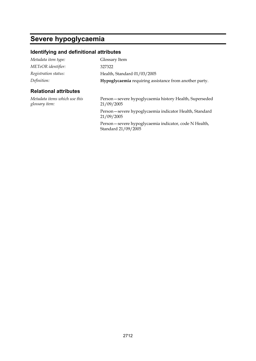# **Severe hypoglycaemia**

#### **Identifying and definitional attributes**

| Metadata item type:                             | Glossary Item                                                        |
|-------------------------------------------------|----------------------------------------------------------------------|
| METeOR identifier:                              | 327322                                                               |
| Registration status:                            | Health, Standard 01/03/2005                                          |
| Definition:                                     | Hypoglycaemia requiring assistance from another party.               |
| <b>Relational attributes</b>                    |                                                                      |
| Metadata items which use this<br>glossary item: | Person-severe hypoglycaemia history Health, Superseded<br>21/09/2005 |

Person—severe hypoglycaemia indicator Health, Standard 21/09/2005

Person—severe hypoglycaemia indicator, code N Health, Standard 21/09/2005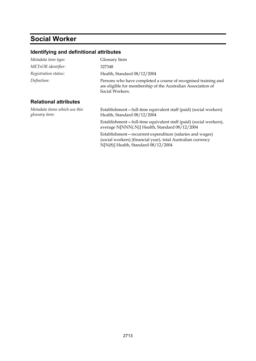# **Social Worker**

| Metadata item type:                             | Glossary Item                                                                                                                                                       |
|-------------------------------------------------|---------------------------------------------------------------------------------------------------------------------------------------------------------------------|
| METeOR identifier:                              | 327348                                                                                                                                                              |
| Registration status:                            | Health, Standard 08/12/2004                                                                                                                                         |
| Definition:                                     | Persons who have completed a course of recognised training and<br>are eligible for membership of the Australian Association of<br>Social Workers.                   |
| <b>Relational attributes</b>                    |                                                                                                                                                                     |
| Metadata items which use this<br>glossary item: | Establishment-full-time equivalent staff (paid) (social workers)<br>Health, Standard 08/12/2004                                                                     |
|                                                 | Establishment-full-time equivalent staff (paid) (social workers),<br>average N[NNN{.N}] Health, Standard 08/12/2004                                                 |
|                                                 | Establishment-recurrent expenditure (salaries and wages)<br>(social workers) (financial year), total Australian currency<br>$N[N(8)]$ Health, Standard $08/12/2004$ |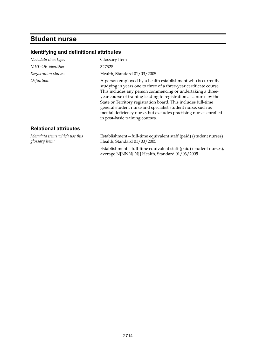## **Student nurse**

| Metadata item type:                             | Glossary Item                                                                                                                                                                                                                                                                                                                                                                                                                                                                                                  |
|-------------------------------------------------|----------------------------------------------------------------------------------------------------------------------------------------------------------------------------------------------------------------------------------------------------------------------------------------------------------------------------------------------------------------------------------------------------------------------------------------------------------------------------------------------------------------|
| METeOR identifier:                              | 327328                                                                                                                                                                                                                                                                                                                                                                                                                                                                                                         |
| Registration status:                            | Health, Standard 01/03/2005                                                                                                                                                                                                                                                                                                                                                                                                                                                                                    |
| Definition:                                     | A person employed by a health establishment who is currently<br>studying in years one to three of a three-year certificate course.<br>This includes any person commencing or undertaking a three-<br>year course of training leading to registration as a nurse by the<br>State or Territory registration board. This includes full-time<br>general student nurse and specialist student nurse, such as<br>mental deficiency nurse, but excludes practising nurses enrolled<br>in post-basic training courses. |
| <b>Relational attributes</b>                    |                                                                                                                                                                                                                                                                                                                                                                                                                                                                                                                |
| Metadata items which use this<br>glossary item: | Establishment-full-time equivalent staff (paid) (student nurses)<br>Health, Standard 01/03/2005                                                                                                                                                                                                                                                                                                                                                                                                                |
|                                                 | Establishment-full-time equivalent staff (paid) (student nurses),<br>average N[NNN{.N}] Health, Standard 01/03/2005                                                                                                                                                                                                                                                                                                                                                                                            |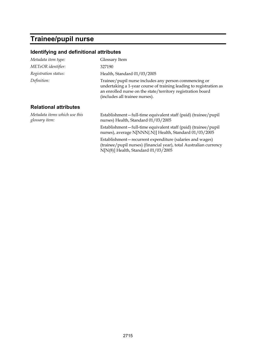# **Trainee/pupil nurse**

| Metadata item type:                             | Glossary Item                                                                                                                                                                                                                |
|-------------------------------------------------|------------------------------------------------------------------------------------------------------------------------------------------------------------------------------------------------------------------------------|
| METeOR identifier:                              | 327190                                                                                                                                                                                                                       |
| Registration status:                            | Health, Standard 01/03/2005                                                                                                                                                                                                  |
| Definition:                                     | Trainee/pupil nurse includes any person commencing or<br>undertaking a 1-year course of training leading to registration as<br>an enrolled nurse on the state/territory registration board<br>(includes all trainee nurses). |
| <b>Relational attributes</b>                    |                                                                                                                                                                                                                              |
| Metadata items which use this<br>glossary item: | Establishment-full-time equivalent staff (paid) (trainee/pupil<br>nurses) Health, Standard 01/03/2005                                                                                                                        |
|                                                 | Establishment-full-time equivalent staff (paid) (trainee/pupil<br>nurses), average N[NNN{.N}] Health, Standard 01/03/2005                                                                                                    |
|                                                 | Establishment-recurrent expenditure (salaries and wages)<br>(trainee/pupil nurses) (financial year), total Australian currency<br>$N[N(8)]$ Health, Standard 01/03/2005                                                      |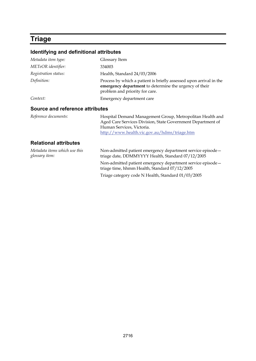# **Triage**

| Metadata item type:             | Glossary Item                                                                                                                                                  |
|---------------------------------|----------------------------------------------------------------------------------------------------------------------------------------------------------------|
| METeOR identifier:              | 334003                                                                                                                                                         |
| Registration status:            | Health, Standard 24/03/2006                                                                                                                                    |
| Definition:                     | Process by which a patient is briefly assessed upon arrival in the<br>emergency department to determine the urgency of their<br>problem and priority for care. |
| Context:                        | Emergency department care                                                                                                                                      |
| Source and reference attributes |                                                                                                                                                                |
| Reference documents:            | Hospital Demand Management Group, Metropolitan Health and                                                                                                      |

| Reference abcuments.         | Tiosphai Denianu Management Group, Metroponian Fleann and   |
|------------------------------|-------------------------------------------------------------|
|                              | Aged Care Services Division, State Government Department of |
|                              | Human Services, Victoria.                                   |
|                              | http://www.health.vic.gov.au/hdms/triage.htm                |
| <b>Relational attributes</b> |                                                             |

| Metadata items which use this<br>glossary item: | Non-admitted patient emergency department service episode –<br>triage date, DDMMYYYY Health, Standard 07/12/2005 |
|-------------------------------------------------|------------------------------------------------------------------------------------------------------------------|
|                                                 | Non-admitted patient emergency department service episode -<br>triage time, hhmm Health, Standard 07/12/2005     |
|                                                 | Triage category code N Health, Standard 01/03/2005                                                               |